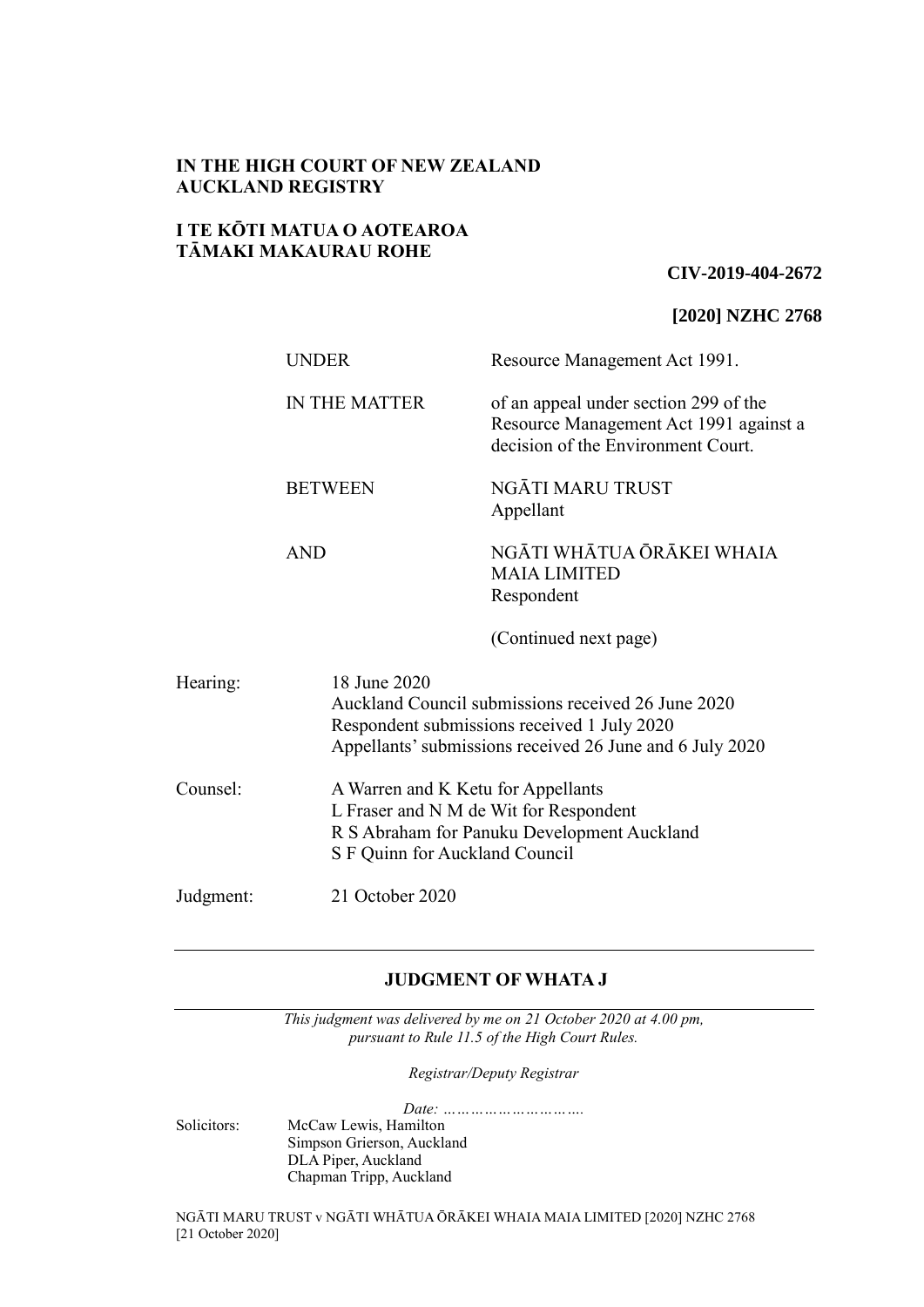# **IN THE HIGH COURT OF NEW ZEALAND AUCKLAND REGISTRY**

### **I TE KŌTI MATUA O AOTEAROA TĀMAKI MAKAURAU ROHE**

### **CIV-2019-404-2672**

### **[2020] NZHC 2768**

|           | <b>UNDER</b>                                                                                                                                                                  | Resource Management Act 1991.                                                                                                                                 |  |
|-----------|-------------------------------------------------------------------------------------------------------------------------------------------------------------------------------|---------------------------------------------------------------------------------------------------------------------------------------------------------------|--|
|           | <b>IN THE MATTER</b>                                                                                                                                                          | of an appeal under section 299 of the<br>Resource Management Act 1991 against a<br>decision of the Environment Court.                                         |  |
|           | <b>BETWEEN</b>                                                                                                                                                                | NGĀTI MARU TRUST<br>Appellant                                                                                                                                 |  |
|           | <b>AND</b>                                                                                                                                                                    | NGĀTI WHĀTUA ŌRĀKEI WHAIA<br><b>MAIA LIMITED</b><br>Respondent                                                                                                |  |
|           |                                                                                                                                                                               | (Continued next page)                                                                                                                                         |  |
| Hearing:  | 18 June 2020<br>Auckland Council submissions received 26 June 2020<br>Respondent submissions received 1 July 2020<br>Appellants' submissions received 26 June and 6 July 2020 |                                                                                                                                                               |  |
| Counsel:  |                                                                                                                                                                               | A Warren and K Ketu for Appellants<br>L Fraser and N M de Wit for Respondent<br>R S Abraham for Panuku Development Auckland<br>S F Quinn for Auckland Council |  |
| Judgment: | 21 October 2020                                                                                                                                                               |                                                                                                                                                               |  |

# **JUDGMENT OF WHATA J**

*This judgment was delivered by me on 21 October 2020 at 4.00 pm, pursuant to Rule 11.5 of the High Court Rules.*

*Registrar/Deputy Registrar*

*Date: ………………………….* Solicitors: McCaw Lewis, Hamilton Simpson Grierson, Auckland DLA Piper, Auckland Chapman Tripp, Auckland

NGĀTI MARU TRUST v NGĀTI WHĀTUA ŌRĀKEI WHAIA MAIA LIMITED [2020] NZHC 2768 [21 October 2020]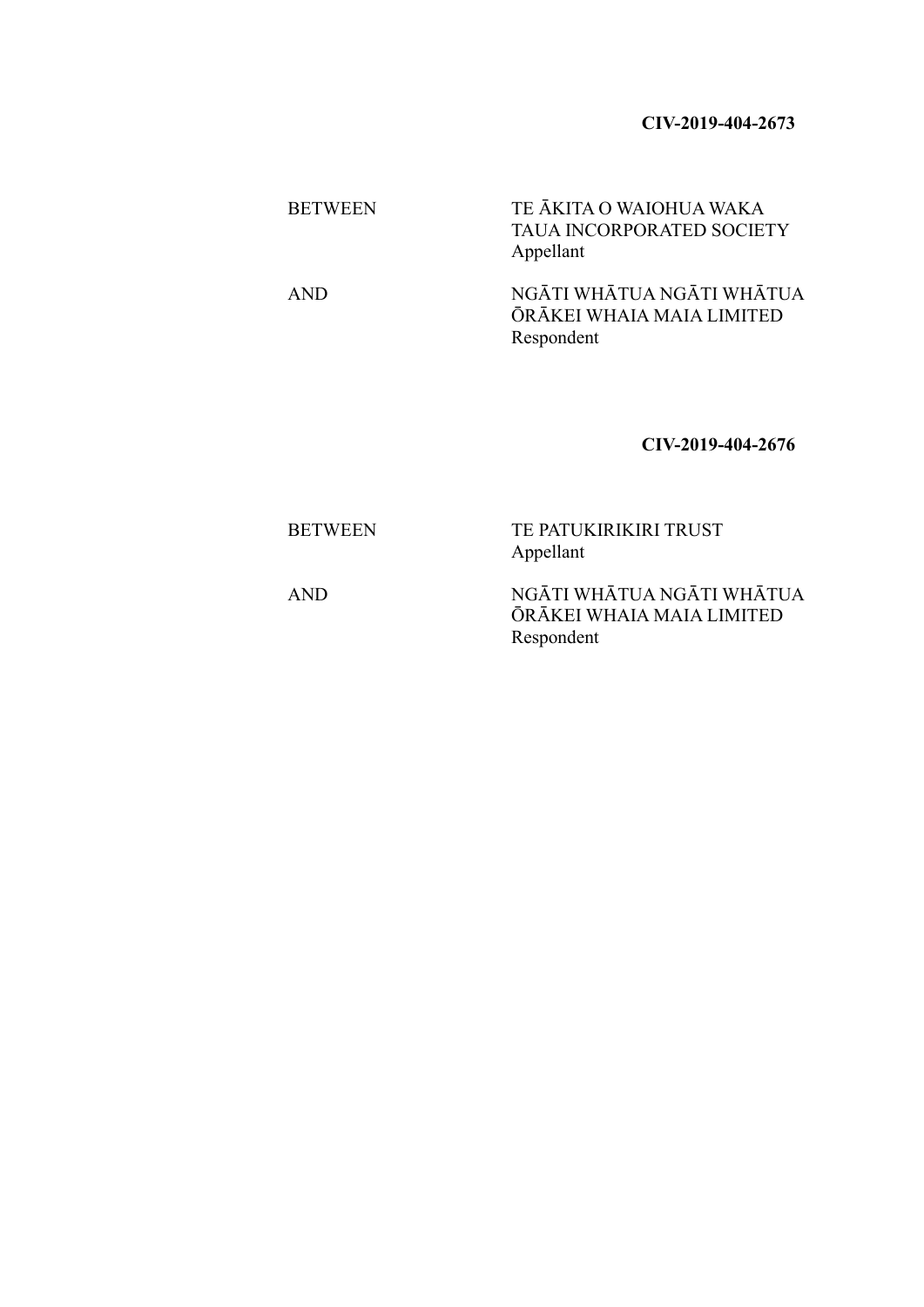# **CIV-2019-404-2673**

| <b>BETWEEN</b> | TE ĀKITA O WAIOHUA WAKA<br><b>TAUA INCORPORATED SOCIETY</b><br>Appellant |
|----------------|--------------------------------------------------------------------------|
| <b>AND</b>     | NGĀTI WHĀTUA NGĀTI WHĀTUA<br>ŌRĀKEI WHAIA MAIA LIMITED<br>Respondent     |

# **CIV-2019-404-2676**

| <b>BETWEEN</b> | TE PATUKIRIKIRI TRUST<br>Appellant |
|----------------|------------------------------------|
| .              | ママム テニマ ママママテニママナ ママム テニマ ママママテ    |

AND NGĀTI WHĀTUA NGĀTI WHĀTUA ŌRĀKEI WHAIA MAIA LIMITED Respondent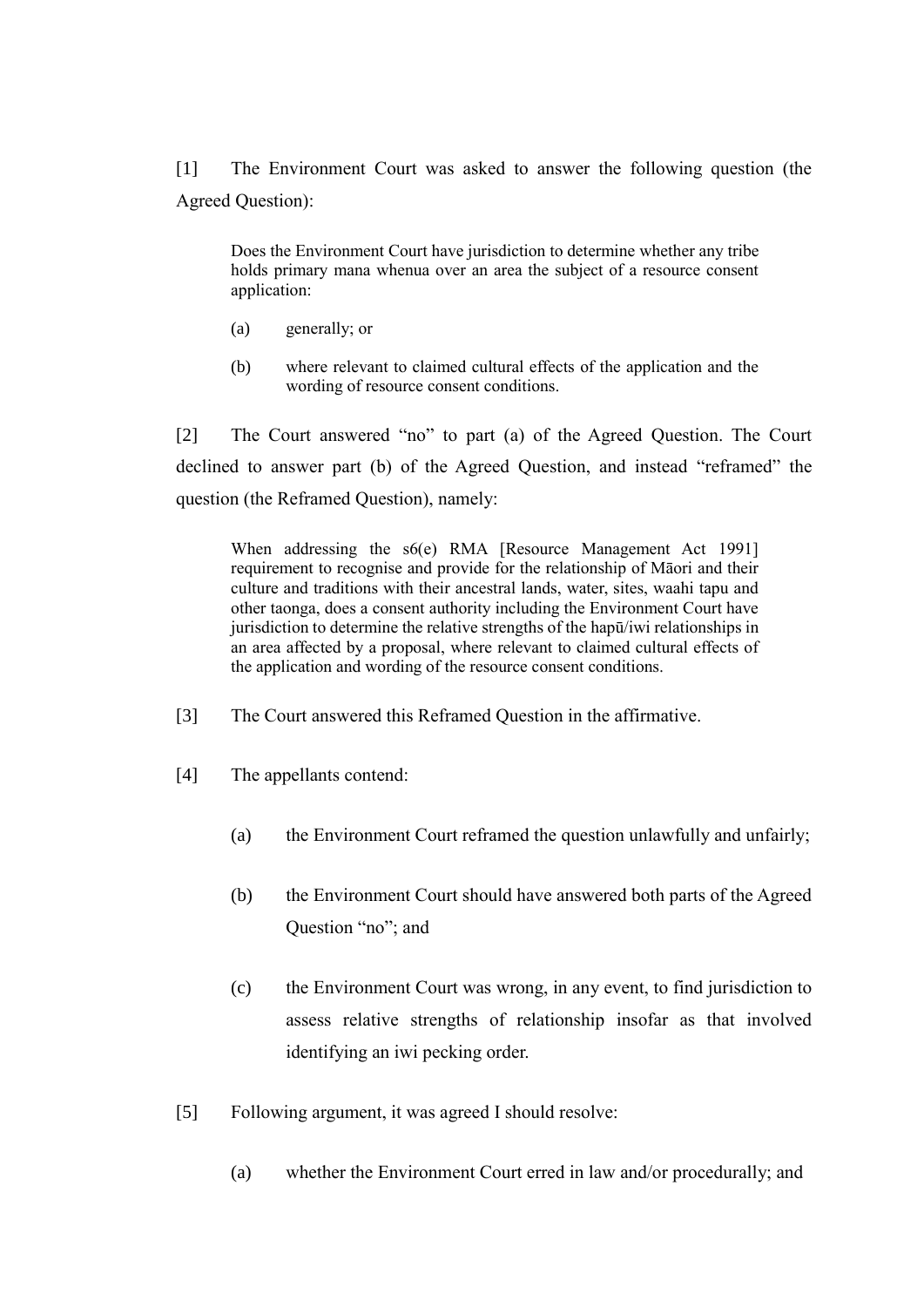[1] The Environment Court was asked to answer the following question (the Agreed Question):

Does the Environment Court have jurisdiction to determine whether any tribe holds primary mana whenua over an area the subject of a resource consent application:

- (a) generally; or
- (b) where relevant to claimed cultural effects of the application and the wording of resource consent conditions.

[2] The Court answered "no" to part (a) of the Agreed Question. The Court declined to answer part (b) of the Agreed Question, and instead "reframed" the question (the Reframed Question), namely:

When addressing the s6(e) RMA [Resource Management Act 1991] requirement to recognise and provide for the relationship of Māori and their culture and traditions with their ancestral lands, water, sites, waahi tapu and other taonga, does a consent authority including the Environment Court have jurisdiction to determine the relative strengths of the hapū/iwi relationships in an area affected by a proposal, where relevant to claimed cultural effects of the application and wording of the resource consent conditions.

- [3] The Court answered this Reframed Question in the affirmative.
- [4] The appellants contend:
	- (a) the Environment Court reframed the question unlawfully and unfairly;
	- (b) the Environment Court should have answered both parts of the Agreed Question "no"; and
	- (c) the Environment Court was wrong, in any event, to find jurisdiction to assess relative strengths of relationship insofar as that involved identifying an iwi pecking order.
- [5] Following argument, it was agreed I should resolve:
	- (a) whether the Environment Court erred in law and/or procedurally; and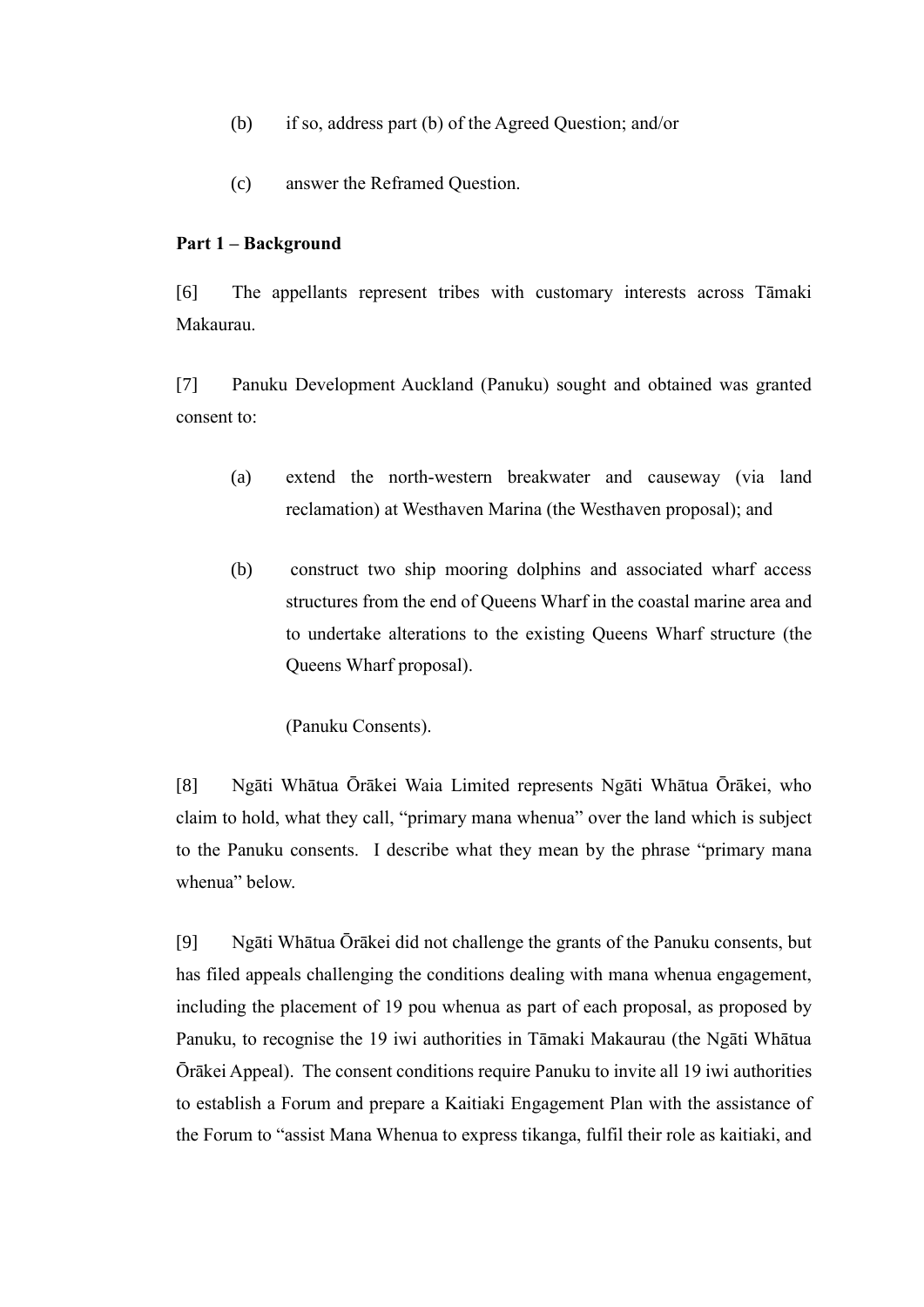- (b) if so, address part (b) of the Agreed Question; and/or
- (c) answer the Reframed Question.

### **Part 1 – Background**

[6] The appellants represent tribes with customary interests across Tāmaki Makaurau.

[7] Panuku Development Auckland (Panuku) sought and obtained was granted consent to:

- (a) extend the north-western breakwater and causeway (via land reclamation) at Westhaven Marina (the Westhaven proposal); and
- (b) construct two ship mooring dolphins and associated wharf access structures from the end of Queens Wharf in the coastal marine area and to undertake alterations to the existing Queens Wharf structure (the Queens Wharf proposal).

(Panuku Consents).

[8] Ngāti Whātua Ōrākei Waia Limited represents Ngāti Whātua Ōrākei, who claim to hold, what they call, "primary mana whenua" over the land which is subject to the Panuku consents. I describe what they mean by the phrase "primary mana whenua" below.

[9] Ngāti Whātua Ōrākei did not challenge the grants of the Panuku consents, but has filed appeals challenging the conditions dealing with mana whenua engagement, including the placement of 19 pou whenua as part of each proposal, as proposed by Panuku, to recognise the 19 iwi authorities in Tāmaki Makaurau (the Ngāti Whātua Ōrākei Appeal). The consent conditions require Panuku to invite all 19 iwi authorities to establish a Forum and prepare a Kaitiaki Engagement Plan with the assistance of the Forum to "assist Mana Whenua to express tikanga, fulfil their role as kaitiaki, and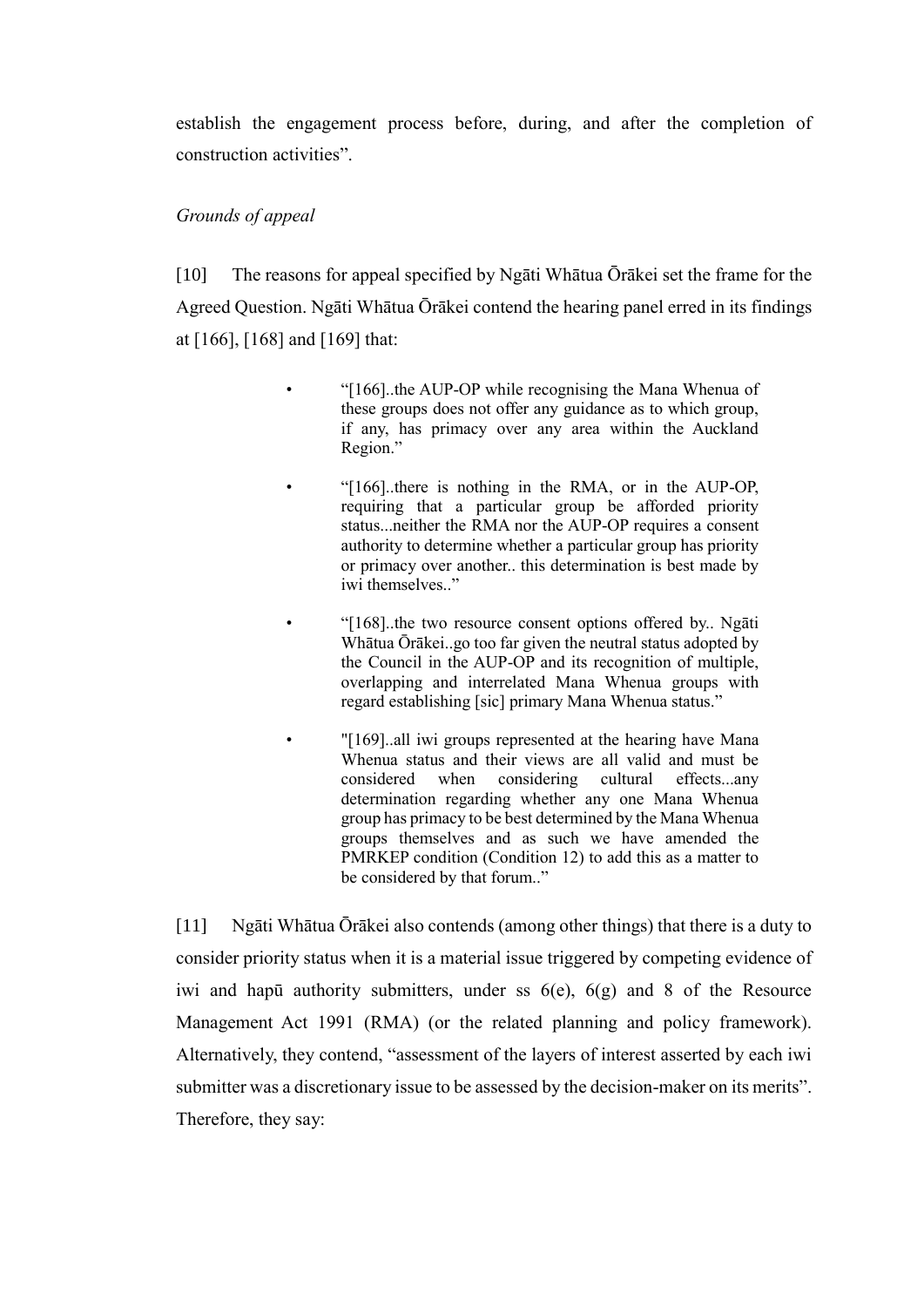establish the engagement process before, during, and after the completion of construction activities".

# *Grounds of appeal*

[10] The reasons for appeal specified by Ngāti Whātua Ōrākei set the frame for the Agreed Question. Ngāti Whātua Ōrākei contend the hearing panel erred in its findings at [166], [168] and [169] that:

- "[166]..the AUP-OP while recognising the Mana Whenua of these groups does not offer any guidance as to which group, if any, has primacy over any area within the Auckland Region."
	- "[166]..there is nothing in the RMA, or in the AUP-OP, requiring that a particular group be afforded priority status...neither the RMA nor the AUP-OP requires a consent authority to determine whether a particular group has priority or primacy over another.. this determination is best made by iwi themselves.."
		- "[168]..the two resource consent options offered by.. Ngāti Whātua Ōrākei..go too far given the neutral status adopted by the Council in the AUP-OP and its recognition of multiple, overlapping and interrelated Mana Whenua groups with regard establishing [sic] primary Mana Whenua status."
- "[169]..all iwi groups represented at the hearing have Mana Whenua status and their views are all valid and must be considered when considering cultural effects...any determination regarding whether any one Mana Whenua group has primacy to be best determined by the Mana Whenua groups themselves and as such we have amended the PMRKEP condition (Condition 12) to add this as a matter to be considered by that forum.."

[11] Ngāti Whātua Ōrākei also contends (among other things) that there is a duty to consider priority status when it is a material issue triggered by competing evidence of iwi and hapū authority submitters, under ss  $6(e)$ ,  $6(g)$  and 8 of the Resource Management Act 1991 (RMA) (or the related planning and policy framework). Alternatively, they contend, "assessment of the layers of interest asserted by each iwi submitter was a discretionary issue to be assessed by the decision-maker on its merits". Therefore, they say: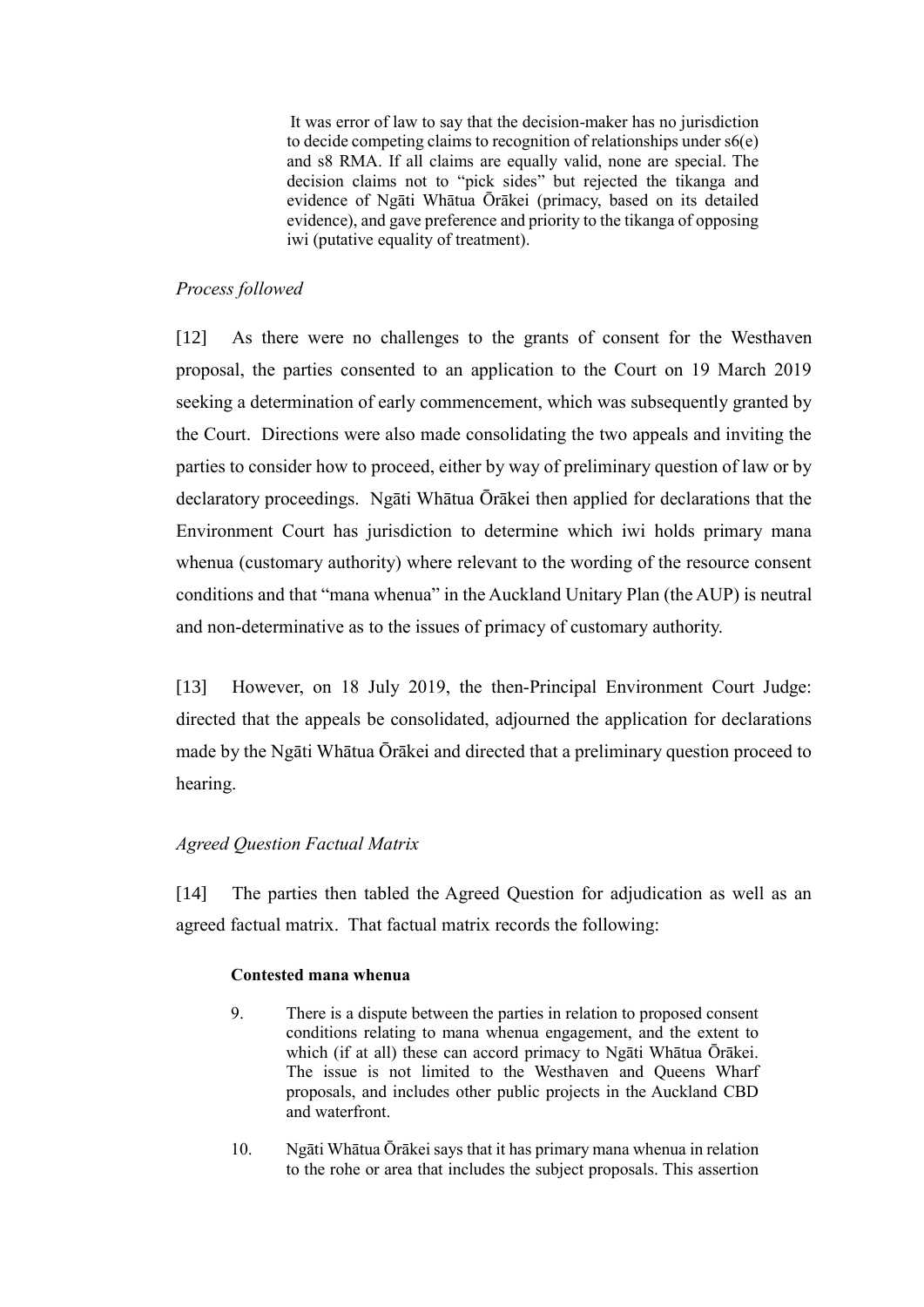It was error of law to say that the decision-maker has no jurisdiction to decide competing claims to recognition of relationships under  $s6(e)$ and s8 RMA. If all claims are equally valid, none are special. The decision claims not to "pick sides" but rejected the tikanga and evidence of Ngāti Whātua Ōrākei (primacy, based on its detailed evidence), and gave preference and priority to the tikanga of opposing iwi (putative equality of treatment).

### *Process followed*

[12] As there were no challenges to the grants of consent for the Westhaven proposal, the parties consented to an application to the Court on 19 March 2019 seeking a determination of early commencement, which was subsequently granted by the Court. Directions were also made consolidating the two appeals and inviting the parties to consider how to proceed, either by way of preliminary question of law or by declaratory proceedings. Ngāti Whātua Ōrākei then applied for declarations that the Environment Court has jurisdiction to determine which iwi holds primary mana whenua (customary authority) where relevant to the wording of the resource consent conditions and that "mana whenua" in the Auckland Unitary Plan (the AUP) is neutral and non-determinative as to the issues of primacy of customary authority.

[13] However, on 18 July 2019, the then-Principal Environment Court Judge: directed that the appeals be consolidated, adjourned the application for declarations made by the Ngāti Whātua Ōrākei and directed that a preliminary question proceed to hearing.

### *Agreed Question Factual Matrix*

[14] The parties then tabled the Agreed Question for adjudication as well as an agreed factual matrix. That factual matrix records the following:

### **Contested mana whenua**

- 9. There is a dispute between the parties in relation to proposed consent conditions relating to mana whenua engagement, and the extent to which (if at all) these can accord primacy to Ngāti Whātua Ōrākei. The issue is not limited to the Westhaven and Queens Wharf proposals, and includes other public projects in the Auckland CBD and waterfront.
- 10. Ngāti Whātua Ōrākei says that it has primary mana whenua in relation to the rohe or area that includes the subject proposals. This assertion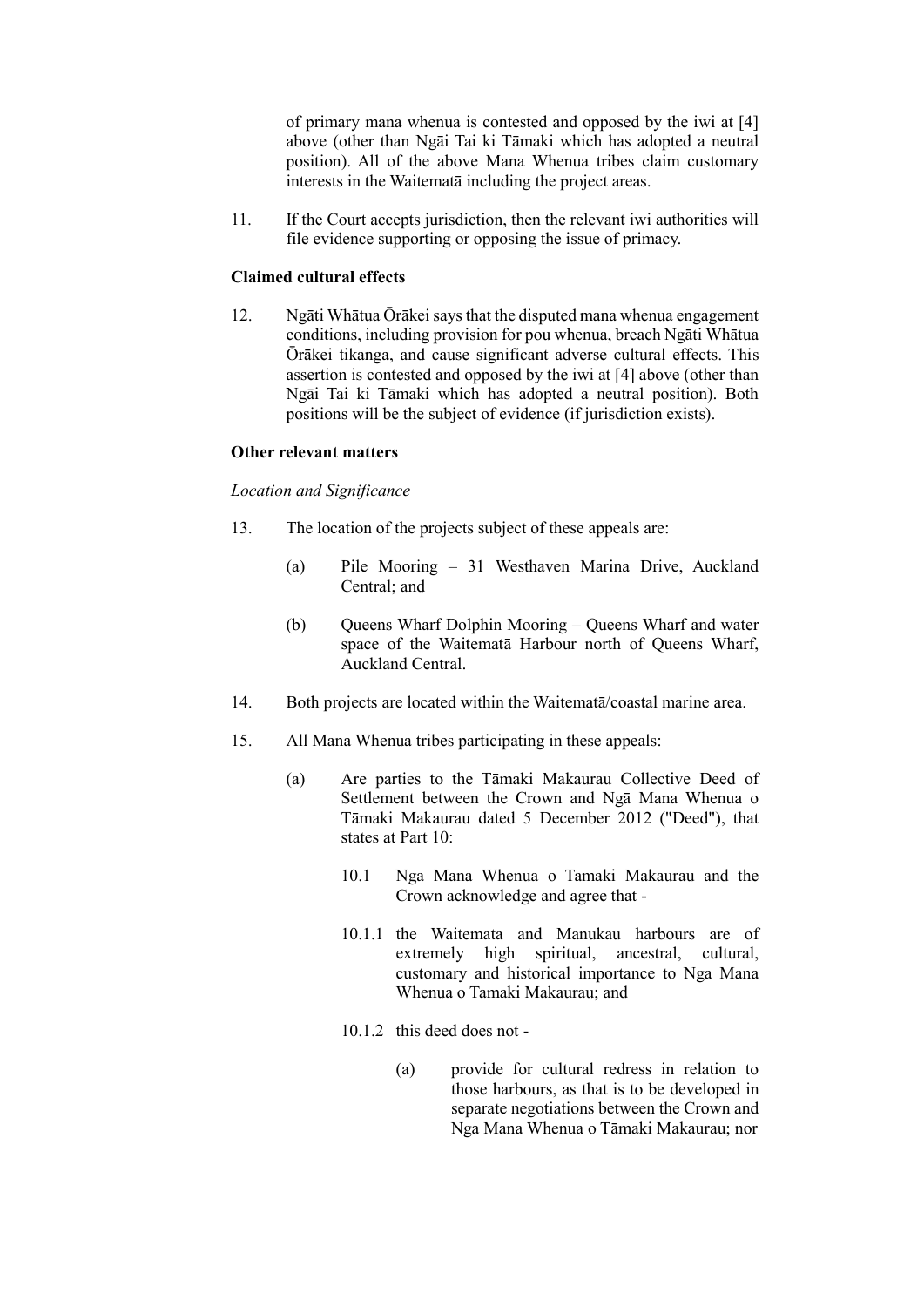of primary mana whenua is contested and opposed by the iwi at [4] above (other than Ngāi Tai ki Tāmaki which has adopted a neutral position). All of the above Mana Whenua tribes claim customary interests in the Waitematā including the project areas.

11. If the Court accepts jurisdiction, then the relevant iwi authorities will file evidence supporting or opposing the issue of primacy.

#### **Claimed cultural effects**

12. Ngāti Whātua Ōrākei says that the disputed mana whenua engagement conditions, including provision for pou whenua, breach Ngāti Whātua Ōrākei tikanga, and cause significant adverse cultural effects. This assertion is contested and opposed by the iwi at [4] above (other than Ngāi Tai ki Tāmaki which has adopted a neutral position). Both positions will be the subject of evidence (if jurisdiction exists).

#### **Other relevant matters**

#### *Location and Significance*

- 13. The location of the projects subject of these appeals are:
	- (a) Pile Mooring 31 Westhaven Marina Drive, Auckland Central; and
	- (b) Queens Wharf Dolphin Mooring Queens Wharf and water space of the Waitematā Harbour north of Queens Wharf, Auckland Central.
- 14. Both projects are located within the Waitematā/coastal marine area.
- 15. All Mana Whenua tribes participating in these appeals:
	- (a) Are parties to the Tāmaki Makaurau Collective Deed of Settlement between the Crown and Ngā Mana Whenua o Tāmaki Makaurau dated 5 December 2012 ("Deed"), that states at Part 10:
		- 10.1 Nga Mana Whenua o Tamaki Makaurau and the Crown acknowledge and agree that -
		- 10.1.1 the Waitemata and Manukau harbours are of extremely high spiritual, ancestral, cultural, customary and historical importance to Nga Mana Whenua o Tamaki Makaurau; and
		- 10.1.2 this deed does not
			- (a) provide for cultural redress in relation to those harbours, as that is to be developed in separate negotiations between the Crown and Nga Mana Whenua o Tāmaki Makaurau; nor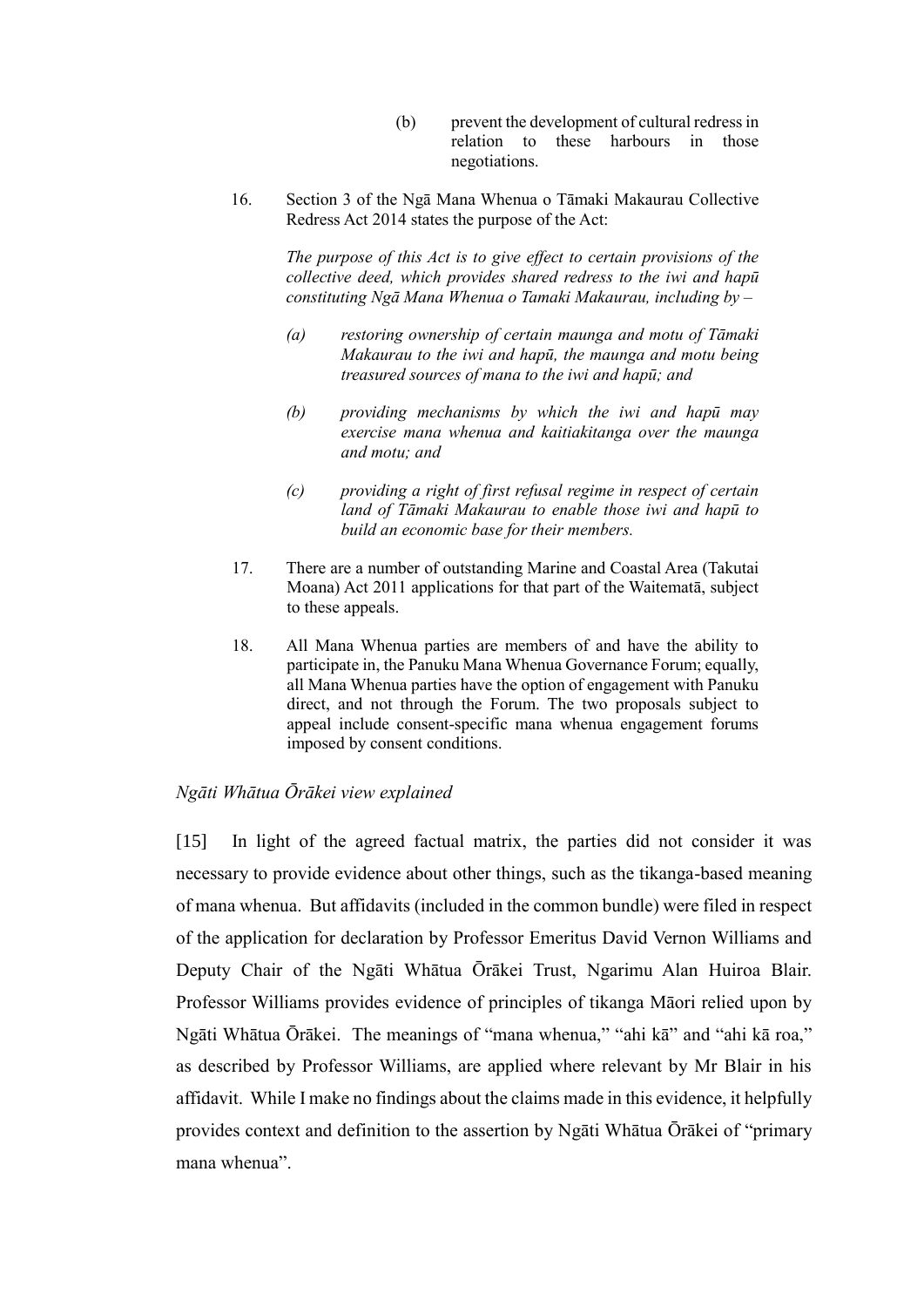- (b) prevent the development of cultural redress in relation to these harbours in those negotiations.
- 16. Section 3 of the Ngā Mana Whenua o Tāmaki Makaurau Collective Redress Act 2014 states the purpose of the Act:

*The purpose of this Act is to give effect to certain provisions of the collective deed, which provides shared redress to the iwi and hapū constituting Ngā Mana Whenua o Tamaki Makaurau, including by –*

- *(a) restoring ownership of certain maunga and motu of Tāmaki Makaurau to the iwi and hapū, the maunga and motu being treasured sources of mana to the iwi and hapū; and*
- *(b) providing mechanisms by which the iwi and hapū may exercise mana whenua and kaitiakitanga over the maunga and motu; and*
- *(c) providing a right of first refusal regime in respect of certain land of Tāmaki Makaurau to enable those iwi and hapū to build an economic base for their members.*
- 17. There are a number of outstanding Marine and Coastal Area (Takutai Moana) Act 2011 applications for that part of the Waitematā, subject to these appeals.
- 18. All Mana Whenua parties are members of and have the ability to participate in, the Panuku Mana Whenua Governance Forum; equally, all Mana Whenua parties have the option of engagement with Panuku direct, and not through the Forum. The two proposals subject to appeal include consent-specific mana whenua engagement forums imposed by consent conditions.

### *Ngāti Whātua Ōrākei view explained*

[15] In light of the agreed factual matrix, the parties did not consider it was necessary to provide evidence about other things, such as the tikanga-based meaning of mana whenua. But affidavits (included in the common bundle) were filed in respect of the application for declaration by Professor Emeritus David Vernon Williams and Deputy Chair of the Ngāti Whātua Ōrākei Trust, Ngarimu Alan Huiroa Blair. Professor Williams provides evidence of principles of tikanga Māori relied upon by Ngāti Whātua Ōrākei. The meanings of "mana whenua," "ahi kā" and "ahi kā roa," as described by Professor Williams, are applied where relevant by Mr Blair in his affidavit. While I make no findings about the claims made in this evidence, it helpfully provides context and definition to the assertion by Ngāti Whātua Ōrākei of "primary mana whenua".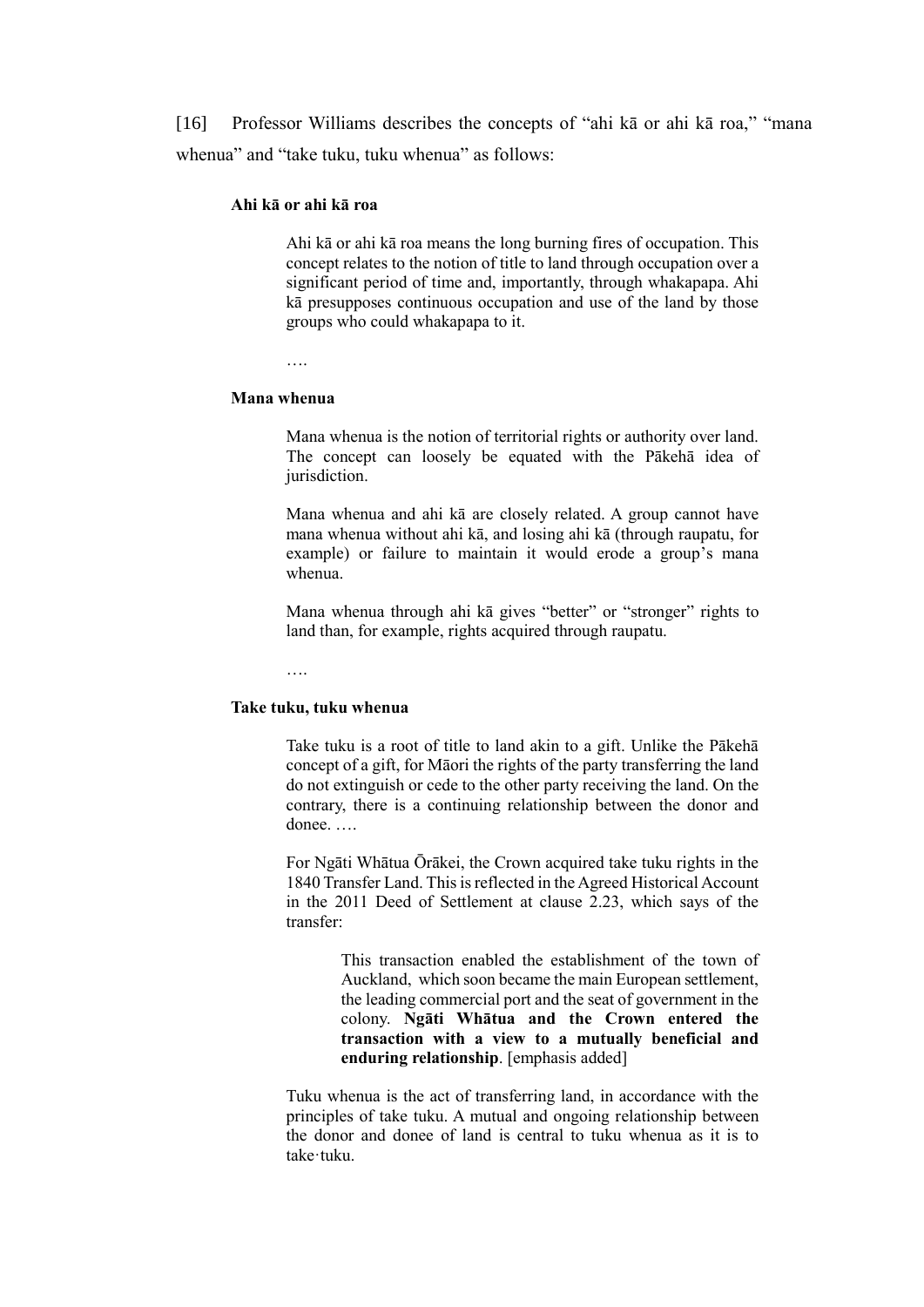[16] Professor Williams describes the concepts of "ahi kā or ahi kā roa," "mana whenua" and "take tuku, tuku whenua" as follows:

#### **Ahi kā or ahi kā roa**

Ahi kā or ahi kā roa means the long burning fires of occupation. This concept relates to the notion of title to land through occupation over a significant period of time and, importantly, through whakapapa. Ahi kā presupposes continuous occupation and use of the land by those groups who could whakapapa to it.

….

#### **Mana whenua**

Mana whenua is the notion of territorial rights or authority over land. The concept can loosely be equated with the Pākehā idea of jurisdiction.

Mana whenua and ahi kā are closely related. A group cannot have mana whenua without ahi kā, and losing ahi kā (through raupatu, for example) or failure to maintain it would erode a group's mana whenua.

Mana whenua through ahi kā gives "better" or "stronger" rights to land than, for example, rights acquired through raupatu.

….

### **Take tuku, tuku whenua**

Take tuku is a root of title to land akin to a gift. Unlike the Pākehā concept of a gift, for Māori the rights of the party transferring the land do not extinguish or cede to the other party receiving the land. On the contrary, there is a continuing relationship between the donor and donee. ….

For Ngāti Whātua Ōrākei, the Crown acquired take tuku rights in the 1840 Transfer Land. This is reflected in the Agreed Historical Account in the 2011 Deed of Settlement at clause 2.23, which says of the transfer:

> This transaction enabled the establishment of the town of Auckland, which soon became the main European settlement, the leading commercial port and the seat of government in the colony. **Ngāti Whātua and the Crown entered the transaction with a view to a mutually beneficial and enduring relationship**. [emphasis added]

Tuku whenua is the act of transferring land, in accordance with the principles of take tuku. A mutual and ongoing relationship between the donor and donee of land is central to tuku whenua as it is to take·tuku.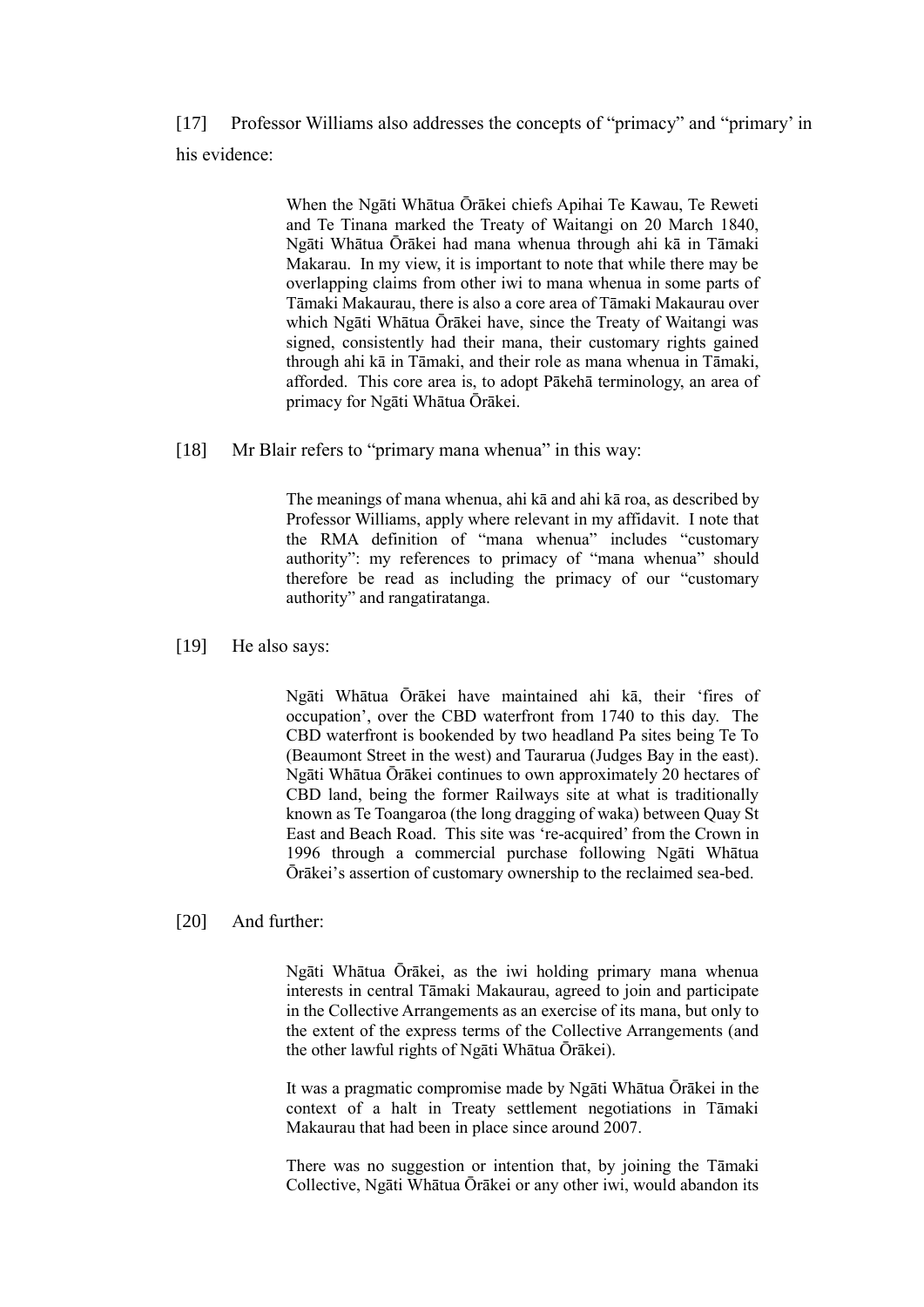[17] Professor Williams also addresses the concepts of "primacy" and "primary' in his evidence:

> When the Ngāti Whātua Ōrākei chiefs Apihai Te Kawau, Te Reweti and Te Tinana marked the Treaty of Waitangi on 20 March 1840, Ngāti Whātua Ōrākei had mana whenua through ahi kā in Tāmaki Makarau. In my view, it is important to note that while there may be overlapping claims from other iwi to mana whenua in some parts of Tāmaki Makaurau, there is also a core area of Tāmaki Makaurau over which Ngāti Whātua Ōrākei have, since the Treaty of Waitangi was signed, consistently had their mana, their customary rights gained through ahi kā in Tāmaki, and their role as mana whenua in Tāmaki, afforded. This core area is, to adopt Pākehā terminology, an area of primacy for Ngāti Whātua Ōrākei.

#### [18] Mr Blair refers to "primary mana whenua" in this way:

The meanings of mana whenua, ahi kā and ahi kā roa, as described by Professor Williams, apply where relevant in my affidavit. I note that the RMA definition of "mana whenua" includes "customary authority": my references to primacy of "mana whenua" should therefore be read as including the primacy of our "customary authority" and rangatiratanga.

[19] He also says:

Ngāti Whātua Ōrākei have maintained ahi kā, their 'fires of occupation', over the CBD waterfront from 1740 to this day. The CBD waterfront is bookended by two headland Pa sites being Te To (Beaumont Street in the west) and Taurarua (Judges Bay in the east). Ngāti Whātua Ōrākei continues to own approximately 20 hectares of CBD land, being the former Railways site at what is traditionally known as Te Toangaroa (the long dragging of waka) between Quay St East and Beach Road. This site was 're-acquired' from the Crown in 1996 through a commercial purchase following Ngāti Whātua Ōrākei's assertion of customary ownership to the reclaimed sea-bed.

### [20] And further:

Ngāti Whātua Ōrākei, as the iwi holding primary mana whenua interests in central Tāmaki Makaurau, agreed to join and participate in the Collective Arrangements as an exercise of its mana, but only to the extent of the express terms of the Collective Arrangements (and the other lawful rights of Ngāti Whātua Ōrākei).

It was a pragmatic compromise made by Ngāti Whātua Ōrākei in the context of a halt in Treaty settlement negotiations in Tāmaki Makaurau that had been in place since around 2007.

There was no suggestion or intention that, by joining the Tāmaki Collective, Ngāti Whātua Ōrākei or any other iwi, would abandon its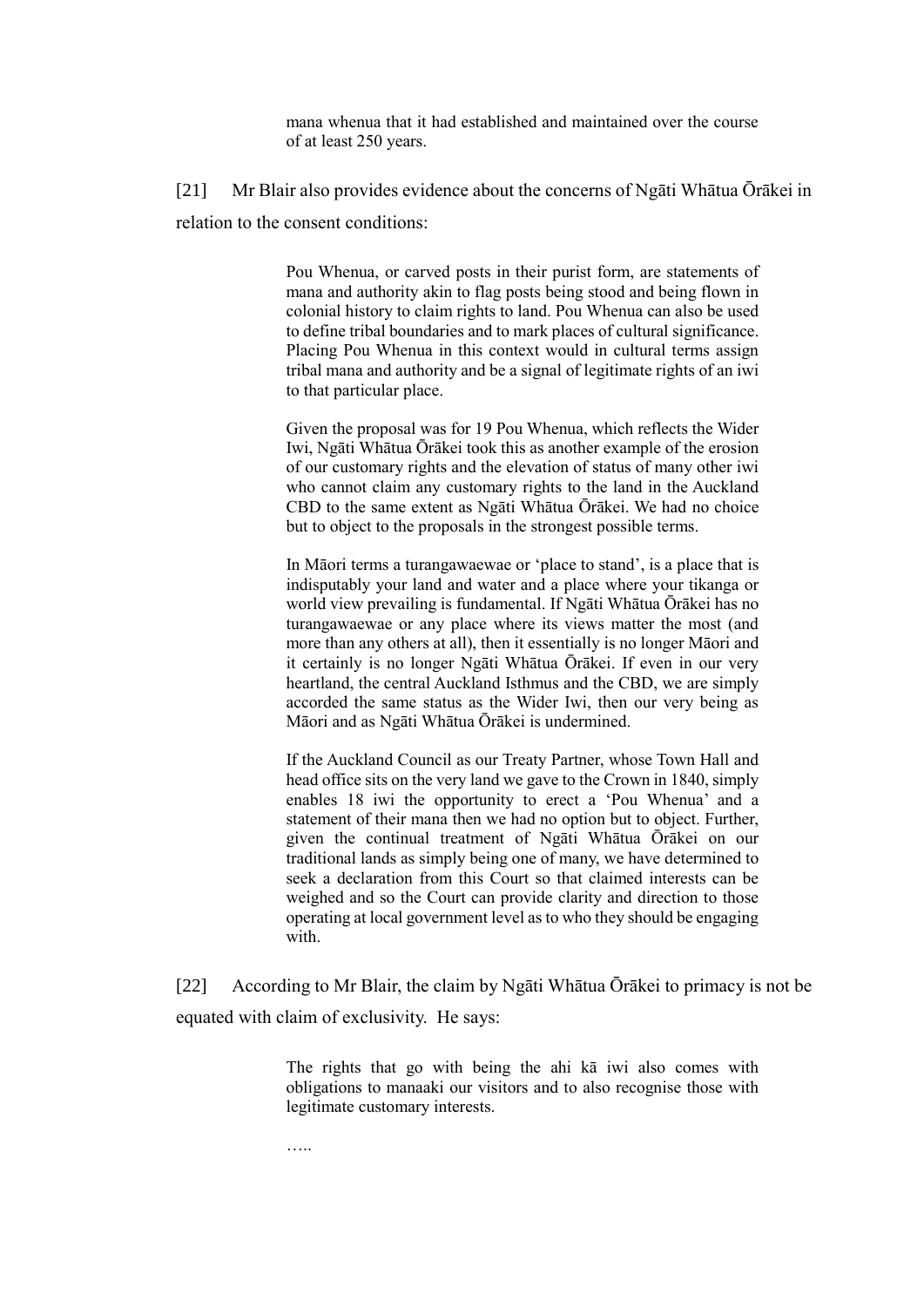mana whenua that it had established and maintained over the course of at least 250 years.

[21] Mr Blair also provides evidence about the concerns of Ngāti Whātua Ōrākei in relation to the consent conditions:

> Pou Whenua, or carved posts in their purist form, are statements of mana and authority akin to flag posts being stood and being flown in colonial history to claim rights to land. Pou Whenua can also be used to define tribal boundaries and to mark places of cultural significance. Placing Pou Whenua in this context would in cultural terms assign tribal mana and authority and be a signal of legitimate rights of an iwi to that particular place.

> Given the proposal was for 19 Pou Whenua, which reflects the Wider Iwi, Ngāti Whātua Ōrākei took this as another example of the erosion of our customary rights and the elevation of status of many other iwi who cannot claim any customary rights to the land in the Auckland CBD to the same extent as Ngāti Whātua Ōrākei. We had no choice but to object to the proposals in the strongest possible terms.

> In Māori terms a turangawaewae or 'place to stand', is a place that is indisputably your land and water and a place where your tikanga or world view prevailing is fundamental. If Ngāti Whātua Ōrākei has no turangawaewae or any place where its views matter the most (and more than any others at all), then it essentially is no longer Māori and it certainly is no longer Ngāti Whātua Ōrākei. If even in our very heartland, the central Auckland Isthmus and the CBD, we are simply accorded the same status as the Wider Iwi, then our very being as Māori and as Ngāti Whātua Ōrākei is undermined.

> If the Auckland Council as our Treaty Partner, whose Town Hall and head office sits on the very land we gave to the Crown in 1840, simply enables 18 iwi the opportunity to erect a 'Pou Whenua' and a statement of their mana then we had no option but to object. Further, given the continual treatment of Ngāti Whātua Ōrākei on our traditional lands as simply being one of many, we have determined to seek a declaration from this Court so that claimed interests can be weighed and so the Court can provide clarity and direction to those operating at local government level as to who they should be engaging with.

[22] According to Mr Blair, the claim by Ngāti Whātua Ōrākei to primacy is not be equated with claim of exclusivity. He says:

> The rights that go with being the ahi kā iwi also comes with obligations to manaaki our visitors and to also recognise those with legitimate customary interests.

…..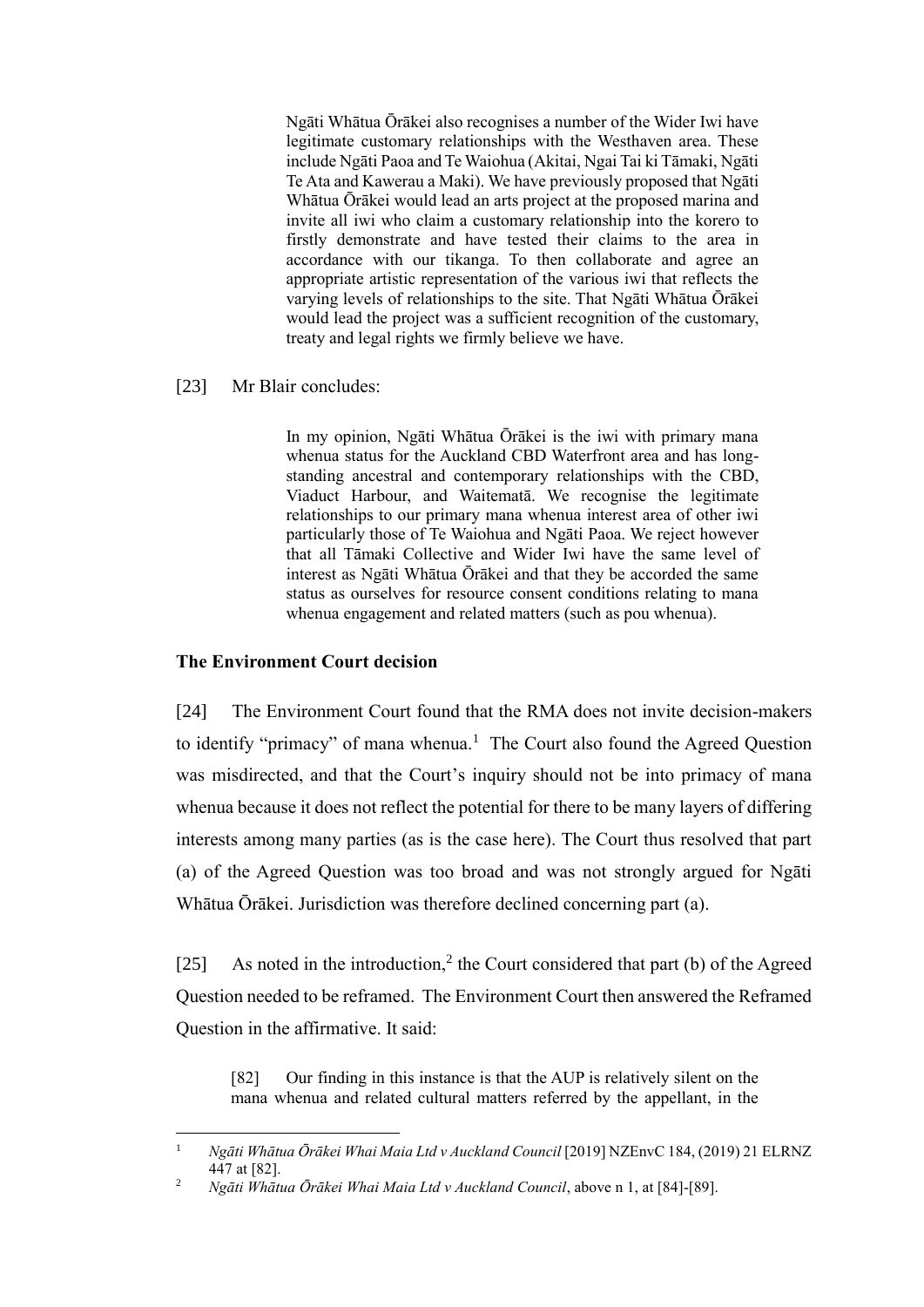Ngāti Whātua Ōrākei also recognises a number of the Wider Iwi have legitimate customary relationships with the Westhaven area. These include Ngāti Paoa and Te Waiohua (Akitai, Ngai Tai ki Tāmaki, Ngāti Te Ata and Kawerau a Maki). We have previously proposed that Ngāti Whātua Ōrākei would lead an arts project at the proposed marina and invite all iwi who claim a customary relationship into the korero to firstly demonstrate and have tested their claims to the area in accordance with our tikanga. To then collaborate and agree an appropriate artistic representation of the various iwi that reflects the varying levels of relationships to the site. That Ngāti Whātua Ōrākei would lead the project was a sufficient recognition of the customary, treaty and legal rights we firmly believe we have.

### [23] Mr Blair concludes:

In my opinion, Ngāti Whātua Ōrākei is the iwi with primary mana whenua status for the Auckland CBD Waterfront area and has longstanding ancestral and contemporary relationships with the CBD, Viaduct Harbour, and Waitematā. We recognise the legitimate relationships to our primary mana whenua interest area of other iwi particularly those of Te Waiohua and Ngāti Paoa. We reject however that all Tāmaki Collective and Wider Iwi have the same level of interest as Ngāti Whātua Ōrākei and that they be accorded the same status as ourselves for resource consent conditions relating to mana whenua engagement and related matters (such as pou whenua).

### **The Environment Court decision**

 $\overline{a}$ 

[24] The Environment Court found that the RMA does not invite decision-makers to identify "primacy" of mana whenua.<sup>1</sup> The Court also found the Agreed Question was misdirected, and that the Court's inquiry should not be into primacy of mana whenua because it does not reflect the potential for there to be many layers of differing interests among many parties (as is the case here). The Court thus resolved that part (a) of the Agreed Question was too broad and was not strongly argued for Ngāti Whātua Ōrākei. Jurisdiction was therefore declined concerning part (a).

[25] As noted in the introduction,<sup>2</sup> the Court considered that part (b) of the Agreed Question needed to be reframed. The Environment Court then answered the Reframed Question in the affirmative. It said:

[82] Our finding in this instance is that the AUP is relatively silent on the mana whenua and related cultural matters referred by the appellant, in the

<sup>1</sup> *Ngāti Whātua Ōrākei Whai Maia Ltd v Auckland Council* [2019] NZEnvC 184, (2019) 21 ELRNZ 447 at [82].

<sup>2</sup> *Ngāti Whātua Ōrākei Whai Maia Ltd v Auckland Council*, above n 1, at [84]-[89].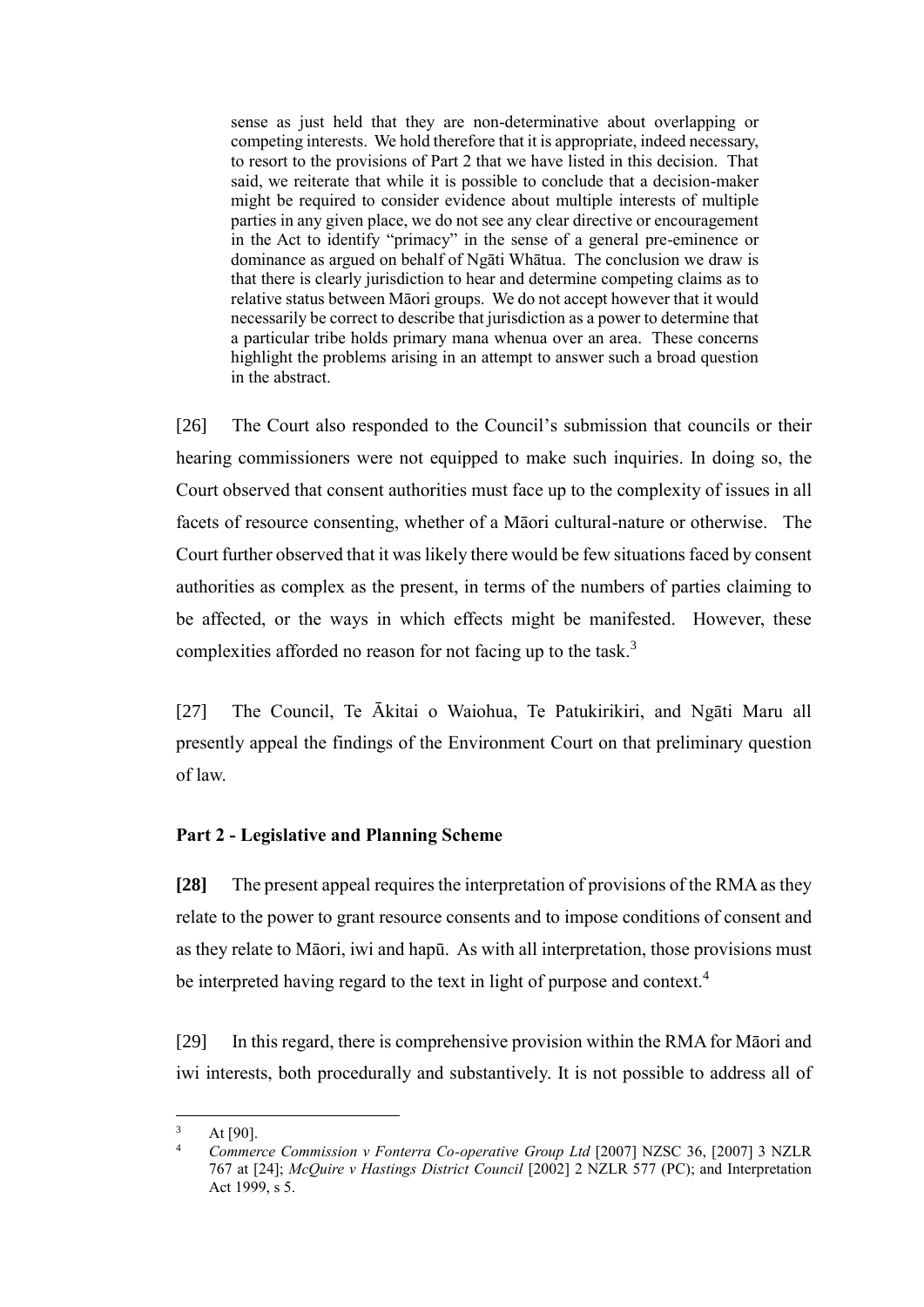sense as just held that they are non-determinative about overlapping or competing interests. We hold therefore that it is appropriate, indeed necessary, to resort to the provisions of Part 2 that we have listed in this decision. That said, we reiterate that while it is possible to conclude that a decision-maker might be required to consider evidence about multiple interests of multiple parties in any given place, we do not see any clear directive or encouragement in the Act to identify "primacy" in the sense of a general pre-eminence or dominance as argued on behalf of Ngāti Whātua. The conclusion we draw is that there is clearly jurisdiction to hear and determine competing claims as to relative status between Māori groups. We do not accept however that it would necessarily be correct to describe that jurisdiction as a power to determine that a particular tribe holds primary mana whenua over an area. These concerns highlight the problems arising in an attempt to answer such a broad question in the abstract.

[26] The Court also responded to the Council's submission that councils or their hearing commissioners were not equipped to make such inquiries. In doing so, the Court observed that consent authorities must face up to the complexity of issues in all facets of resource consenting, whether of a Māori cultural-nature or otherwise. The Court further observed that it was likely there would be few situations faced by consent authorities as complex as the present, in terms of the numbers of parties claiming to be affected, or the ways in which effects might be manifested. However, these complexities afforded no reason for not facing up to the task. $3$ 

[27] The Council, Te Ākitai o Waiohua, Te Patukirikiri, and Ngāti Maru all presently appeal the findings of the Environment Court on that preliminary question of law.

### **Part 2 - Legislative and Planning Scheme**

**[28]** The present appeal requires the interpretation of provisions of the RMA as they relate to the power to grant resource consents and to impose conditions of consent and as they relate to Māori, iwi and hapū. As with all interpretation, those provisions must be interpreted having regard to the text in light of purpose and context.<sup>4</sup>

[29] In this regard, there is comprehensive provision within the RMA for Māori and iwi interests, both procedurally and substantively. It is not possible to address all of

 $3$  At [90].

<sup>4</sup> *Commerce Commission v Fonterra Co-operative Group Ltd* [2007] NZSC 36, [2007] 3 NZLR 767 at [24]; *McQuire v Hastings District Council* [2002] 2 NZLR 577 (PC); and Interpretation Act 1999, s 5.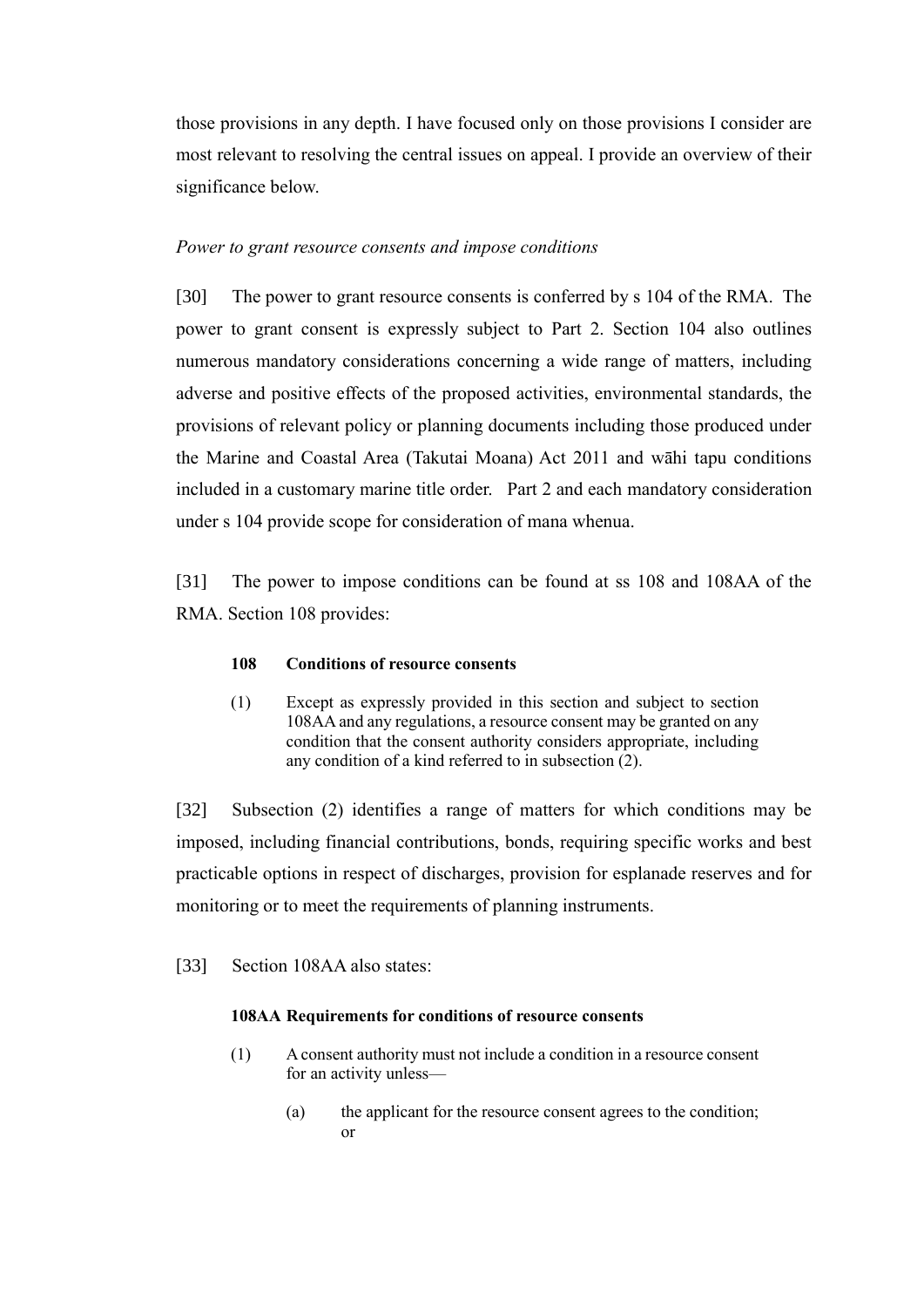those provisions in any depth. I have focused only on those provisions I consider are most relevant to resolving the central issues on appeal. I provide an overview of their significance below.

#### *Power to grant resource consents and impose conditions*

[30] The power to grant resource consents is conferred by s 104 of the RMA. The power to grant consent is expressly subject to Part 2. Section 104 also outlines numerous mandatory considerations concerning a wide range of matters, including adverse and positive effects of the proposed activities, environmental standards, the provisions of relevant policy or planning documents including those produced under the Marine and Coastal Area (Takutai Moana) Act 2011 and wāhi tapu conditions included in a customary marine title order. Part 2 and each mandatory consideration under s 104 provide scope for consideration of mana whenua.

[31] The power to impose conditions can be found at ss 108 and 108AA of the RMA. Section 108 provides:

#### **108 Conditions of resource consents**

(1) Except as expressly provided in this section and subject to section 108AA and any regulations, a resource consent may be granted on any condition that the consent authority considers appropriate, including any condition of a kind referred to in subsection (2).

[32] Subsection (2) identifies a range of matters for which conditions may be imposed, including financial contributions, bonds, requiring specific works and best practicable options in respect of discharges, provision for esplanade reserves and for monitoring or to meet the requirements of planning instruments.

[33] Section 108AA also states:

### **108AA Requirements for conditions of resource consents**

- (1) A consent authority must not include a condition in a resource consent for an activity unless—
	- (a) the applicant for the resource consent agrees to the condition; or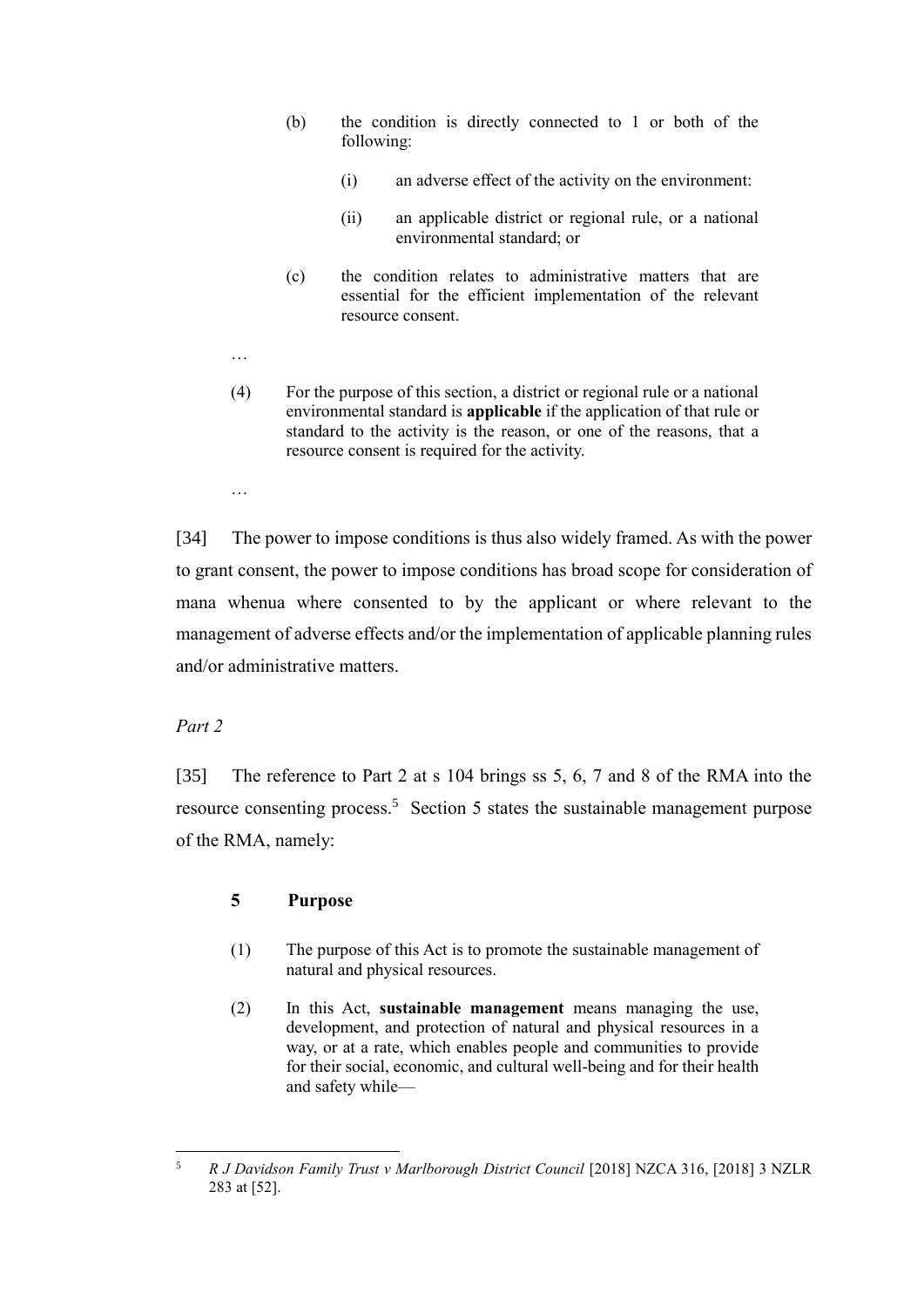- (b) the condition is directly connected to 1 or both of the following:
	- (i) an adverse effect of the activity on the environment:
	- (ii) an applicable district or regional rule, or a national environmental standard; or
- (c) the condition relates to administrative matters that are essential for the efficient implementation of the relevant resource consent.
- …
- (4) For the purpose of this section, a district or regional rule or a national environmental standard is **applicable** if the application of that rule or standard to the activity is the reason, or one of the reasons, that a resource consent is required for the activity.
- …

[34] The power to impose conditions is thus also widely framed. As with the power to grant consent, the power to impose conditions has broad scope for consideration of mana whenua where consented to by the applicant or where relevant to the management of adverse effects and/or the implementation of applicable planning rules and/or administrative matters.

### *Part 2*

[35] The reference to Part 2 at s 104 brings ss 5, 6, 7 and 8 of the RMA into the resource consenting process.<sup>5</sup> Section 5 states the sustainable management purpose of the RMA, namely:

### **5 Purpose**

- (1) The purpose of this Act is to promote the sustainable management of natural and physical resources.
- (2) In this Act, **sustainable management** means managing the use, development, and protection of natural and physical resources in a way, or at a rate, which enables people and communities to provide for their social, economic, and cultural well-being and for their health and safety while—

 $\sqrt{5}$ <sup>5</sup> *R J Davidson Family Trust v Marlborough District Council* [2018] NZCA 316, [2018] 3 NZLR 283 at [52].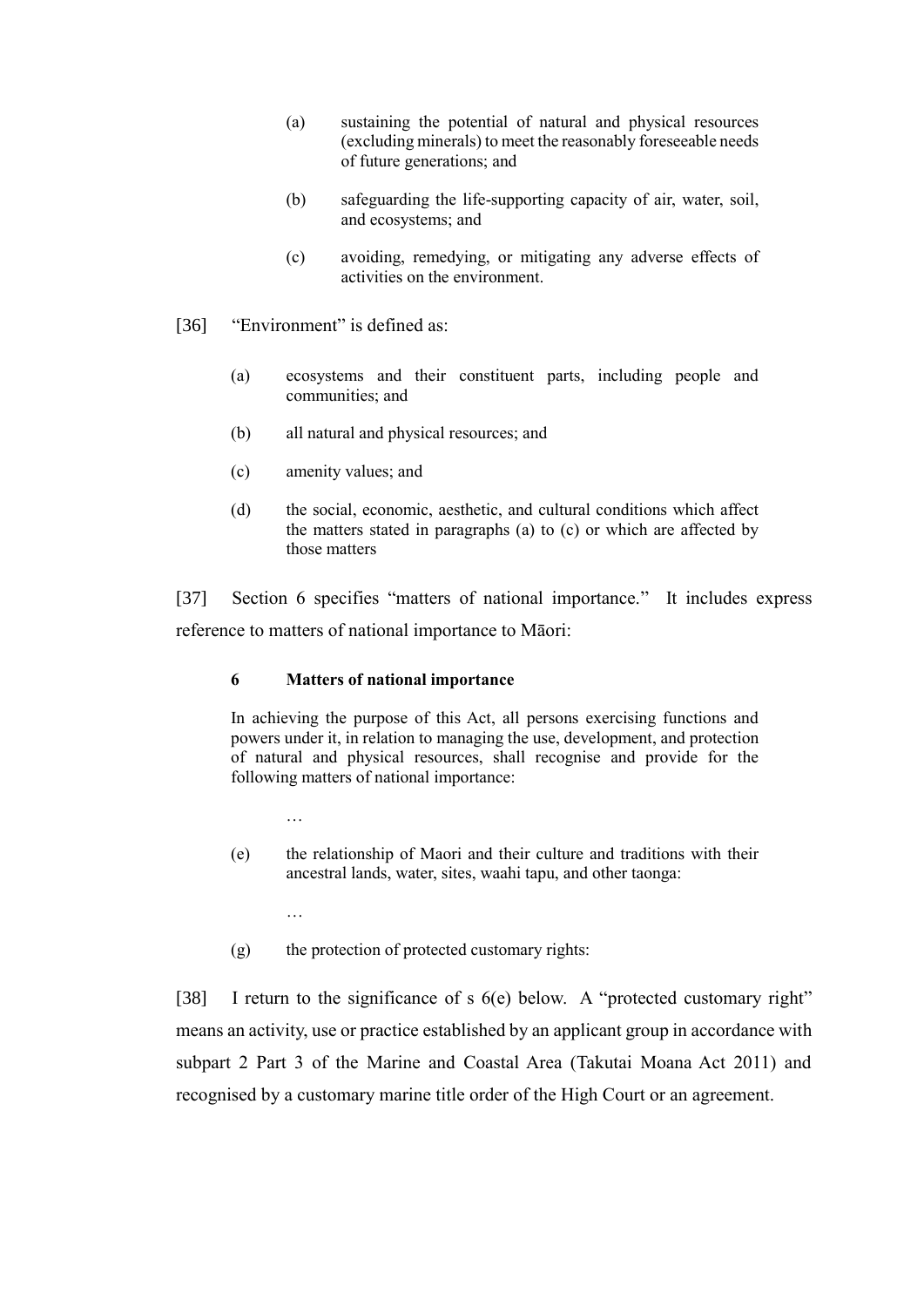- (a) sustaining the potential of natural and physical resources (excluding minerals) to meet the reasonably foreseeable needs of future generations; and
- (b) safeguarding the life-supporting capacity of air, water, soil, and ecosystems; and
- (c) avoiding, remedying, or mitigating any adverse effects of activities on the environment.
- [36] "Environment" is defined as:
	- (a) ecosystems and their constituent parts, including people and communities; and
	- (b) all natural and physical resources; and
	- (c) amenity values; and
	- (d) the social, economic, aesthetic, and cultural conditions which affect the matters stated in paragraphs (a) to (c) or which are affected by those matters

[37] Section 6 specifies "matters of national importance." It includes express reference to matters of national importance to Māori:

### **6 Matters of national importance**

In achieving the purpose of this Act, all persons exercising functions and powers under it, in relation to managing the use, development, and protection of natural and physical resources, shall recognise and provide for the following matters of national importance:

- …
- (e) the relationship of Maori and their culture and traditions with their ancestral lands, water, sites, waahi tapu, and other taonga:
	- …
- (g) the protection of protected customary rights:

[38] I return to the significance of s 6(e) below. A "protected customary right" means an activity, use or practice established by an applicant group in accordance with subpart 2 Part 3 of the Marine and Coastal Area (Takutai Moana Act 2011) and recognised by a customary marine title order of the High Court or an agreement.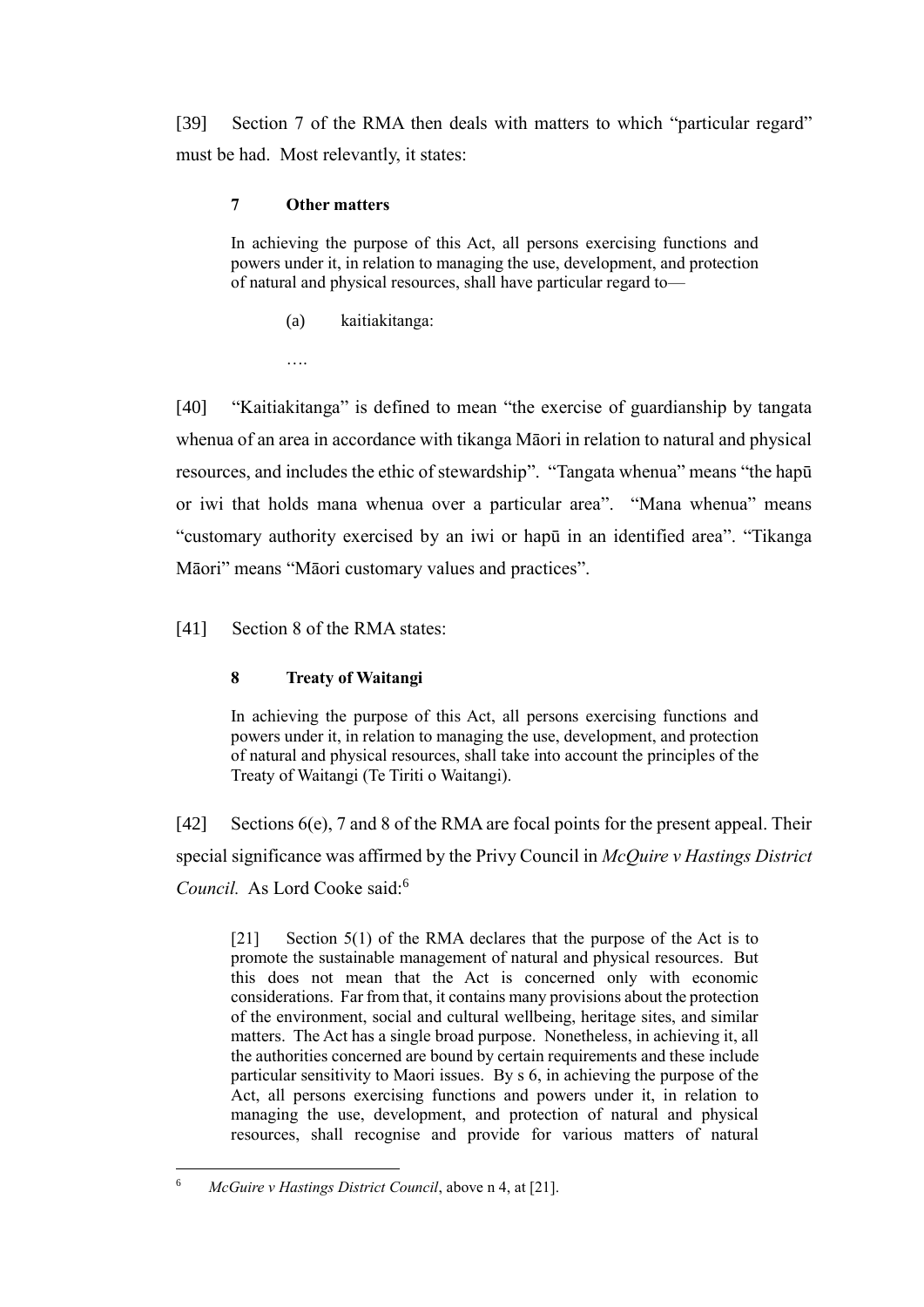[39] Section 7 of the RMA then deals with matters to which "particular regard" must be had. Most relevantly, it states:

# **7 Other matters**

In achieving the purpose of this Act, all persons exercising functions and powers under it, in relation to managing the use, development, and protection of natural and physical resources, shall have particular regard to—

(a) kaitiakitanga:

….

[40] "Kaitiakitanga" is defined to mean "the exercise of guardianship by tangata whenua of an area in accordance with tikanga Māori in relation to natural and physical resources, and includes the ethic of stewardship". "Tangata whenua" means "the hapū or iwi that holds mana whenua over a particular area". "Mana whenua" means "customary authority exercised by an iwi or hapū in an identified area". "Tikanga Māori" means "Māori customary values and practices".

[41] Section 8 of the RMA states:

# **8 Treaty of Waitangi**

In achieving the purpose of this Act, all persons exercising functions and powers under it, in relation to managing the use, development, and protection of natural and physical resources, shall take into account the principles of the Treaty of Waitangi (Te Tiriti o Waitangi).

 $[42]$  Sections 6(e), 7 and 8 of the RMA are focal points for the present appeal. Their special significance was affirmed by the Privy Council in *McQuire v Hastings District Council.* As Lord Cooke said:<sup>6</sup>

[21] Section 5(1) of the RMA declares that the purpose of the Act is to promote the sustainable management of natural and physical resources. But this does not mean that the Act is concerned only with economic considerations. Far from that, it contains many provisions about the protection of the environment, social and cultural wellbeing, heritage sites, and similar matters. The Act has a single broad purpose. Nonetheless, in achieving it, all the authorities concerned are bound by certain requirements and these include particular sensitivity to Maori issues. By s 6, in achieving the purpose of the Act, all persons exercising functions and powers under it, in relation to managing the use, development, and protection of natural and physical resources, shall recognise and provide for various matters of natural

 $\overline{a}$ <sup>6</sup> *McGuire v Hastings District Council*, above n 4, at [21].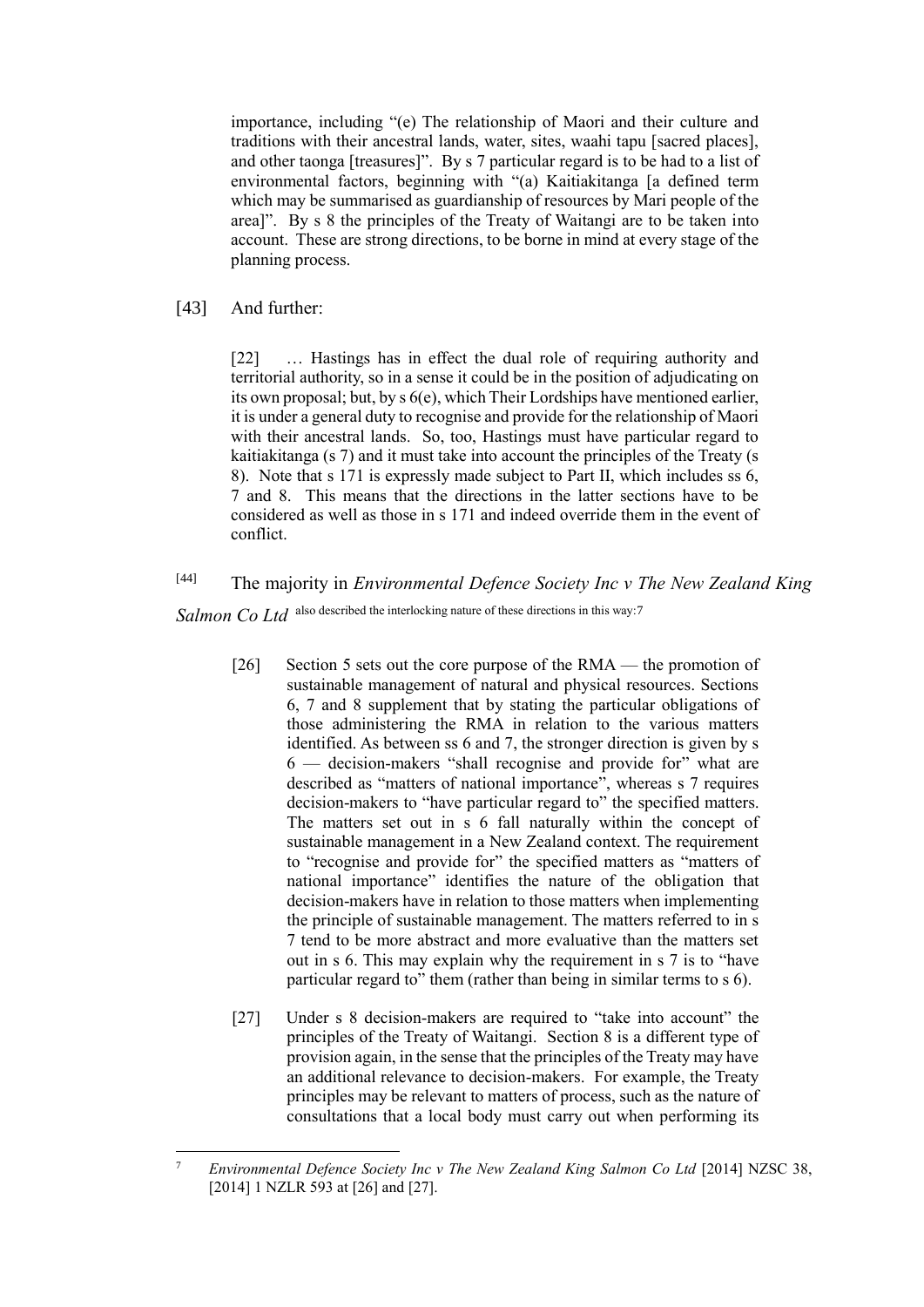importance, including "(e) The relationship of Maori and their culture and traditions with their ancestral lands, water, sites, waahi tapu [sacred places], and other taonga [treasures]". By s 7 particular regard is to be had to a list of environmental factors, beginning with "(a) Kaitiakitanga [a defined term which may be summarised as guardianship of resources by Mari people of the area]". By s 8 the principles of the Treaty of Waitangi are to be taken into account. These are strong directions, to be borne in mind at every stage of the planning process.

### [43] And further:

[22] … Hastings has in effect the dual role of requiring authority and territorial authority, so in a sense it could be in the position of adjudicating on its own proposal; but, by s 6(e), which Their Lordships have mentioned earlier, it is under a general duty to recognise and provide for the relationship of Maori with their ancestral lands. So, too, Hastings must have particular regard to kaitiakitanga (s 7) and it must take into account the principles of the Treaty (s 8). Note that s 171 is expressly made subject to Part II, which includes ss 6, 7 and 8. This means that the directions in the latter sections have to be considered as well as those in s 171 and indeed override them in the event of conflict.

[44] The majority in *Environmental Defence Society Inc v The New Zealand King Salmon Co Ltd* also described the interlocking nature of these directions in this way:7

- [26] Section 5 sets out the core purpose of the RMA the promotion of sustainable management of natural and physical resources. Sections 6, 7 and 8 supplement that by stating the particular obligations of those administering the RMA in relation to the various matters identified. As between ss 6 and 7, the stronger direction is given by s 6 — decision-makers "shall recognise and provide for" what are described as "matters of national importance", whereas s 7 requires decision-makers to "have particular regard to" the specified matters. The matters set out in s 6 fall naturally within the concept of sustainable management in a New Zealand context. The requirement to "recognise and provide for" the specified matters as "matters of national importance" identifies the nature of the obligation that decision-makers have in relation to those matters when implementing the principle of sustainable management. The matters referred to in s 7 tend to be more abstract and more evaluative than the matters set out in s 6. This may explain why the requirement in s 7 is to "have particular regard to" them (rather than being in similar terms to s 6).
- [27] Under s 8 decision-makers are required to "take into account" the principles of the Treaty of Waitangi. Section 8 is a different type of provision again, in the sense that the principles of the Treaty may have an additional relevance to decision-makers. For example, the Treaty principles may be relevant to matters of process, such as the nature of consultations that a local body must carry out when performing its

 $\overline{7}$ <sup>7</sup> *Environmental Defence Society Inc v The New Zealand King Salmon Co Ltd* [2014] NZSC 38, [2014] 1 NZLR 593 at [26] and [27].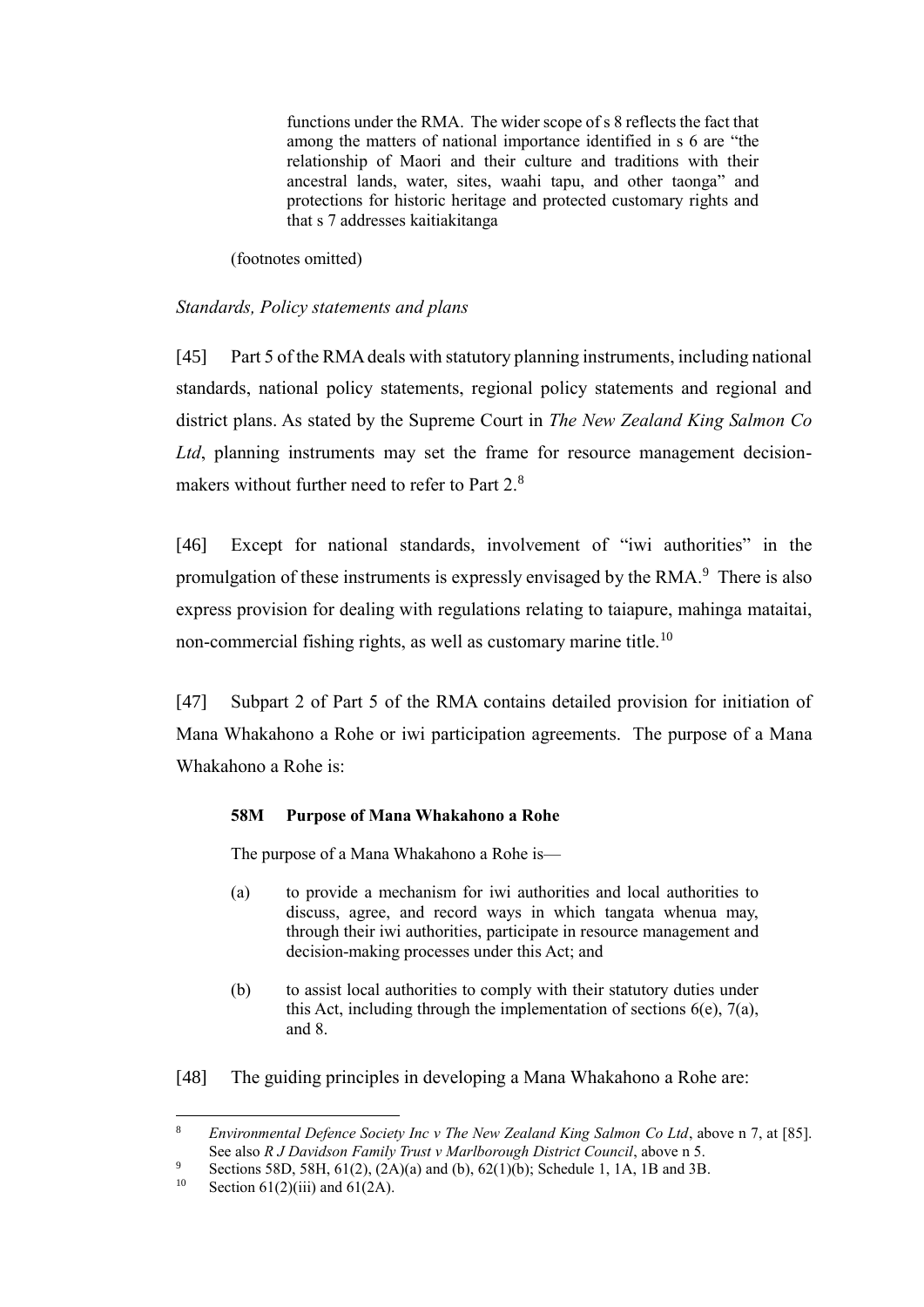functions under the RMA. The wider scope of s 8 reflects the fact that among the matters of national importance identified in s 6 are "the relationship of Maori and their culture and traditions with their ancestral lands, water, sites, waahi tapu, and other taonga" and protections for historic heritage and protected customary rights and that s 7 addresses kaitiakitanga

(footnotes omitted)

# *Standards, Policy statements and plans*

[45] Part 5 of the RMA deals with statutory planning instruments, including national standards, national policy statements, regional policy statements and regional and district plans. As stated by the Supreme Court in *The New Zealand King Salmon Co Ltd*, planning instruments may set the frame for resource management decisionmakers without further need to refer to Part 2.<sup>8</sup>

[46] Except for national standards, involvement of "iwi authorities" in the promulgation of these instruments is expressly envisaged by the RMA.<sup>9</sup> There is also express provision for dealing with regulations relating to taiapure, mahinga mataitai, non-commercial fishing rights, as well as customary marine title.<sup>10</sup>

[47] Subpart 2 of Part 5 of the RMA contains detailed provision for initiation of Mana Whakahono a Rohe or iwi participation agreements. The purpose of a Mana Whakahono a Rohe is:

### **58M Purpose of Mana Whakahono a Rohe**

The purpose of a Mana Whakahono a Rohe is—

- (a) to provide a mechanism for iwi authorities and local authorities to discuss, agree, and record ways in which tangata whenua may, through their iwi authorities, participate in resource management and decision-making processes under this Act; and
- (b) to assist local authorities to comply with their statutory duties under this Act, including through the implementation of sections  $6(e)$ ,  $7(a)$ , and 8.
- [48] The guiding principles in developing a Mana Whakahono a Rohe are:

<sup>8</sup> *Environmental Defence Society Inc v The New Zealand King Salmon Co Ltd*, above n 7, at [85]. See also *R J Davidson Family Trust v Marlborough District Council*, above n 5.

<sup>9</sup> Sections 58D, 58H, 61(2), (2A)(a) and (b), 62(1)(b); Schedule 1, 1A, 1B and 3B.<br>Section 61(2)(iii) and 61(2A)

Section  $61(2)$ (iii) and  $61(2)$ .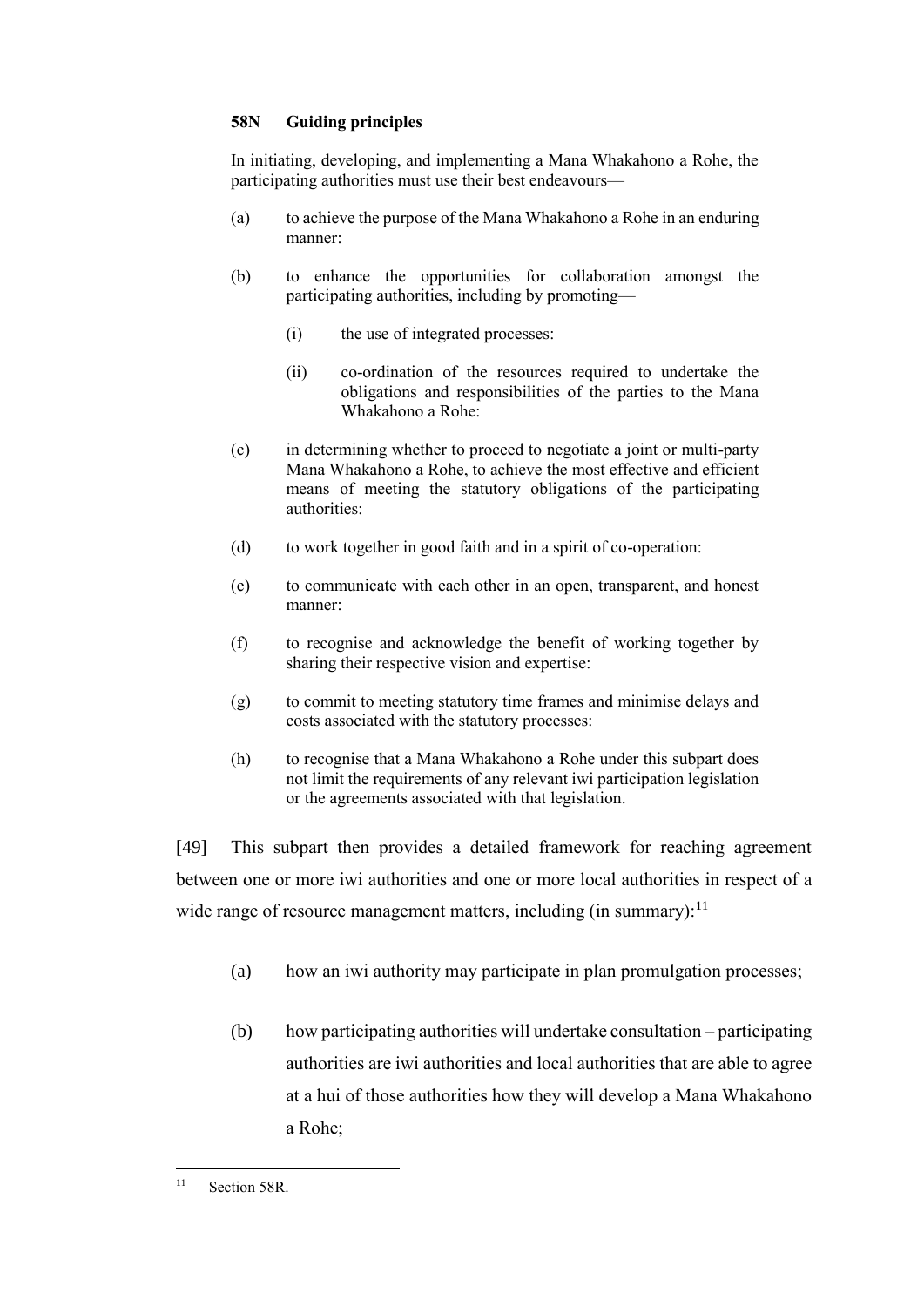### **58N Guiding principles**

In initiating, developing, and implementing a Mana Whakahono a Rohe, the participating authorities must use their best endeavours—

- (a) to achieve the purpose of the Mana Whakahono a Rohe in an enduring manner:
- (b) to enhance the opportunities for collaboration amongst the participating authorities, including by promoting—
	- (i) the use of integrated processes:
	- (ii) co-ordination of the resources required to undertake the obligations and responsibilities of the parties to the Mana Whakahono a Rohe:
- (c) in determining whether to proceed to negotiate a joint or multi-party Mana Whakahono a Rohe, to achieve the most effective and efficient means of meeting the statutory obligations of the participating authorities:
- (d) to work together in good faith and in a spirit of co-operation:
- (e) to communicate with each other in an open, transparent, and honest manner:
- (f) to recognise and acknowledge the benefit of working together by sharing their respective vision and expertise:
- (g) to commit to meeting statutory time frames and minimise delays and costs associated with the statutory processes:
- (h) to recognise that a Mana Whakahono a Rohe under this subpart does not limit the requirements of any relevant iwi participation legislation or the agreements associated with that legislation.

[49] This subpart then provides a detailed framework for reaching agreement between one or more iwi authorities and one or more local authorities in respect of a wide range of resource management matters, including (in summary):  $11$ 

- (a) how an iwi authority may participate in plan promulgation processes;
- (b) how participating authorities will undertake consultation participating authorities are iwi authorities and local authorities that are able to agree at a hui of those authorities how they will develop a Mana Whakahono a Rohe;

<sup>11</sup> Section 58R.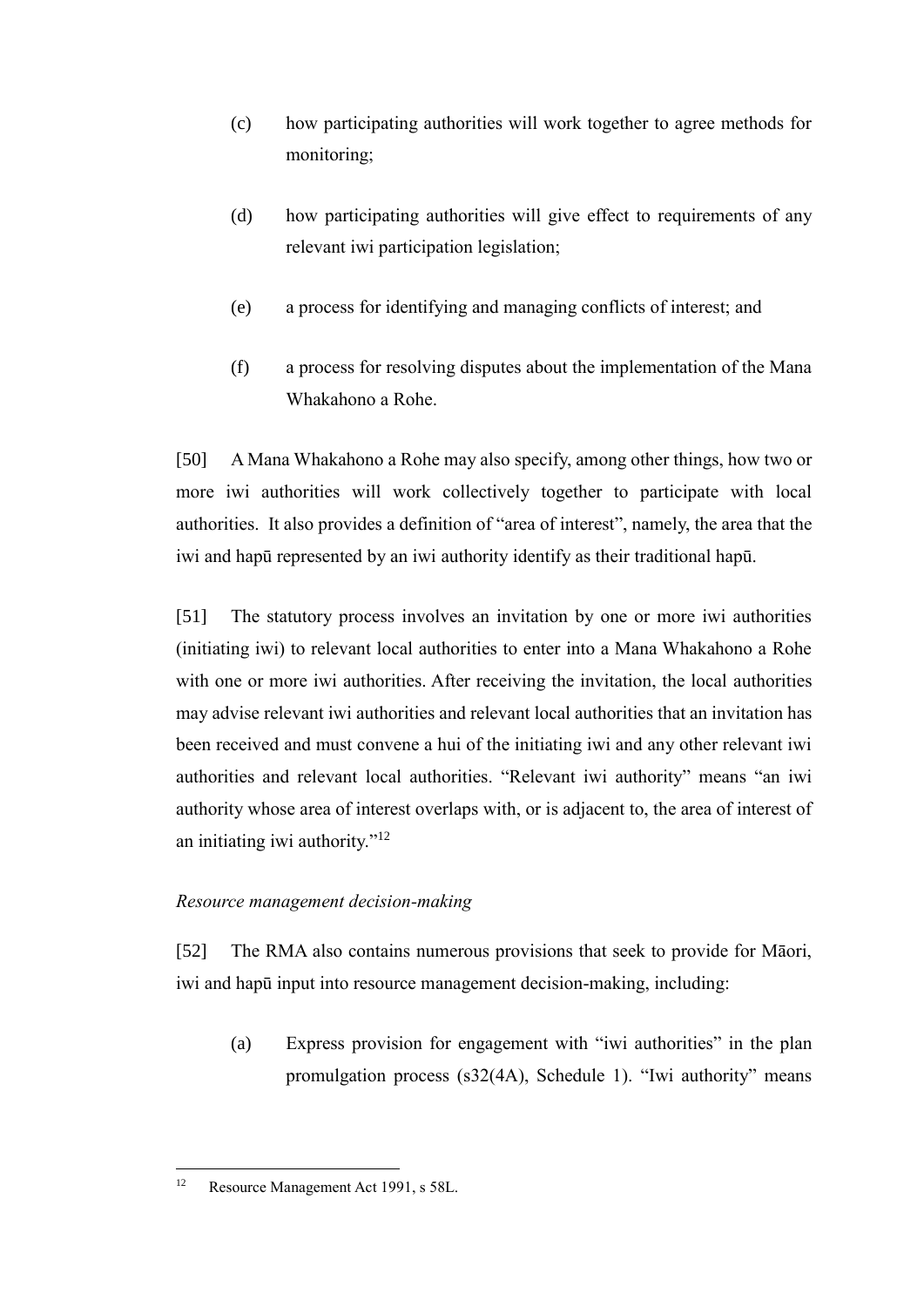- (c) how participating authorities will work together to agree methods for monitoring;
- (d) how participating authorities will give effect to requirements of any relevant iwi participation legislation;
- (e) a process for identifying and managing conflicts of interest; and
- (f) a process for resolving disputes about the implementation of the Mana Whakahono a Rohe.

[50] A Mana Whakahono a Rohe may also specify, among other things, how two or more iwi authorities will work collectively together to participate with local authorities. It also provides a definition of "area of interest", namely, the area that the iwi and hapū represented by an iwi authority identify as their traditional hapū.

[51] The statutory process involves an invitation by one or more iwi authorities (initiating iwi) to relevant local authorities to enter into a Mana Whakahono a Rohe with one or more iwi authorities. After receiving the invitation, the local authorities may advise relevant iwi authorities and relevant local authorities that an invitation has been received and must convene a hui of the initiating iwi and any other relevant iwi authorities and relevant local authorities. "Relevant iwi authority" means "an iwi authority whose area of interest overlaps with, or is adjacent to, the area of interest of an initiating iwi authority."<sup>12</sup>

# *Resource management decision-making*

[52] The RMA also contains numerous provisions that seek to provide for Māori, iwi and hapū input into resource management decision-making, including:

(a) Express provision for engagement with "iwi authorities" in the plan promulgation process (s32(4A), Schedule 1). "Iwi authority" means

 $\overline{a}$ <sup>12</sup> Resource Management Act 1991, s 58L.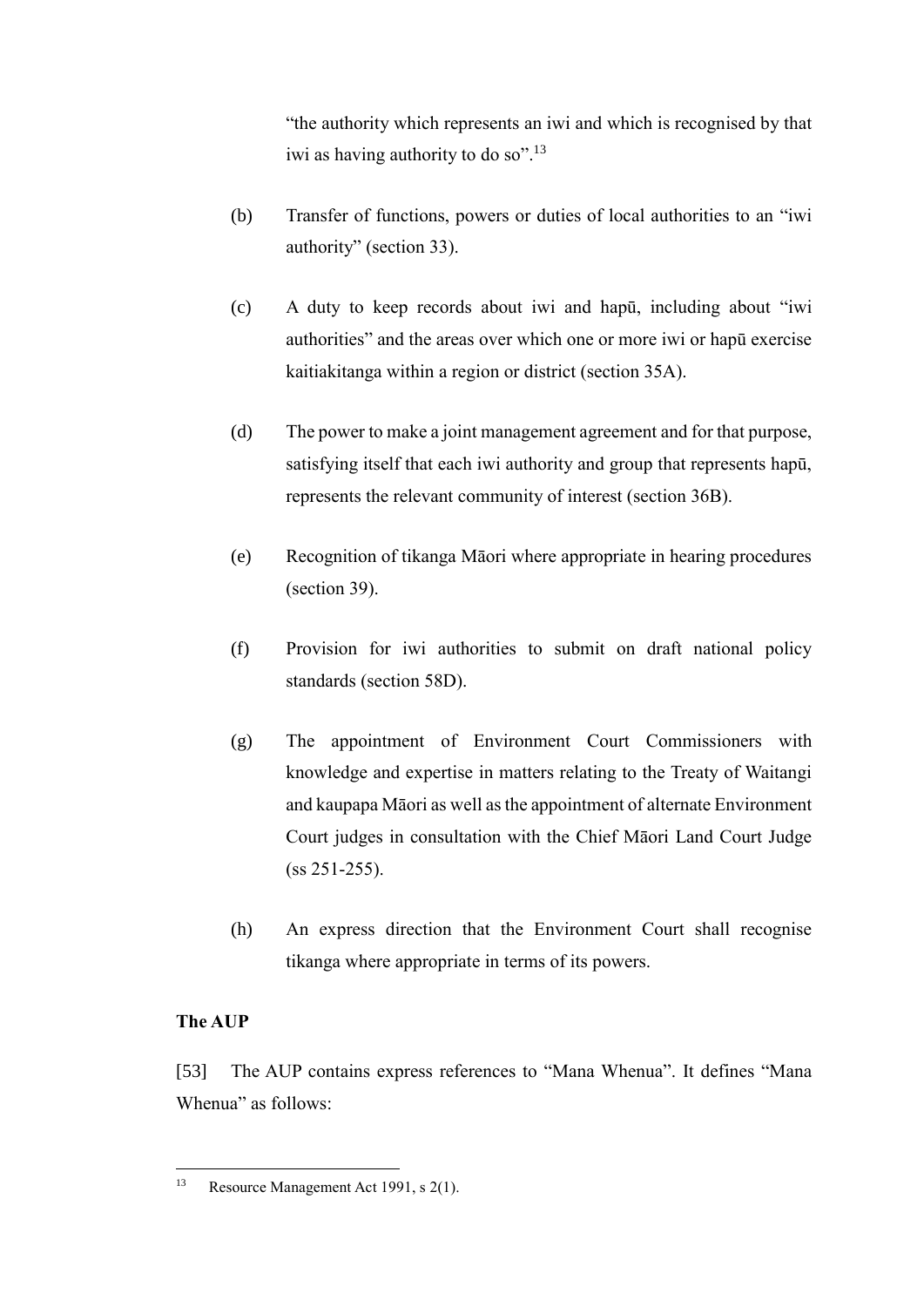"the authority which represents an iwi and which is recognised by that iwi as having authority to do so".<sup>13</sup>

- (b) Transfer of functions, powers or duties of local authorities to an "iwi authority" (section 33).
- (c) A duty to keep records about iwi and hapū, including about "iwi authorities" and the areas over which one or more iwi or hapū exercise kaitiakitanga within a region or district (section 35A).
- (d) The power to make a joint management agreement and for that purpose, satisfying itself that each iwi authority and group that represents hapū, represents the relevant community of interest (section 36B).
- (e) Recognition of tikanga Māori where appropriate in hearing procedures (section 39).
- (f) Provision for iwi authorities to submit on draft national policy standards (section 58D).
- (g) The appointment of Environment Court Commissioners with knowledge and expertise in matters relating to the Treaty of Waitangi and kaupapa Māori as well as the appointment of alternate Environment Court judges in consultation with the Chief Māori Land Court Judge (ss 251-255).
- (h) An express direction that the Environment Court shall recognise tikanga where appropriate in terms of its powers.

# **The AUP**

 $\overline{a}$ 

[53] The AUP contains express references to "Mana Whenua". It defines "Mana Whenua" as follows:

<sup>13</sup> Resource Management Act 1991, s 2(1).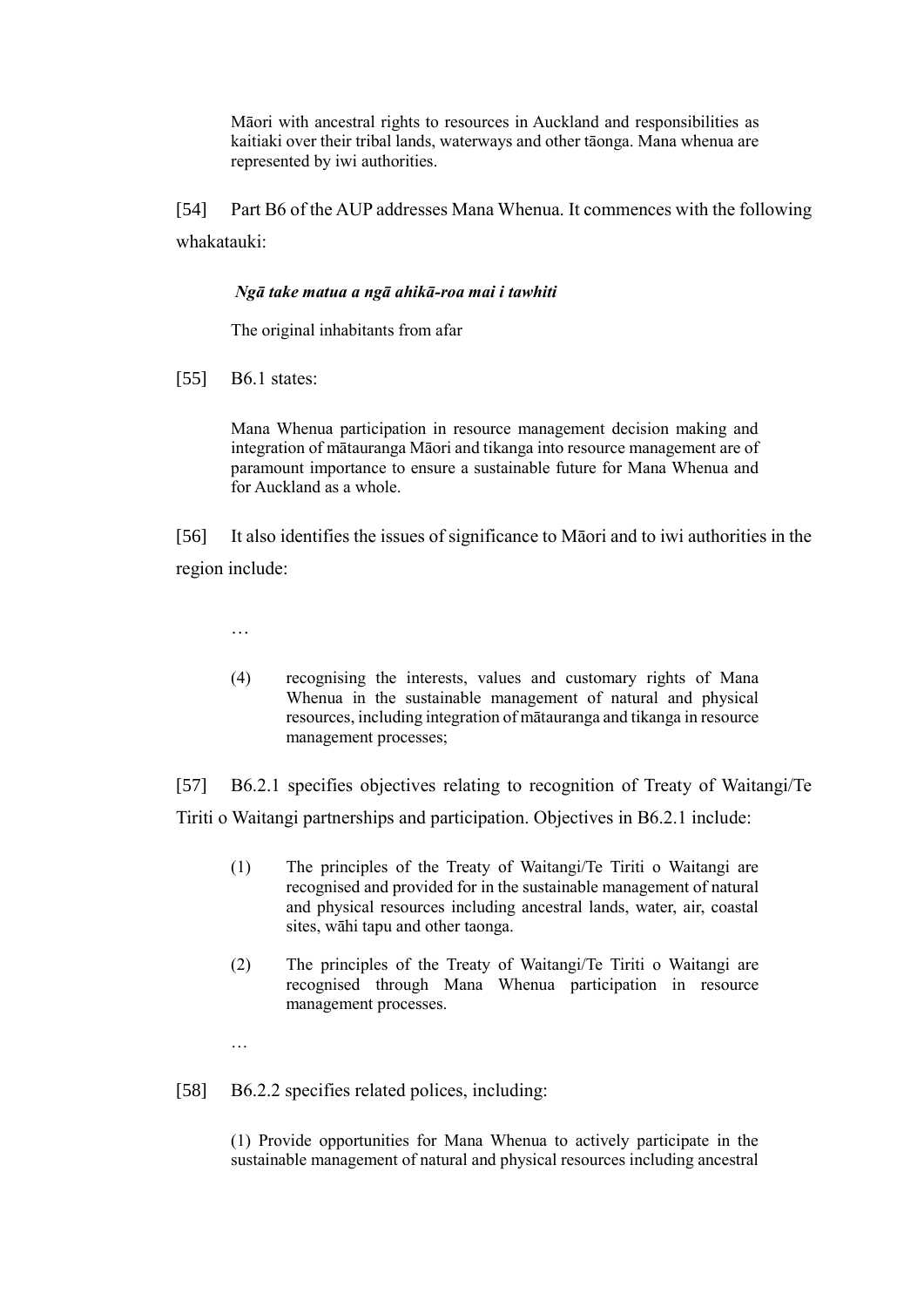Māori with ancestral rights to resources in Auckland and responsibilities as kaitiaki over their tribal lands, waterways and other tāonga. Mana whenua are represented by iwi authorities.

[54] Part B6 of the AUP addresses Mana Whenua. It commences with the following whakatauki:

### *Ngā take matua a ngā ahikā-roa mai i tawhiti*

The original inhabitants from afar

[55] B6.1 states:

Mana Whenua participation in resource management decision making and integration of mātauranga Māori and tikanga into resource management are of paramount importance to ensure a sustainable future for Mana Whenua and for Auckland as a whole.

[56] It also identifies the issues of significance to Māori and to iwi authorities in the region include:

…

(4) recognising the interests, values and customary rights of Mana Whenua in the sustainable management of natural and physical resources, including integration of mātauranga and tikanga in resource management processes;

[57] B6.2.1 specifies objectives relating to recognition of Treaty of Waitangi/Te Tiriti o Waitangi partnerships and participation. Objectives in B6.2.1 include:

- (1) The principles of the Treaty of Waitangi/Te Tiriti o Waitangi are recognised and provided for in the sustainable management of natural and physical resources including ancestral lands, water, air, coastal sites, wāhi tapu and other taonga.
- (2) The principles of the Treaty of Waitangi/Te Tiriti o Waitangi are recognised through Mana Whenua participation in resource management processes.

…

[58] B6.2.2 specifies related polices, including:

(1) Provide opportunities for Mana Whenua to actively participate in the sustainable management of natural and physical resources including ancestral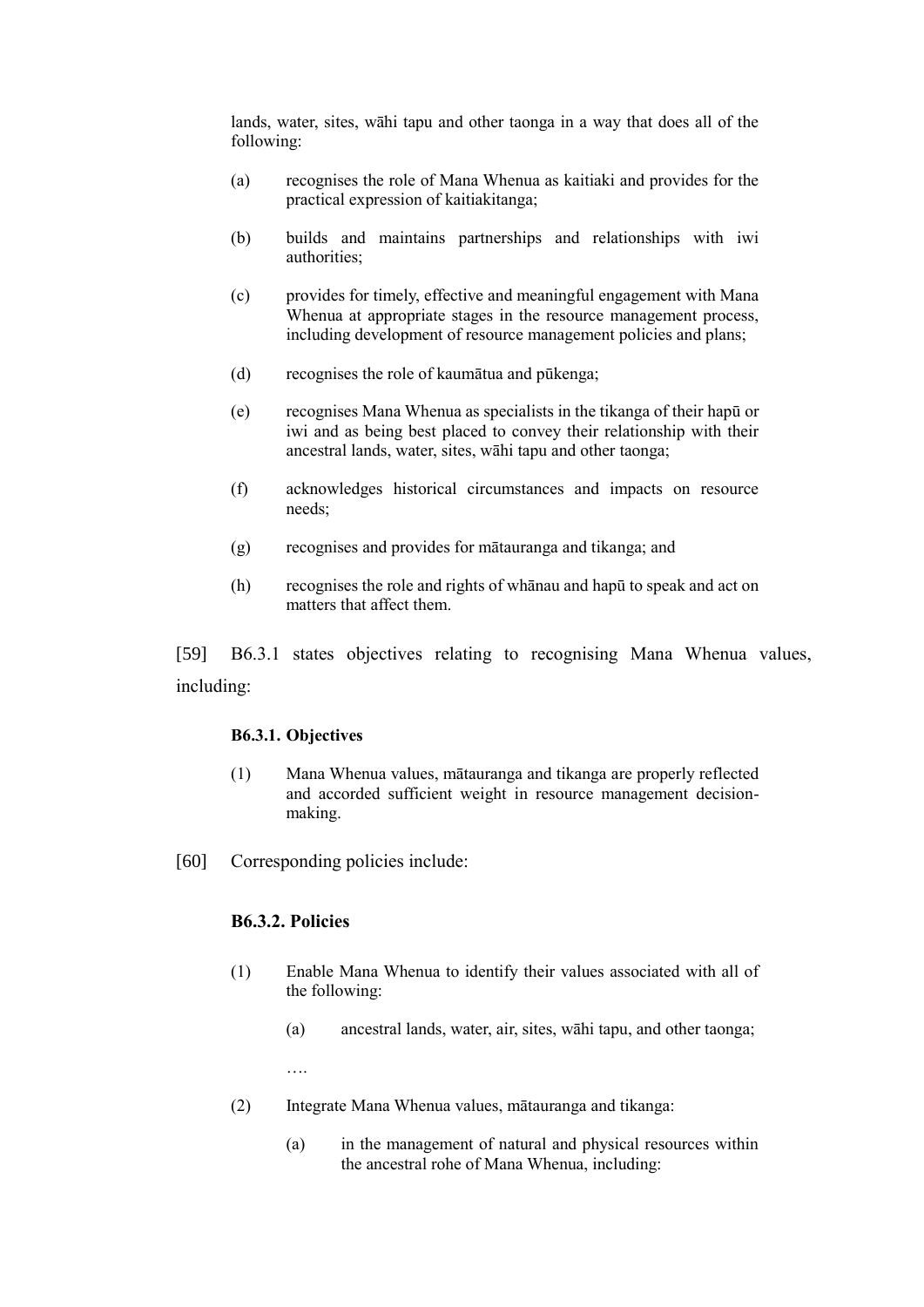lands, water, sites, wāhi tapu and other taonga in a way that does all of the following:

- (a) recognises the role of Mana Whenua as kaitiaki and provides for the practical expression of kaitiakitanga;
- (b) builds and maintains partnerships and relationships with iwi authorities;
- (c) provides for timely, effective and meaningful engagement with Mana Whenua at appropriate stages in the resource management process, including development of resource management policies and plans;
- (d) recognises the role of kaumātua and pūkenga;
- (e) recognises Mana Whenua as specialists in the tikanga of their hapū or iwi and as being best placed to convey their relationship with their ancestral lands, water, sites, wāhi tapu and other taonga;
- (f) acknowledges historical circumstances and impacts on resource needs;
- (g) recognises and provides for mātauranga and tikanga; and
- (h) recognises the role and rights of whānau and hapū to speak and act on matters that affect them.

[59] B6.3.1 states objectives relating to recognising Mana Whenua values, including:

#### **B6.3.1. Objectives**

- (1) Mana Whenua values, mātauranga and tikanga are properly reflected and accorded sufficient weight in resource management decisionmaking.
- [60] Corresponding policies include:

### **B6.3.2. Policies**

- (1) Enable Mana Whenua to identify their values associated with all of the following:
	- (a) ancestral lands, water, air, sites, wāhi tapu, and other taonga;

….

- (2) Integrate Mana Whenua values, mātauranga and tikanga:
	- (a) in the management of natural and physical resources within the ancestral rohe of Mana Whenua, including: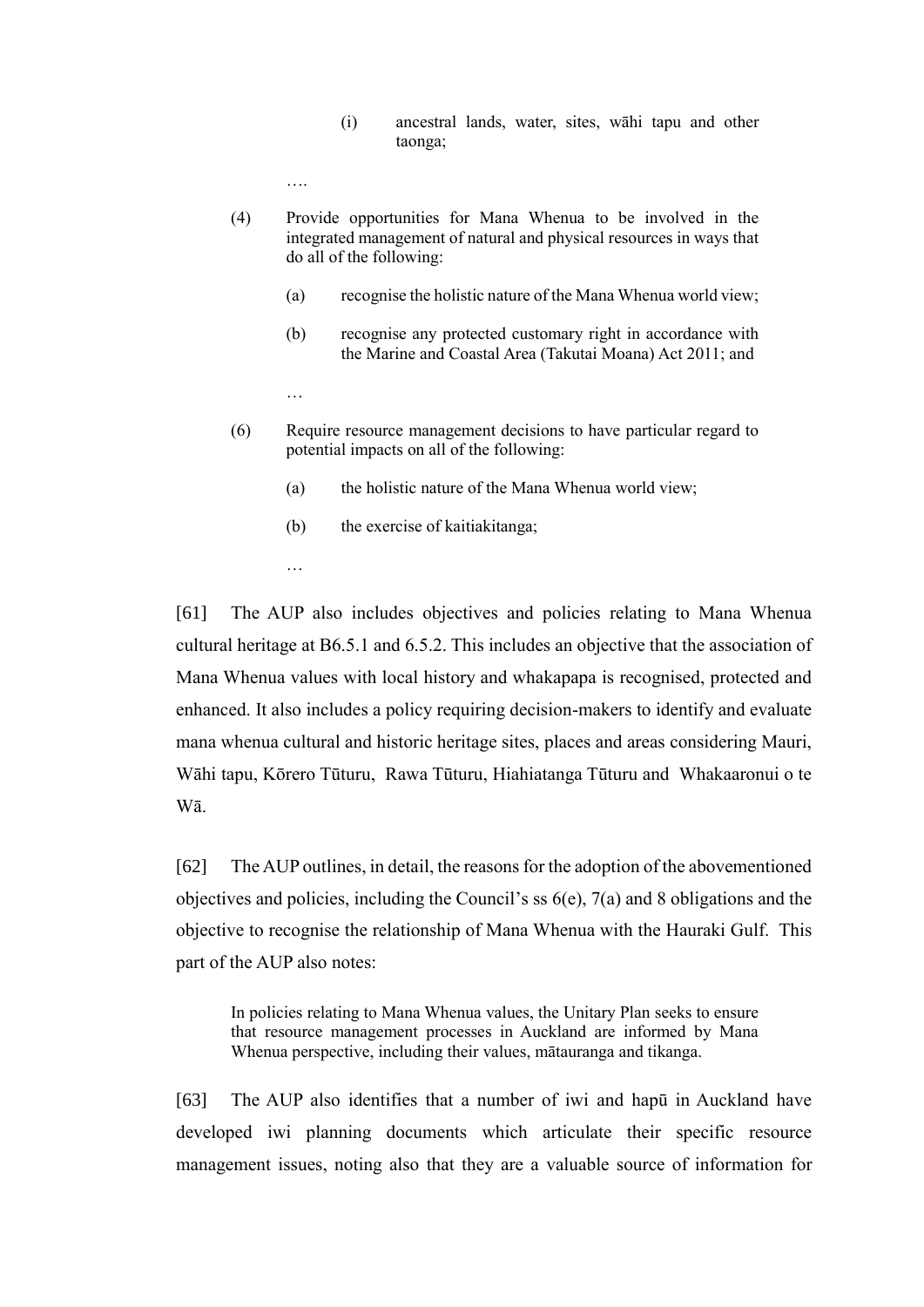(i) ancestral lands, water, sites, wāhi tapu and other taonga;

….

- (4) Provide opportunities for Mana Whenua to be involved in the integrated management of natural and physical resources in ways that do all of the following:
	- (a) recognise the holistic nature of the Mana Whenua world view;
	- (b) recognise any protected customary right in accordance with the Marine and Coastal Area (Takutai Moana) Act 2011; and
	- …
- (6) Require resource management decisions to have particular regard to potential impacts on all of the following:
	- (a) the holistic nature of the Mana Whenua world view;
	- (b) the exercise of kaitiakitanga;
	- …

[61] The AUP also includes objectives and policies relating to Mana Whenua cultural heritage at B6.5.1 and 6.5.2. This includes an objective that the association of Mana Whenua values with local history and whakapapa is recognised, protected and enhanced. It also includes a policy requiring decision-makers to identify and evaluate mana whenua cultural and historic heritage sites, places and areas considering Mauri, Wāhi tapu, Kōrero Tūturu, Rawa Tūturu, Hiahiatanga Tūturu and Whakaaronui o te Wā.

[62] The AUP outlines, in detail, the reasons for the adoption of the abovementioned objectives and policies, including the Council's ss 6(e), 7(a) and 8 obligations and the objective to recognise the relationship of Mana Whenua with the Hauraki Gulf. This part of the AUP also notes:

In policies relating to Mana Whenua values, the Unitary Plan seeks to ensure that resource management processes in Auckland are informed by Mana Whenua perspective, including their values, mātauranga and tikanga.

[63] The AUP also identifies that a number of iwi and hapū in Auckland have developed iwi planning documents which articulate their specific resource management issues, noting also that they are a valuable source of information for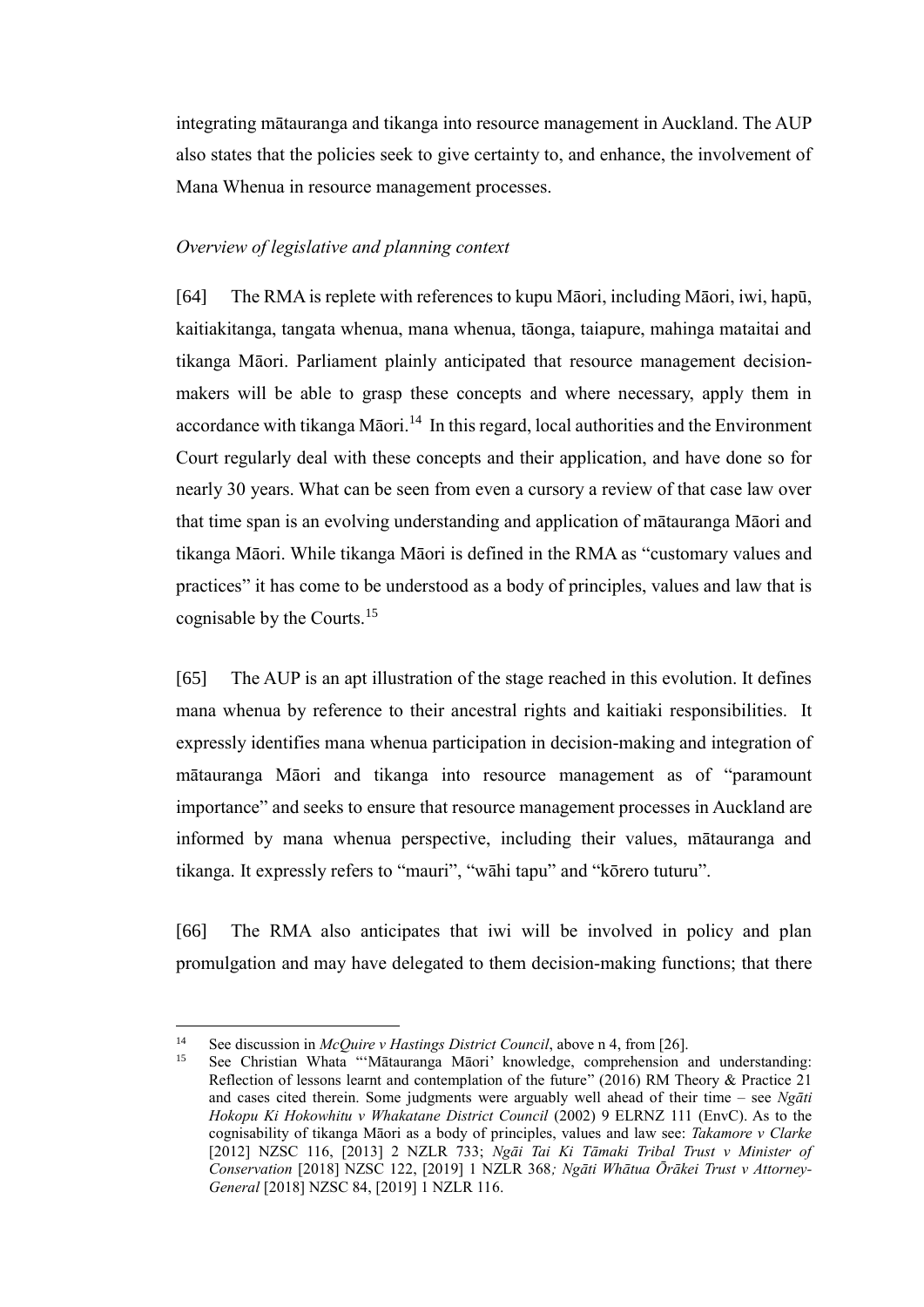integrating mātauranga and tikanga into resource management in Auckland. The AUP also states that the policies seek to give certainty to, and enhance, the involvement of Mana Whenua in resource management processes.

### *Overview of legislative and planning context*

[64] The RMA is replete with references to kupu Māori, including Māori, iwi, hapū, kaitiakitanga, tangata whenua, mana whenua, tāonga, taiapure, mahinga mataitai and tikanga Māori. Parliament plainly anticipated that resource management decisionmakers will be able to grasp these concepts and where necessary, apply them in accordance with tikanga Māori.<sup>14</sup> In this regard, local authorities and the Environment Court regularly deal with these concepts and their application, and have done so for nearly 30 years. What can be seen from even a cursory a review of that case law over that time span is an evolving understanding and application of mātauranga Māori and tikanga Māori. While tikanga Māori is defined in the RMA as "customary values and practices" it has come to be understood as a body of principles, values and law that is cognisable by the Courts.<sup>15</sup>

[65] The AUP is an apt illustration of the stage reached in this evolution. It defines mana whenua by reference to their ancestral rights and kaitiaki responsibilities. It expressly identifies mana whenua participation in decision-making and integration of mātauranga Māori and tikanga into resource management as of "paramount importance" and seeks to ensure that resource management processes in Auckland are informed by mana whenua perspective, including their values, mātauranga and tikanga. It expressly refers to "mauri", "wāhi tapu" and "kōrero tuturu".

[66] The RMA also anticipates that iwi will be involved in policy and plan promulgation and may have delegated to them decision-making functions; that there

<sup>&</sup>lt;sup>14</sup> See discussion in *McQuire v Hastings District Council*, above n 4, from [26].<br><sup>15</sup> See Christian Whata "Mētauranga Mēqri' knowledge, comprehension as

See Christian Whata "'Mātauranga Māori' knowledge, comprehension and understanding: Reflection of lessons learnt and contemplation of the future" (2016) RM Theory & Practice 21 and cases cited therein. Some judgments were arguably well ahead of their time – see *Ngāti Hokopu Ki Hokowhitu v Whakatane District Council* (2002) 9 ELRNZ 111 (EnvC). As to the cognisability of tikanga Māori as a body of principles, values and law see: *Takamore v Clarke*  [2012] NZSC 116, [2013] 2 NZLR 733; *Ngāi Tai Ki Tāmaki Tribal Trust v Minister of Conservation* [2018] NZSC 122, [2019] 1 NZLR 368*; Ngāti Whātua Ōrākei Trust v Attorney-General* [2018] NZSC 84, [2019] 1 NZLR 116.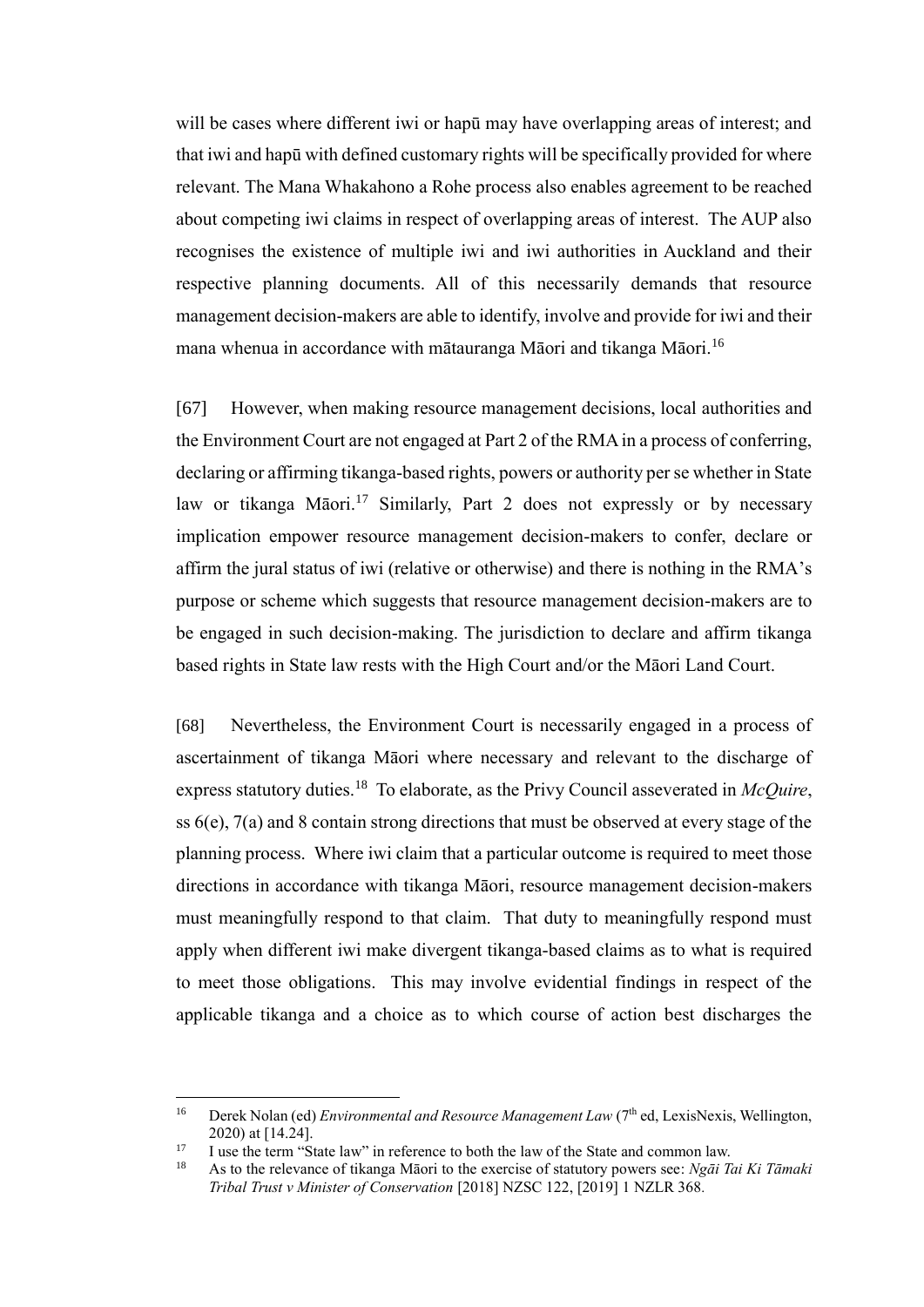will be cases where different iwi or hapū may have overlapping areas of interest; and that iwi and hapū with defined customary rights will be specifically provided for where relevant. The Mana Whakahono a Rohe process also enables agreement to be reached about competing iwi claims in respect of overlapping areas of interest. The AUP also recognises the existence of multiple iwi and iwi authorities in Auckland and their respective planning documents. All of this necessarily demands that resource management decision-makers are able to identify, involve and provide for iwi and their mana whenua in accordance with mātauranga Māori and tikanga Māori. $^{16}$ 

[67] However, when making resource management decisions, local authorities and the Environment Court are not engaged at Part 2 of the RMA in a process of conferring, declaring or affirming tikanga-based rights, powers or authority per se whether in State law or tikanga Māori.<sup>17</sup> Similarly, Part 2 does not expressly or by necessary implication empower resource management decision-makers to confer, declare or affirm the jural status of iwi (relative or otherwise) and there is nothing in the RMA's purpose or scheme which suggests that resource management decision-makers are to be engaged in such decision-making. The jurisdiction to declare and affirm tikanga based rights in State law rests with the High Court and/or the Māori Land Court.

[68] Nevertheless, the Environment Court is necessarily engaged in a process of ascertainment of tikanga Māori where necessary and relevant to the discharge of express statutory duties.<sup>18</sup> To elaborate, as the Privy Council asseverated in *McQuire*, ss 6(e), 7(a) and 8 contain strong directions that must be observed at every stage of the planning process. Where iwi claim that a particular outcome is required to meet those directions in accordance with tikanga Māori, resource management decision-makers must meaningfully respond to that claim. That duty to meaningfully respond must apply when different iwi make divergent tikanga-based claims as to what is required to meet those obligations. This may involve evidential findings in respect of the applicable tikanga and a choice as to which course of action best discharges the

<sup>&</sup>lt;sup>16</sup> Derek Nolan (ed) *Environmental and Resource Management Law* (7<sup>th</sup> ed, LexisNexis, Wellington, 2020) at [14.24].

<sup>&</sup>lt;sup>17</sup> I use the term "State law" in reference to both the law of the State and common law.

<sup>18</sup> As to the relevance of tikanga Māori to the exercise of statutory powers see: *Ngāi Tai Ki Tāmaki Tribal Trust v Minister of Conservation* [2018] NZSC 122, [2019] 1 NZLR 368*.*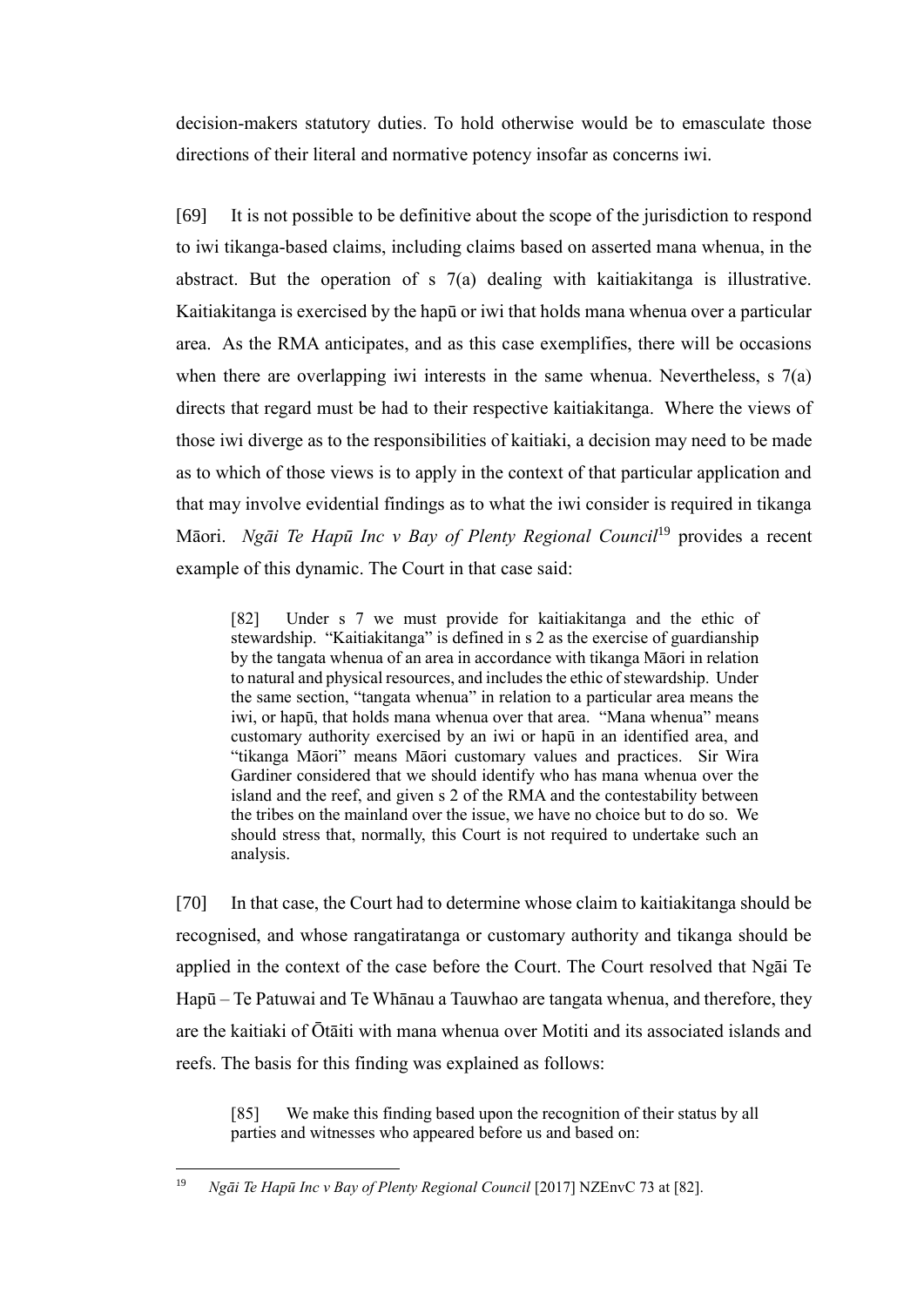decision-makers statutory duties. To hold otherwise would be to emasculate those directions of their literal and normative potency insofar as concerns iwi.

[69] It is not possible to be definitive about the scope of the jurisdiction to respond to iwi tikanga-based claims, including claims based on asserted mana whenua, in the abstract. But the operation of s 7(a) dealing with kaitiakitanga is illustrative. Kaitiakitanga is exercised by the hapū or iwi that holds mana whenua over a particular area. As the RMA anticipates, and as this case exemplifies, there will be occasions when there are overlapping iwi interests in the same whenua. Nevertheless, s 7(a) directs that regard must be had to their respective kaitiakitanga. Where the views of those iwi diverge as to the responsibilities of kaitiaki, a decision may need to be made as to which of those views is to apply in the context of that particular application and that may involve evidential findings as to what the iwi consider is required in tikanga Māori. *Ngāi Te Hapū Inc v Bay of Plenty Regional Council*<sup>19</sup> provides a recent example of this dynamic. The Court in that case said:

[82] Under s 7 we must provide for kaitiakitanga and the ethic of stewardship. "Kaitiakitanga" is defined in s 2 as the exercise of guardianship by the tangata whenua of an area in accordance with tikanga Māori in relation to natural and physical resources, and includes the ethic of stewardship. Under the same section, "tangata whenua" in relation to a particular area means the iwi, or hapū, that holds mana whenua over that area. "Mana whenua" means customary authority exercised by an iwi or hapū in an identified area, and "tikanga Māori" means Māori customary values and practices. Sir Wira Gardiner considered that we should identify who has mana whenua over the island and the reef, and given s 2 of the RMA and the contestability between the tribes on the mainland over the issue, we have no choice but to do so. We should stress that, normally, this Court is not required to undertake such an analysis.

[70] In that case, the Court had to determine whose claim to kaitiakitanga should be recognised, and whose rangatiratanga or customary authority and tikanga should be applied in the context of the case before the Court. The Court resolved that Ngāi Te Hapū – Te Patuwai and Te Whānau a Tauwhao are tangata whenua, and therefore, they are the kaitiaki of Ōtāiti with mana whenua over Motiti and its associated islands and reefs. The basis for this finding was explained as follows:

[85] We make this finding based upon the recognition of their status by all parties and witnesses who appeared before us and based on:

<sup>19</sup> <sup>19</sup> *Ngāi Te Hapū Inc v Bay of Plenty Regional Council* [2017] NZEnvC 73 at [82].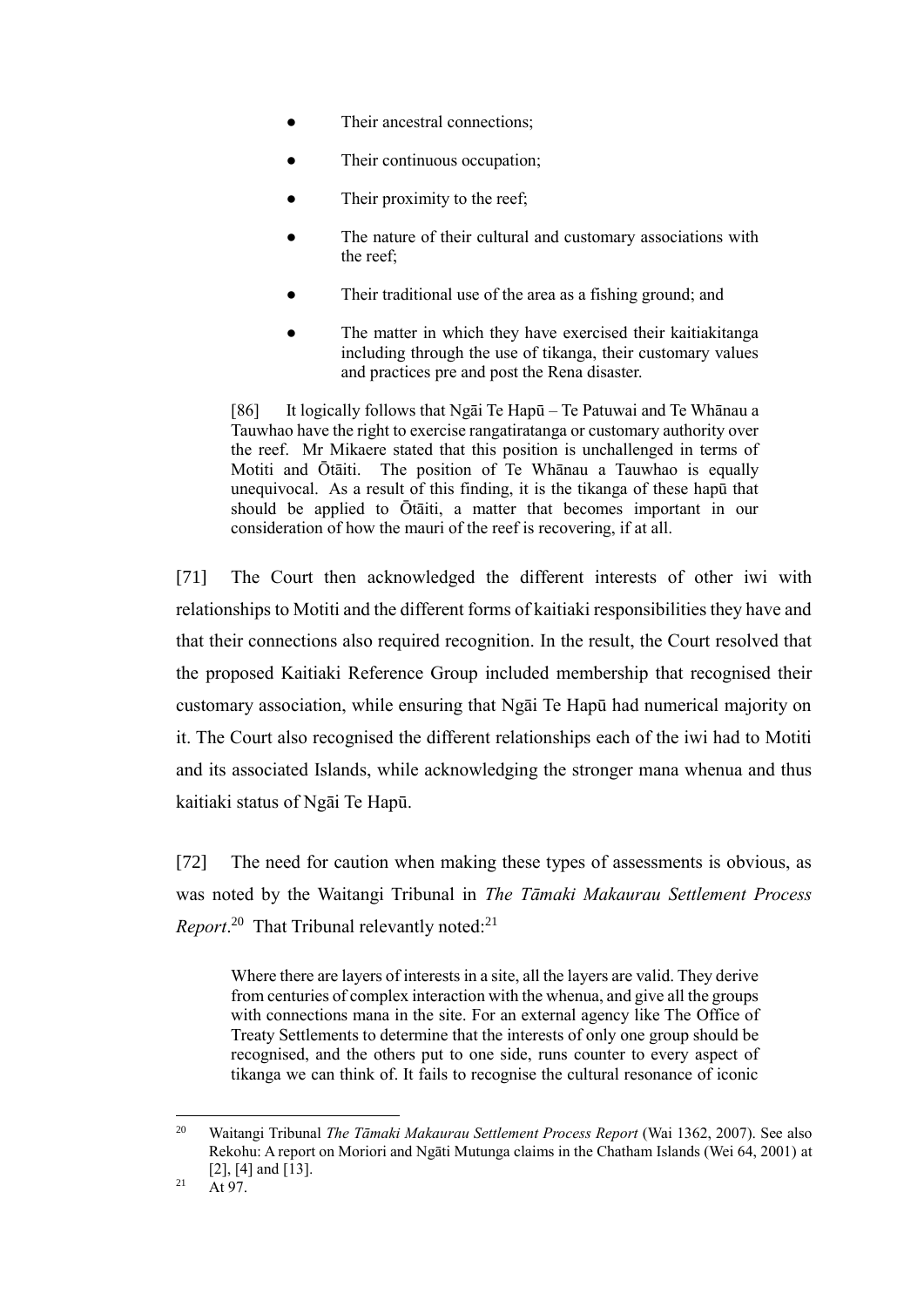- Their ancestral connections;
- Their continuous occupation;
- Their proximity to the reef:
- The nature of their cultural and customary associations with the reef;
- Their traditional use of the area as a fishing ground; and
- The matter in which they have exercised their kaitiakitanga including through the use of tikanga, their customary values and practices pre and post the Rena disaster.

[86] It logically follows that Ngāi Te Hapū – Te Patuwai and Te Whānau a Tauwhao have the right to exercise rangatiratanga or customary authority over the reef. Mr Mikaere stated that this position is unchallenged in terms of Motiti and Ōtāiti. The position of Te Whānau a Tauwhao is equally unequivocal. As a result of this finding, it is the tikanga of these hapū that should be applied to Ōtāiti, a matter that becomes important in our consideration of how the mauri of the reef is recovering, if at all.

[71] The Court then acknowledged the different interests of other iwi with relationships to Motiti and the different forms of kaitiaki responsibilities they have and that their connections also required recognition. In the result, the Court resolved that the proposed Kaitiaki Reference Group included membership that recognised their customary association, while ensuring that Ngāi Te Hapū had numerical majority on it. The Court also recognised the different relationships each of the iwi had to Motiti and its associated Islands, while acknowledging the stronger mana whenua and thus kaitiaki status of Ngāi Te Hapū.

[72] The need for caution when making these types of assessments is obvious, as was noted by the Waitangi Tribunal in *The Tāmaki Makaurau Settlement Process Report*.<sup>20</sup> That Tribunal relevantly noted:<sup>21</sup>

Where there are layers of interests in a site, all the layers are valid. They derive from centuries of complex interaction with the whenua, and give all the groups with connections mana in the site. For an external agency like The Office of Treaty Settlements to determine that the interests of only one group should be recognised, and the others put to one side, runs counter to every aspect of tikanga we can think of. It fails to recognise the cultural resonance of iconic

<sup>&</sup>lt;sup>20</sup> Waitangi Tribunal *The Tāmaki Makaurau Settlement Process Report* (Wai 1362, 2007). See also Rekohu: A report on Moriori and Ngāti Mutunga claims in the Chatham Islands (Wei 64, 2001) at [2], [4] and [13].

 $21$  At 97.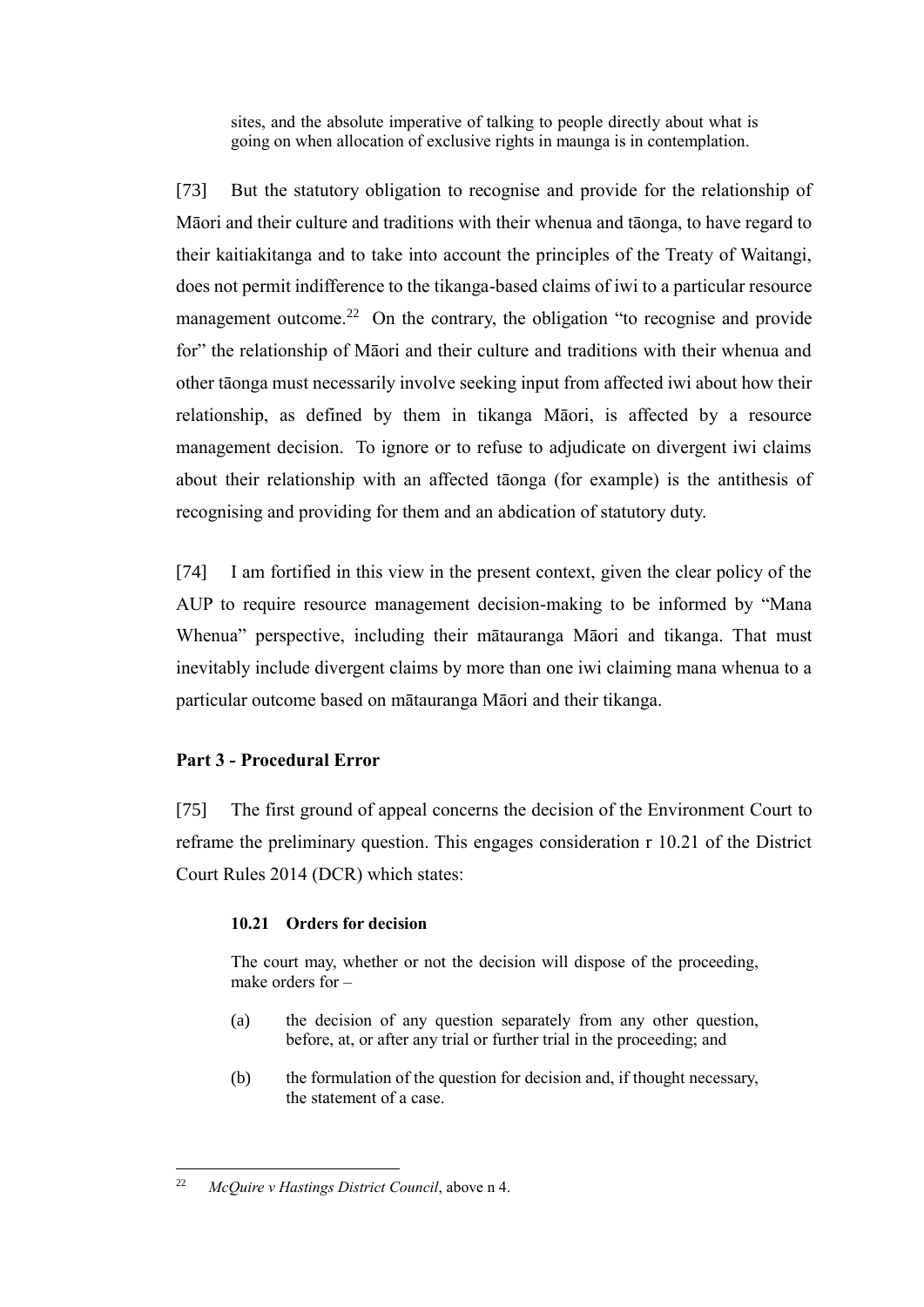sites, and the absolute imperative of talking to people directly about what is going on when allocation of exclusive rights in maunga is in contemplation.

[73] But the statutory obligation to recognise and provide for the relationship of Māori and their culture and traditions with their whenua and tāonga, to have regard to their kaitiakitanga and to take into account the principles of the Treaty of Waitangi, does not permit indifference to the tikanga-based claims of iwi to a particular resource management outcome.<sup>22</sup> On the contrary, the obligation "to recognise and provide for" the relationship of Māori and their culture and traditions with their whenua and other tāonga must necessarily involve seeking input from affected iwi about how their relationship, as defined by them in tikanga Māori, is affected by a resource management decision. To ignore or to refuse to adjudicate on divergent iwi claims about their relationship with an affected tāonga (for example) is the antithesis of recognising and providing for them and an abdication of statutory duty.

[74] I am fortified in this view in the present context, given the clear policy of the AUP to require resource management decision-making to be informed by "Mana Whenua" perspective, including their mātauranga Māori and tikanga. That must inevitably include divergent claims by more than one iwi claiming mana whenua to a particular outcome based on mātauranga Māori and their tikanga.

# **Part 3 - Procedural Error**

[75] The first ground of appeal concerns the decision of the Environment Court to reframe the preliminary question. This engages consideration r 10.21 of the District Court Rules 2014 (DCR) which states:

#### **10.21 Orders for decision**

The court may, whether or not the decision will dispose of the proceeding, make orders for –

- (a) the decision of any question separately from any other question, before, at, or after any trial or further trial in the proceeding; and
- (b) the formulation of the question for decision and, if thought necessary, the statement of a case.

 $\overline{a}$ 22 *McQuire v Hastings District Council*, above n 4.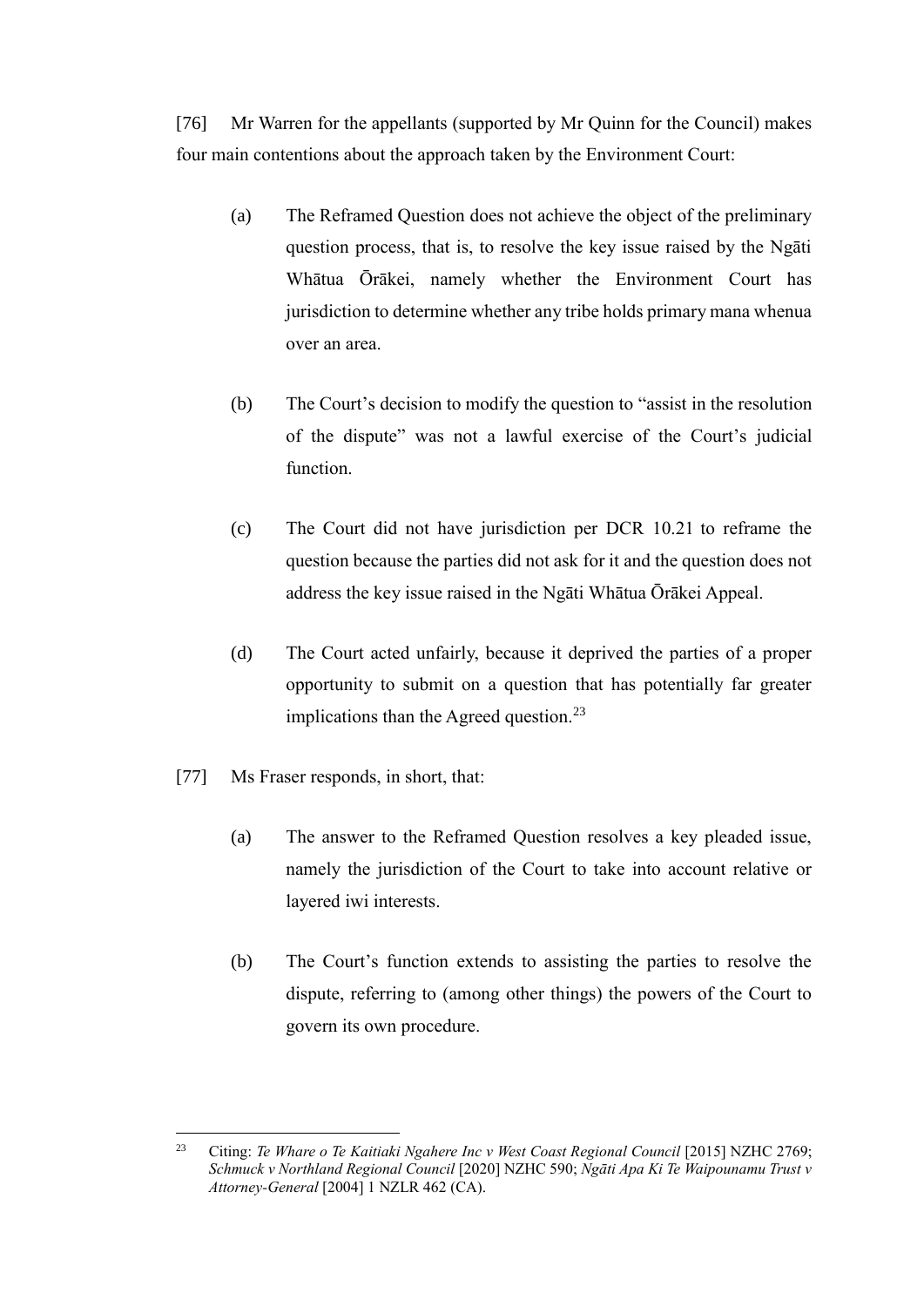[76] Mr Warren for the appellants (supported by Mr Quinn for the Council) makes four main contentions about the approach taken by the Environment Court:

- (a) The Reframed Question does not achieve the object of the preliminary question process, that is, to resolve the key issue raised by the Ngāti Whātua Ōrākei, namely whether the Environment Court has jurisdiction to determine whether any tribe holds primary mana whenua over an area.
- (b) The Court's decision to modify the question to "assist in the resolution of the dispute" was not a lawful exercise of the Court's judicial function.
- (c) The Court did not have jurisdiction per DCR 10.21 to reframe the question because the parties did not ask for it and the question does not address the key issue raised in the Ngāti Whātua Ōrākei Appeal.
- (d) The Court acted unfairly, because it deprived the parties of a proper opportunity to submit on a question that has potentially far greater implications than the Agreed question.<sup>23</sup>
- [77] Ms Fraser responds, in short, that:
	- (a) The answer to the Reframed Question resolves a key pleaded issue, namely the jurisdiction of the Court to take into account relative or layered iwi interests.
	- (b) The Court's function extends to assisting the parties to resolve the dispute, referring to (among other things) the powers of the Court to govern its own procedure.

 $23$ <sup>23</sup> Citing: *Te Whare o Te Kaitiaki Ngahere Inc v West Coast Regional Council* [2015] NZHC 2769; *Schmuck v Northland Regional Council* [2020] NZHC 590; *Ngāti Apa Ki Te Waipounamu Trust v Attorney-General* [2004] 1 NZLR 462 (CA).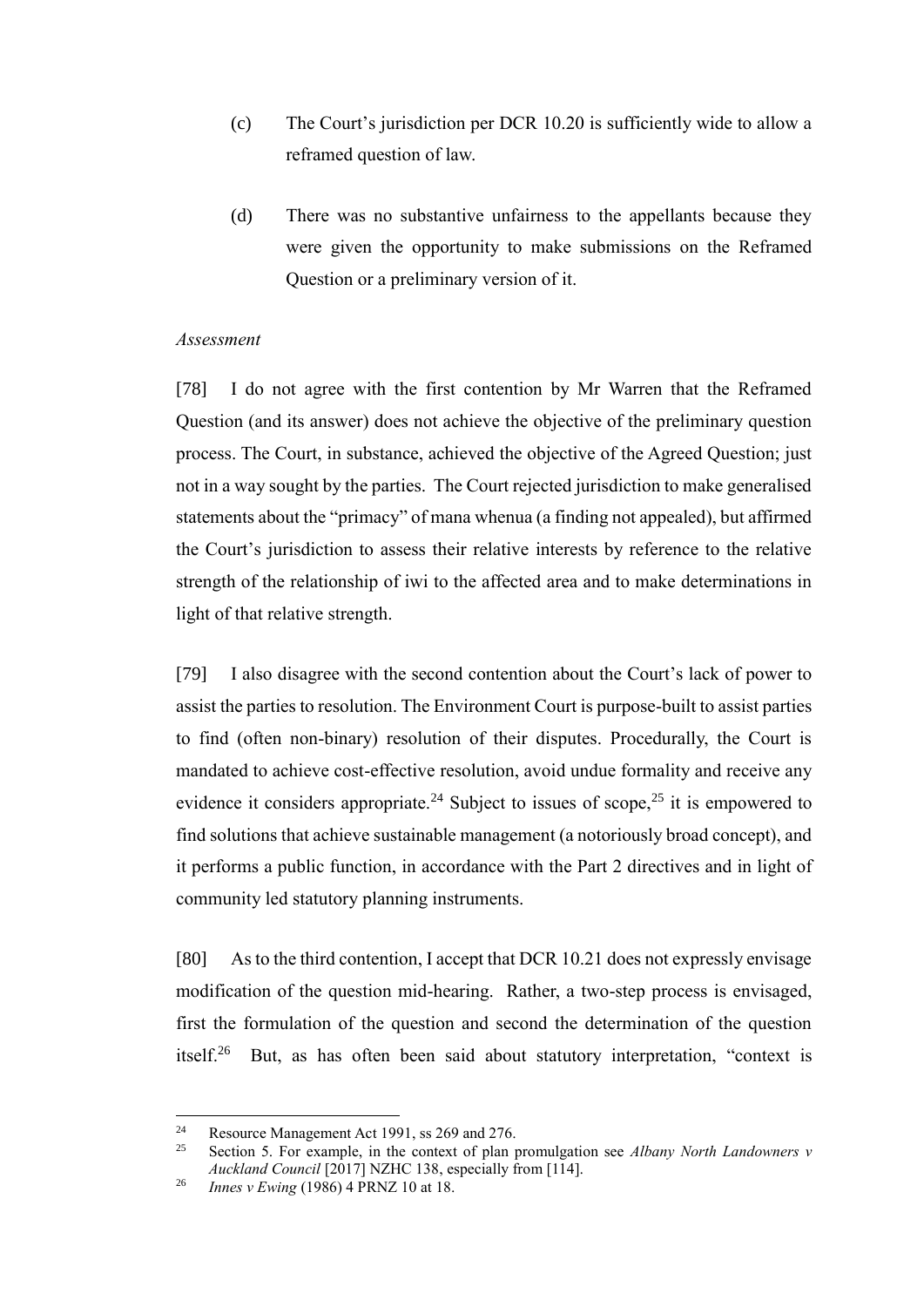- (c) The Court's jurisdiction per DCR 10.20 is sufficiently wide to allow a reframed question of law.
- (d) There was no substantive unfairness to the appellants because they were given the opportunity to make submissions on the Reframed Question or a preliminary version of it.

### *Assessment*

[78] I do not agree with the first contention by Mr Warren that the Reframed Question (and its answer) does not achieve the objective of the preliminary question process. The Court, in substance, achieved the objective of the Agreed Question; just not in a way sought by the parties. The Court rejected jurisdiction to make generalised statements about the "primacy" of mana whenua (a finding not appealed), but affirmed the Court's jurisdiction to assess their relative interests by reference to the relative strength of the relationship of iwi to the affected area and to make determinations in light of that relative strength.

[79] I also disagree with the second contention about the Court's lack of power to assist the parties to resolution. The Environment Court is purpose-built to assist parties to find (often non-binary) resolution of their disputes. Procedurally, the Court is mandated to achieve cost-effective resolution, avoid undue formality and receive any evidence it considers appropriate.<sup>24</sup> Subject to issues of scope,<sup>25</sup> it is empowered to find solutions that achieve sustainable management (a notoriously broad concept), and it performs a public function, in accordance with the Part 2 directives and in light of community led statutory planning instruments.

[80] As to the third contention, I accept that DCR 10.21 does not expressly envisage modification of the question mid-hearing. Rather, a two-step process is envisaged, first the formulation of the question and second the determination of the question itself.<sup>26</sup> But, as has often been said about statutory interpretation, "context is

<sup>&</sup>lt;sup>24</sup> Resource Management Act 1991, ss 269 and 276.<br><sup>25</sup> Section 5. For example, in the context of plan t

<sup>25</sup> Section 5. For example, in the context of plan promulgation see *Albany North Landowners v Auckland Council* [2017] NZHC 138, especially from [114].

<sup>26</sup> *Innes v Ewing* (1986) 4 PRNZ 10 at 18.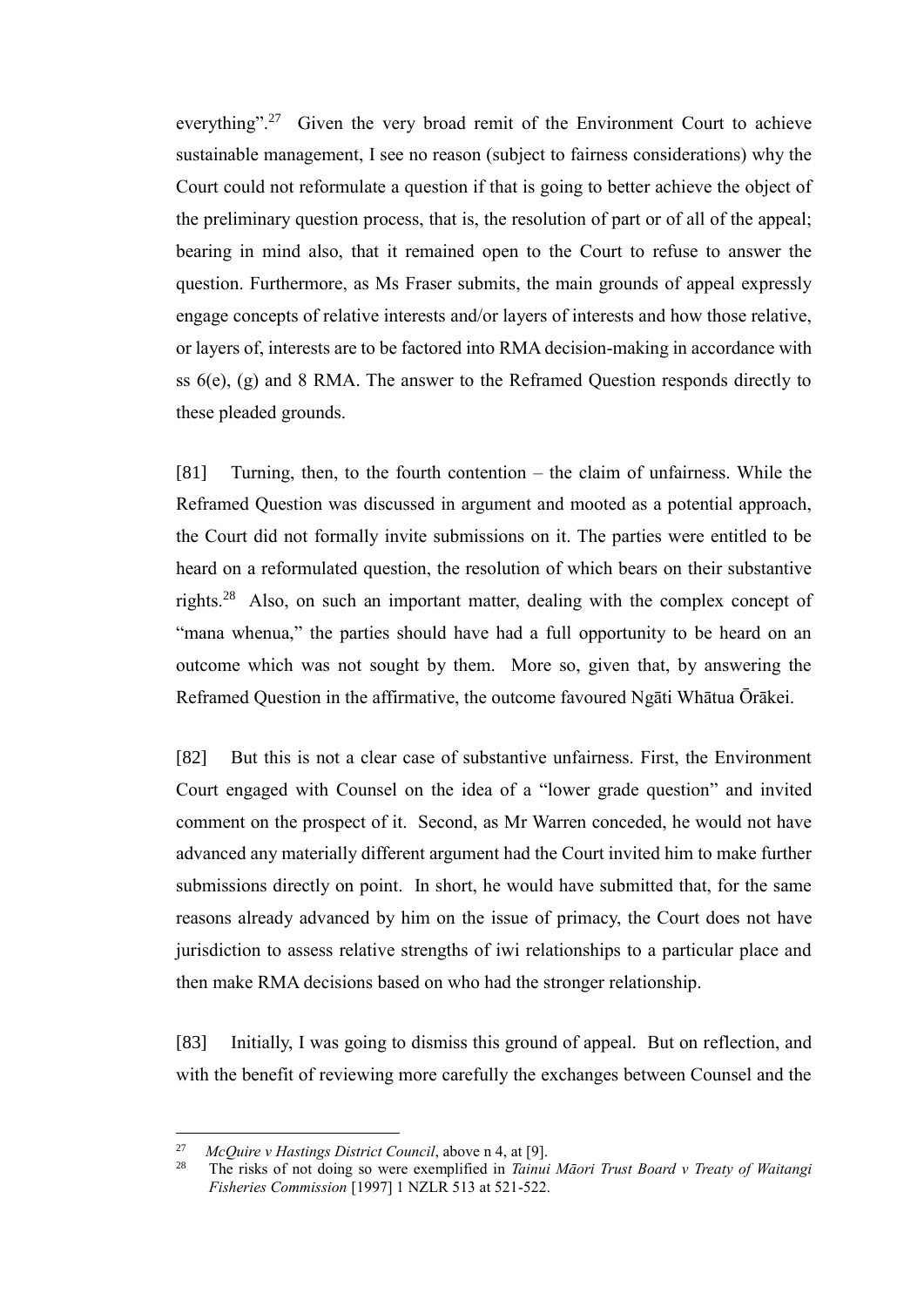everything".<sup>27</sup> Given the very broad remit of the Environment Court to achieve sustainable management, I see no reason (subject to fairness considerations) why the Court could not reformulate a question if that is going to better achieve the object of the preliminary question process, that is, the resolution of part or of all of the appeal; bearing in mind also, that it remained open to the Court to refuse to answer the question. Furthermore, as Ms Fraser submits, the main grounds of appeal expressly engage concepts of relative interests and/or layers of interests and how those relative, or layers of, interests are to be factored into RMA decision-making in accordance with ss 6(e), (g) and 8 RMA. The answer to the Reframed Question responds directly to these pleaded grounds.

[81] Turning, then, to the fourth contention – the claim of unfairness. While the Reframed Question was discussed in argument and mooted as a potential approach, the Court did not formally invite submissions on it. The parties were entitled to be heard on a reformulated question, the resolution of which bears on their substantive rights.<sup>28</sup> Also, on such an important matter, dealing with the complex concept of "mana whenua," the parties should have had a full opportunity to be heard on an outcome which was not sought by them. More so, given that, by answering the Reframed Question in the affirmative, the outcome favoured Ngāti Whātua Ōrākei.

[82] But this is not a clear case of substantive unfairness. First, the Environment Court engaged with Counsel on the idea of a "lower grade question" and invited comment on the prospect of it. Second, as Mr Warren conceded, he would not have advanced any materially different argument had the Court invited him to make further submissions directly on point. In short, he would have submitted that, for the same reasons already advanced by him on the issue of primacy, the Court does not have jurisdiction to assess relative strengths of iwi relationships to a particular place and then make RMA decisions based on who had the stronger relationship.

[83] Initially, I was going to dismiss this ground of appeal. But on reflection, and with the benefit of reviewing more carefully the exchanges between Counsel and the

<sup>27</sup> <sup>27</sup> McQuire *v* Hastings District Council, above n 4, at [9].<br><sup>28</sup> The ricks of not doing so were exemplified in Tainui

<sup>28</sup> The risks of not doing so were exemplified in *Tainui Māori Trust Board v Treaty of Waitangi Fisheries Commission* [1997] 1 NZLR 513 at 521-522.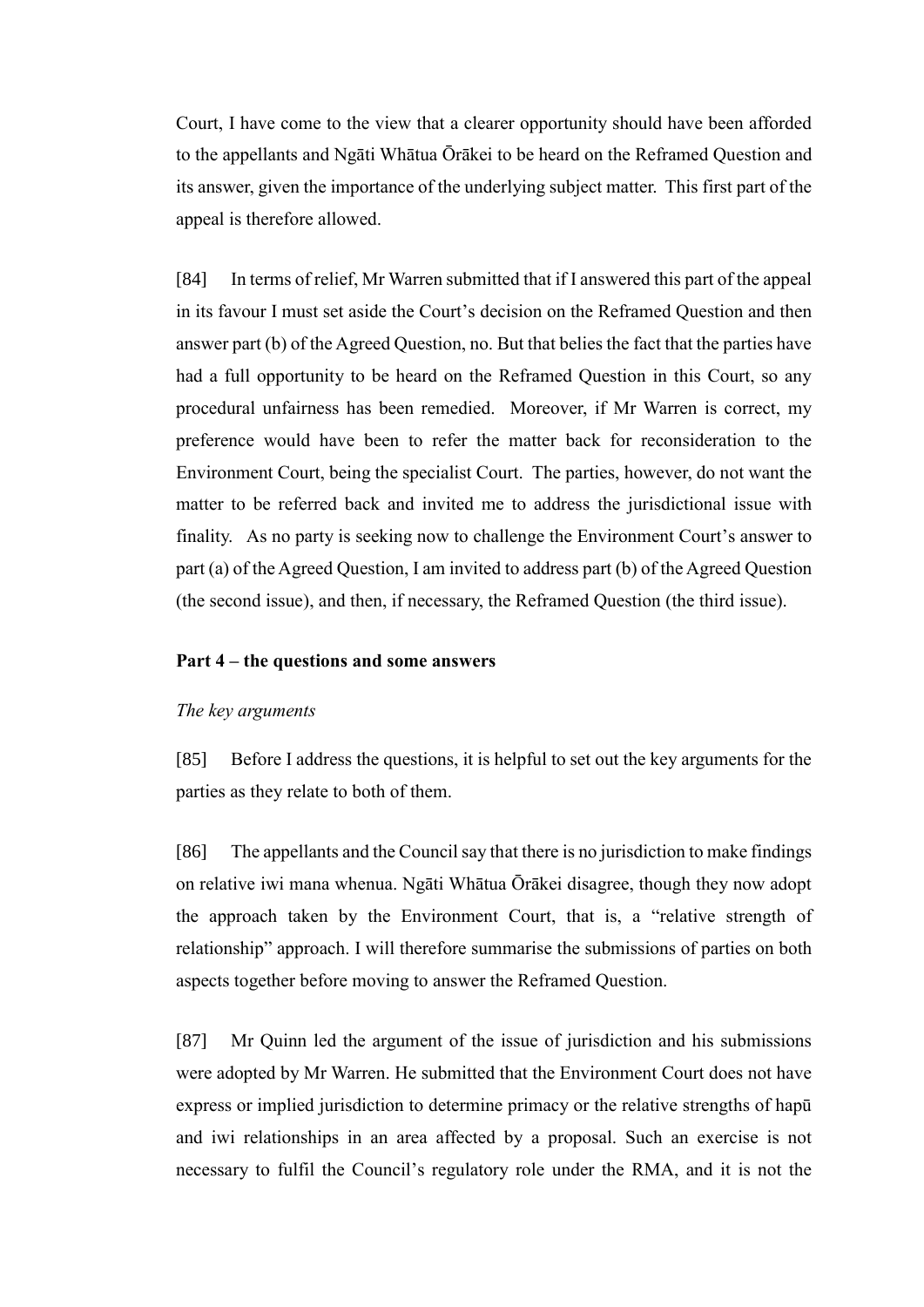Court, I have come to the view that a clearer opportunity should have been afforded to the appellants and Ngāti Whātua Ōrākei to be heard on the Reframed Question and its answer, given the importance of the underlying subject matter. This first part of the appeal is therefore allowed.

[84] In terms of relief, Mr Warren submitted that if I answered this part of the appeal in its favour I must set aside the Court's decision on the Reframed Question and then answer part (b) of the Agreed Question, no. But that belies the fact that the parties have had a full opportunity to be heard on the Reframed Question in this Court, so any procedural unfairness has been remedied. Moreover, if Mr Warren is correct, my preference would have been to refer the matter back for reconsideration to the Environment Court, being the specialist Court. The parties, however, do not want the matter to be referred back and invited me to address the jurisdictional issue with finality. As no party is seeking now to challenge the Environment Court's answer to part (a) of the Agreed Question, I am invited to address part (b) of the Agreed Question (the second issue), and then, if necessary, the Reframed Question (the third issue).

### **Part 4 – the questions and some answers**

### *The key arguments*

[85] Before I address the questions, it is helpful to set out the key arguments for the parties as they relate to both of them.

[86] The appellants and the Council say that there is no jurisdiction to make findings on relative iwi mana whenua. Ngāti Whātua Ōrākei disagree, though they now adopt the approach taken by the Environment Court, that is, a "relative strength of relationship" approach. I will therefore summarise the submissions of parties on both aspects together before moving to answer the Reframed Question.

[87] Mr Quinn led the argument of the issue of jurisdiction and his submissions were adopted by Mr Warren. He submitted that the Environment Court does not have express or implied jurisdiction to determine primacy or the relative strengths of hapū and iwi relationships in an area affected by a proposal. Such an exercise is not necessary to fulfil the Council's regulatory role under the RMA, and it is not the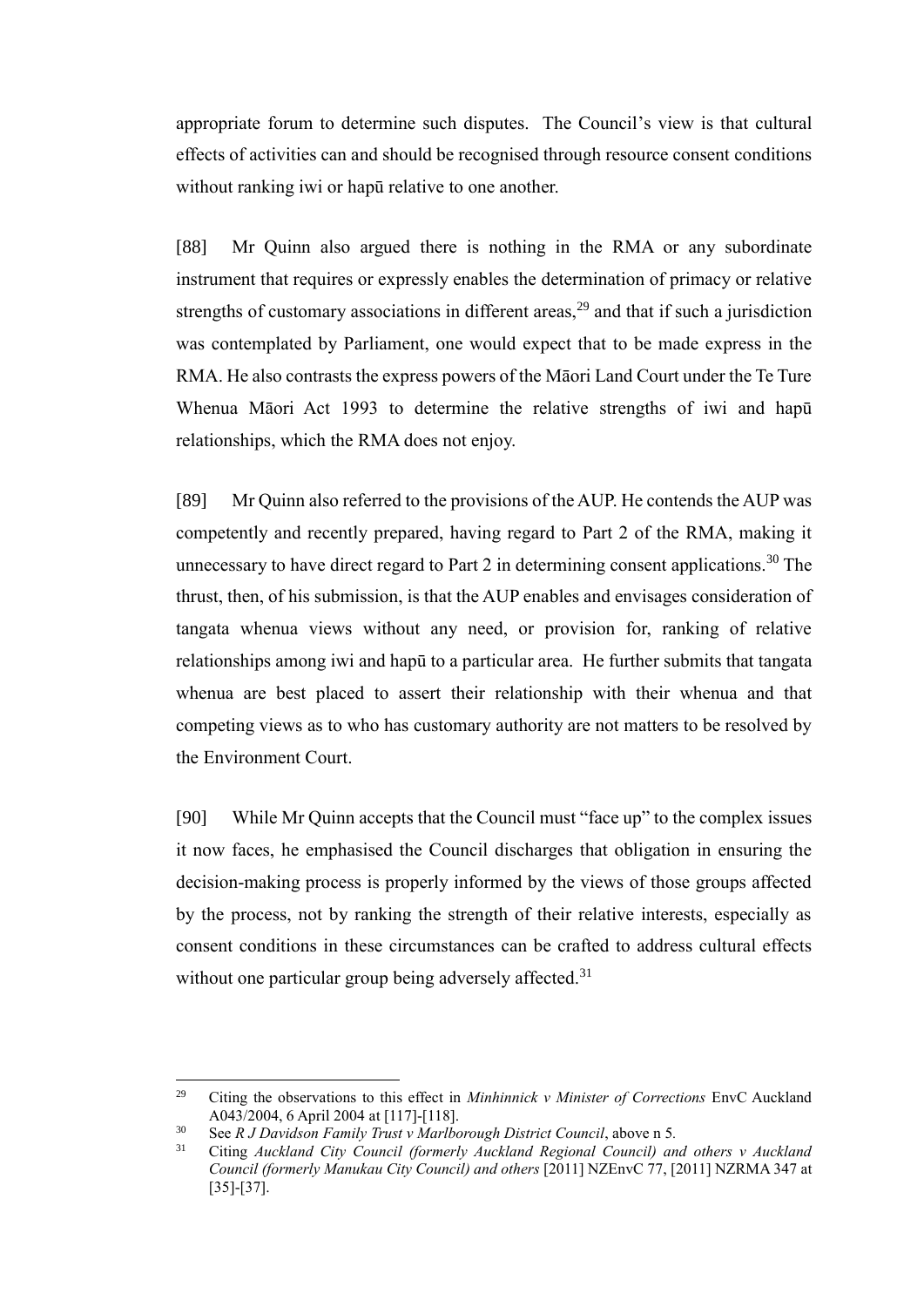appropriate forum to determine such disputes. The Council's view is that cultural effects of activities can and should be recognised through resource consent conditions without ranking iwi or hapū relative to one another.

[88] Mr Quinn also argued there is nothing in the RMA or any subordinate instrument that requires or expressly enables the determination of primacy or relative strengths of customary associations in different areas,<sup>29</sup> and that if such a jurisdiction was contemplated by Parliament, one would expect that to be made express in the RMA. He also contrasts the express powers of the Māori Land Court under the Te Ture Whenua Māori Act 1993 to determine the relative strengths of iwi and hapū relationships, which the RMA does not enjoy.

[89] Mr Quinn also referred to the provisions of the AUP. He contends the AUP was competently and recently prepared, having regard to Part 2 of the RMA, making it unnecessary to have direct regard to Part 2 in determining consent applications.<sup>30</sup> The thrust, then, of his submission, is that the AUP enables and envisages consideration of tangata whenua views without any need, or provision for, ranking of relative relationships among iwi and hapū to a particular area. He further submits that tangata whenua are best placed to assert their relationship with their whenua and that competing views as to who has customary authority are not matters to be resolved by the Environment Court.

[90] While Mr Quinn accepts that the Council must "face up" to the complex issues it now faces, he emphasised the Council discharges that obligation in ensuring the decision-making process is properly informed by the views of those groups affected by the process, not by ranking the strength of their relative interests, especially as consent conditions in these circumstances can be crafted to address cultural effects without one particular group being adversely affected.<sup>31</sup>

<sup>29</sup> <sup>29</sup> Citing the observations to this effect in *Minhinnick v Minister of Corrections* EnvC Auckland A043/2004, 6 April 2004 at [117]-[118].

<sup>30</sup> See *R J Davidson Family Trust v Marlborough District Council*, above n 5*.* 

<sup>31</sup> Citing *Auckland City Council (formerly Auckland Regional Council) and others v Auckland Council (formerly Manukau City Council) and others* [2011] NZEnvC 77, [2011] NZRMA 347 at [35]-[37].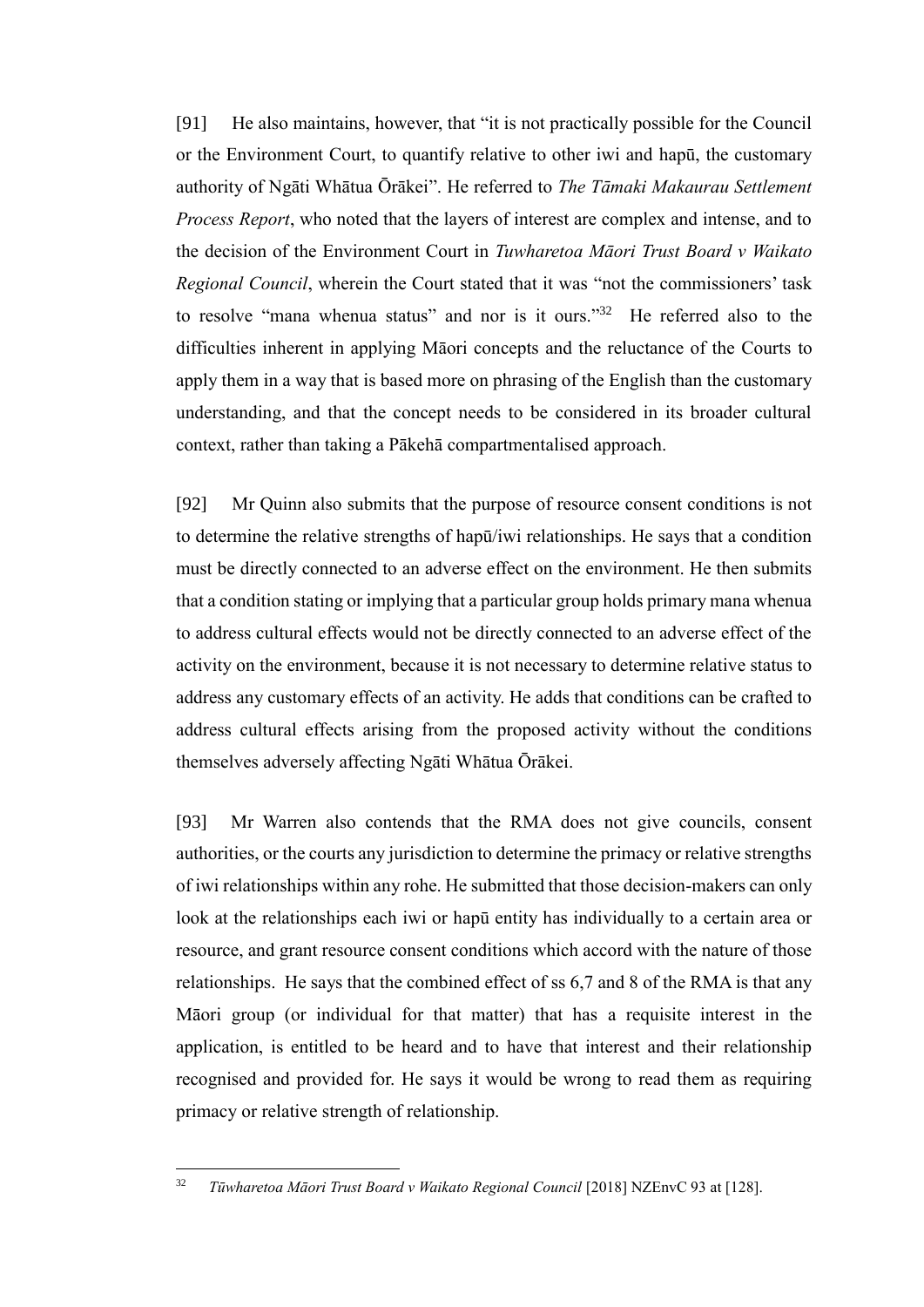[91] He also maintains, however, that "it is not practically possible for the Council or the Environment Court, to quantify relative to other iwi and hapū, the customary authority of Ngāti Whātua Ōrākei". He referred to *The Tāmaki Makaurau Settlement Process Report*, who noted that the layers of interest are complex and intense, and to the decision of the Environment Court in *Tuwharetoa Māori Trust Board v Waikato Regional Council*, wherein the Court stated that it was "not the commissioners' task to resolve "mana whenua status" and nor is it ours."<sup>32</sup> He referred also to the difficulties inherent in applying Māori concepts and the reluctance of the Courts to apply them in a way that is based more on phrasing of the English than the customary understanding, and that the concept needs to be considered in its broader cultural context, rather than taking a Pākehā compartmentalised approach.

[92] Mr Quinn also submits that the purpose of resource consent conditions is not to determine the relative strengths of hapū/iwi relationships. He says that a condition must be directly connected to an adverse effect on the environment. He then submits that a condition stating or implying that a particular group holds primary mana whenua to address cultural effects would not be directly connected to an adverse effect of the activity on the environment, because it is not necessary to determine relative status to address any customary effects of an activity. He adds that conditions can be crafted to address cultural effects arising from the proposed activity without the conditions themselves adversely affecting Ngāti Whātua Ōrākei.

[93] Mr Warren also contends that the RMA does not give councils, consent authorities, or the courts any jurisdiction to determine the primacy or relative strengths of iwi relationships within any rohe. He submitted that those decision-makers can only look at the relationships each iwi or hapū entity has individually to a certain area or resource, and grant resource consent conditions which accord with the nature of those relationships. He says that the combined effect of ss 6,7 and 8 of the RMA is that any Māori group (or individual for that matter) that has a requisite interest in the application, is entitled to be heard and to have that interest and their relationship recognised and provided for. He says it would be wrong to read them as requiring primacy or relative strength of relationship.

<sup>32</sup> *Tūwharetoa Māori Trust Board v Waikato Regional Council* [2018] NZEnvC 93 at [128].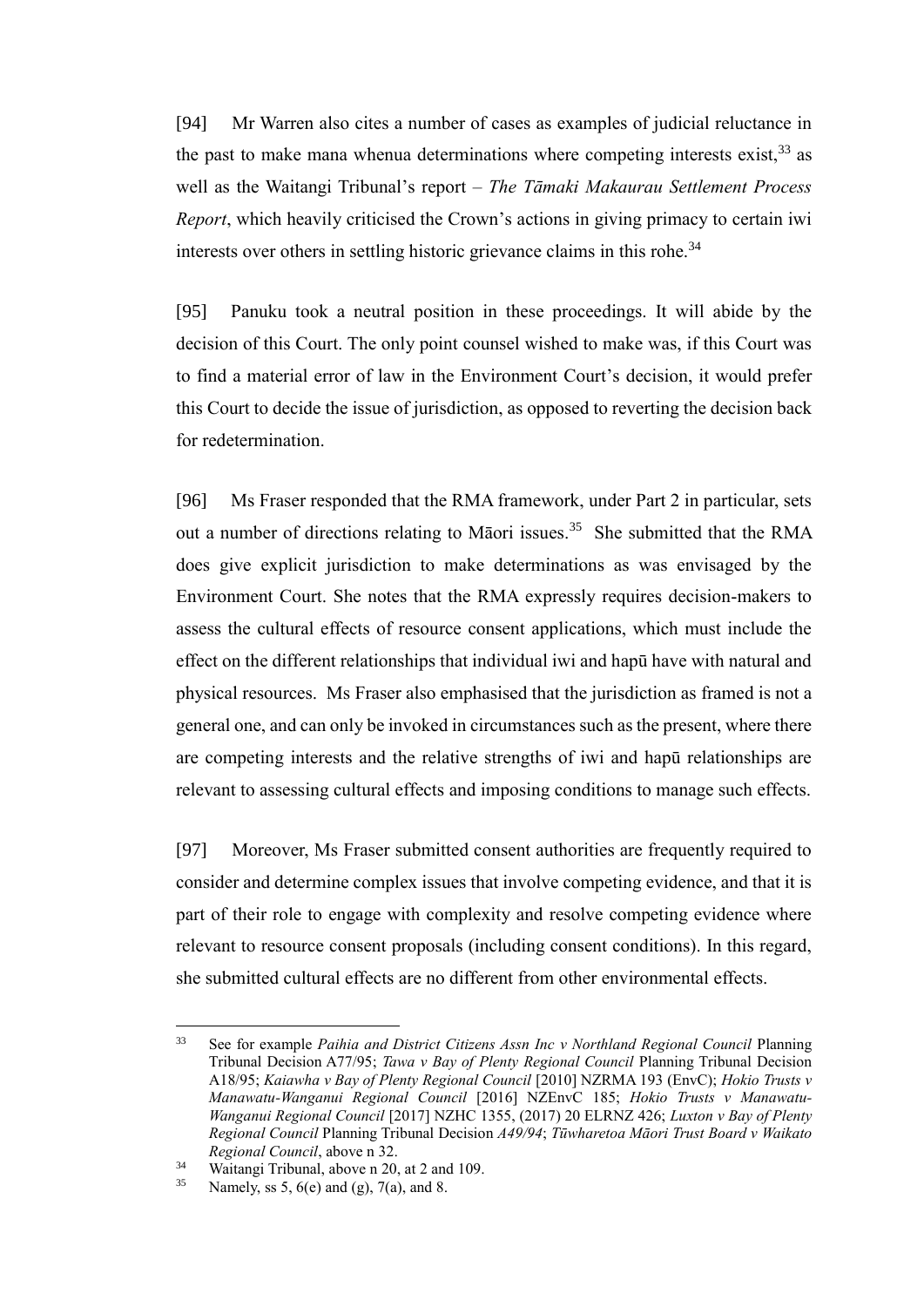[94] Mr Warren also cites a number of cases as examples of judicial reluctance in the past to make mana whenua determinations where competing interests exist,  $33$  as well as the Waitangi Tribunal's report – *The Tāmaki Makaurau Settlement Process Report*, which heavily criticised the Crown's actions in giving primacy to certain iwi interests over others in settling historic grievance claims in this rohe.<sup>34</sup>

[95] Panuku took a neutral position in these proceedings. It will abide by the decision of this Court. The only point counsel wished to make was, if this Court was to find a material error of law in the Environment Court's decision, it would prefer this Court to decide the issue of jurisdiction, as opposed to reverting the decision back for redetermination.

[96] Ms Fraser responded that the RMA framework, under Part 2 in particular, sets out a number of directions relating to Māori issues.<sup>35</sup> She submitted that the RMA does give explicit jurisdiction to make determinations as was envisaged by the Environment Court. She notes that the RMA expressly requires decision-makers to assess the cultural effects of resource consent applications, which must include the effect on the different relationships that individual iwi and hapū have with natural and physical resources. Ms Fraser also emphasised that the jurisdiction as framed is not a general one, and can only be invoked in circumstances such as the present, where there are competing interests and the relative strengths of iwi and hapū relationships are relevant to assessing cultural effects and imposing conditions to manage such effects.

[97] Moreover, Ms Fraser submitted consent authorities are frequently required to consider and determine complex issues that involve competing evidence, and that it is part of their role to engage with complexity and resolve competing evidence where relevant to resource consent proposals (including consent conditions). In this regard, she submitted cultural effects are no different from other environmental effects.

<sup>33</sup> See for example *Paihia and District Citizens Assn Inc v Northland Regional Council* Planning Tribunal Decision A77/95; *Tawa v Bay of Plenty Regional Council* Planning Tribunal Decision A18/95; *Kaiawha v Bay of Plenty Regional Council* [2010] NZRMA 193 (EnvC); *Hokio Trusts v Manawatu-Wanganui Regional Council* [2016] NZEnvC 185; *Hokio Trusts v Manawatu-Wanganui Regional Council* [2017] NZHC 1355, (2017) 20 ELRNZ 426; *Luxton v Bay of Plenty Regional Council* Planning Tribunal Decision *A49/94*; *Tūwharetoa Māori Trust Board v Waikato Regional Council*, above n 32.

<sup>&</sup>lt;sup>34</sup> Waitangi Tribunal, above n 20, at 2 and 109.<br><sup>35</sup> Namely  $\mathcal{L} \in \mathcal{L}$   $\mathcal{L}(\alpha)$  and  $\mathcal{L}(\alpha)$  and  $\mathcal{L}(\alpha)$ 

Namely, ss 5,  $6(e)$  and (g),  $7(a)$ , and 8.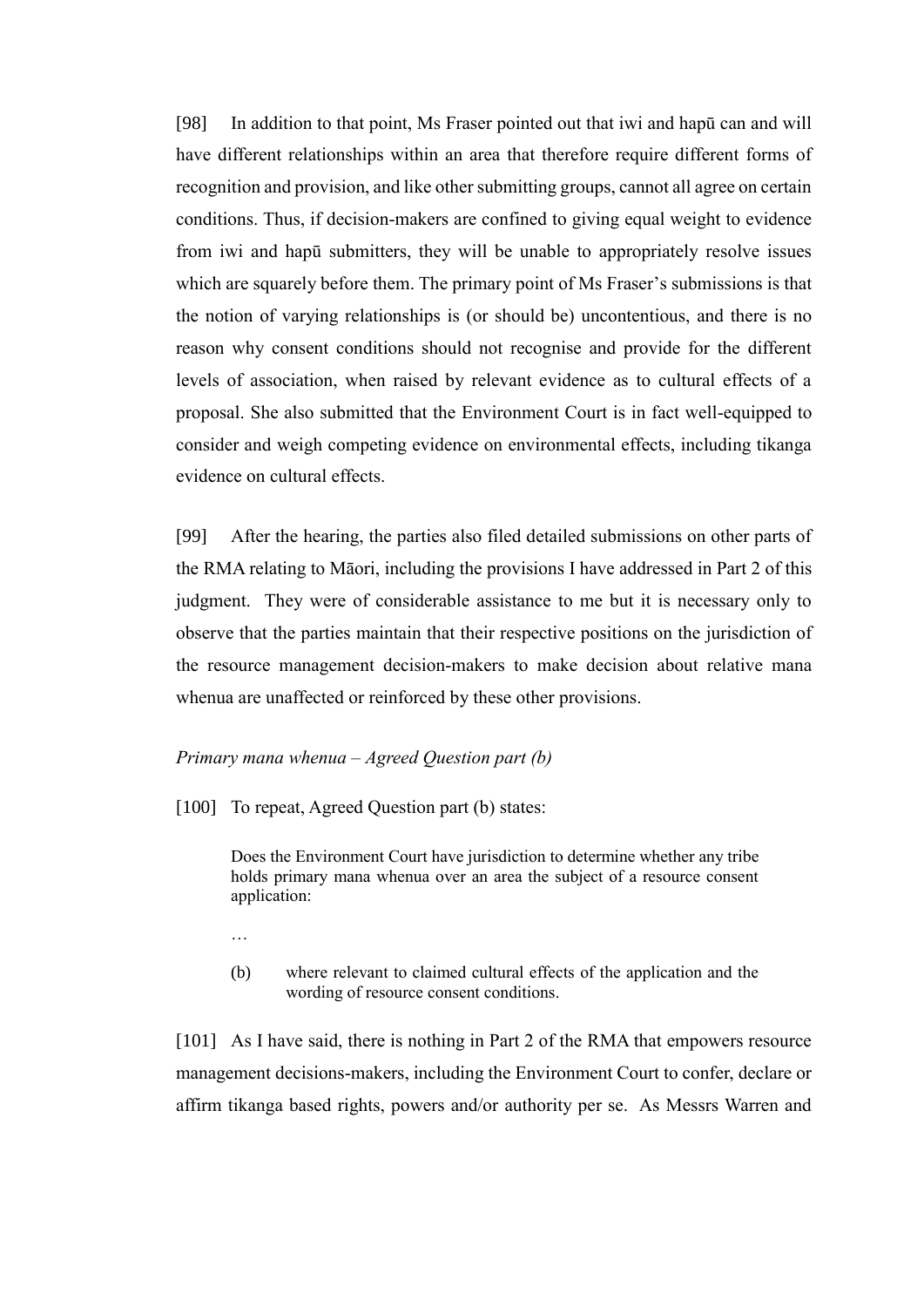[98] In addition to that point, Ms Fraser pointed out that iwi and hapū can and will have different relationships within an area that therefore require different forms of recognition and provision, and like other submitting groups, cannot all agree on certain conditions. Thus, if decision-makers are confined to giving equal weight to evidence from iwi and hapū submitters, they will be unable to appropriately resolve issues which are squarely before them. The primary point of Ms Fraser's submissions is that the notion of varying relationships is (or should be) uncontentious, and there is no reason why consent conditions should not recognise and provide for the different levels of association, when raised by relevant evidence as to cultural effects of a proposal. She also submitted that the Environment Court is in fact well-equipped to consider and weigh competing evidence on environmental effects, including tikanga evidence on cultural effects.

[99] After the hearing, the parties also filed detailed submissions on other parts of the RMA relating to Māori, including the provisions I have addressed in Part 2 of this judgment. They were of considerable assistance to me but it is necessary only to observe that the parties maintain that their respective positions on the jurisdiction of the resource management decision-makers to make decision about relative mana whenua are unaffected or reinforced by these other provisions.

### *Primary mana whenua – Agreed Question part (b)*

[100] To repeat, Agreed Question part (b) states:

Does the Environment Court have jurisdiction to determine whether any tribe holds primary mana whenua over an area the subject of a resource consent application:

- …
- (b) where relevant to claimed cultural effects of the application and the wording of resource consent conditions.

[101] As I have said, there is nothing in Part 2 of the RMA that empowers resource management decisions-makers, including the Environment Court to confer, declare or affirm tikanga based rights, powers and/or authority per se. As Messrs Warren and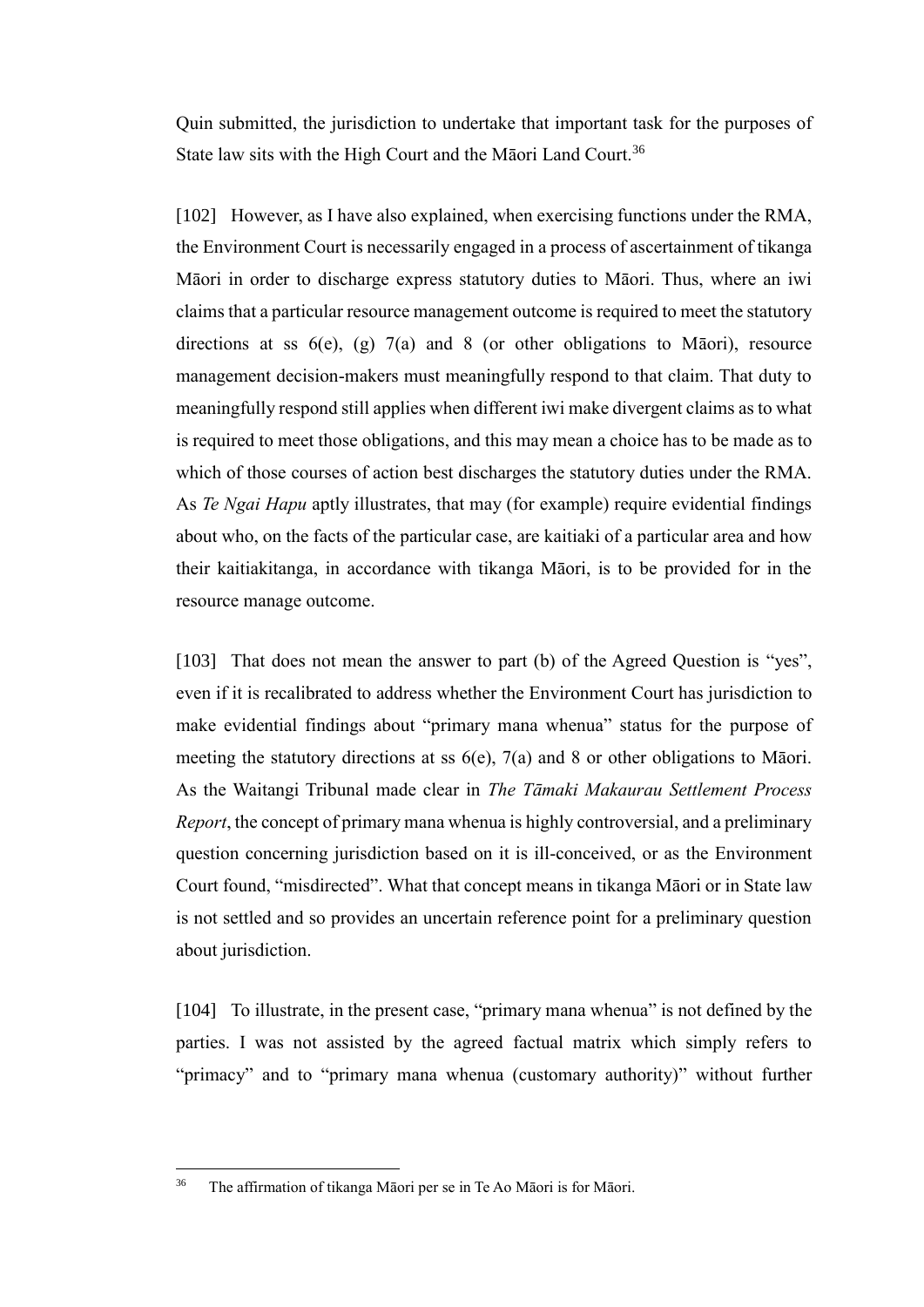Quin submitted, the jurisdiction to undertake that important task for the purposes of State law sits with the High Court and the Māori Land Court.<sup>36</sup>

[102] However, as I have also explained, when exercising functions under the RMA, the Environment Court is necessarily engaged in a process of ascertainment of tikanga Māori in order to discharge express statutory duties to Māori. Thus, where an iwi claims that a particular resource management outcome is required to meet the statutory directions at ss  $6(e)$ , (g)  $7(a)$  and 8 (or other obligations to Māori), resource management decision-makers must meaningfully respond to that claim. That duty to meaningfully respond still applies when different iwi make divergent claims as to what is required to meet those obligations, and this may mean a choice has to be made as to which of those courses of action best discharges the statutory duties under the RMA. As *Te Ngai Hapu* aptly illustrates, that may (for example) require evidential findings about who, on the facts of the particular case, are kaitiaki of a particular area and how their kaitiakitanga, in accordance with tikanga Māori, is to be provided for in the resource manage outcome.

[103] That does not mean the answer to part (b) of the Agreed Question is "yes", even if it is recalibrated to address whether the Environment Court has jurisdiction to make evidential findings about "primary mana whenua" status for the purpose of meeting the statutory directions at ss 6(e), 7(a) and 8 or other obligations to Māori. As the Waitangi Tribunal made clear in *The Tāmaki Makaurau Settlement Process Report*, the concept of primary mana whenua is highly controversial, and a preliminary question concerning jurisdiction based on it is ill-conceived, or as the Environment Court found, "misdirected". What that concept means in tikanga Māori or in State law is not settled and so provides an uncertain reference point for a preliminary question about jurisdiction.

[104] To illustrate, in the present case, "primary mana whenua" is not defined by the parties. I was not assisted by the agreed factual matrix which simply refers to "primacy" and to "primary mana whenua (customary authority)" without further

<sup>36</sup> The affirmation of tikanga Māori per se in Te Ao Māori is for Māori.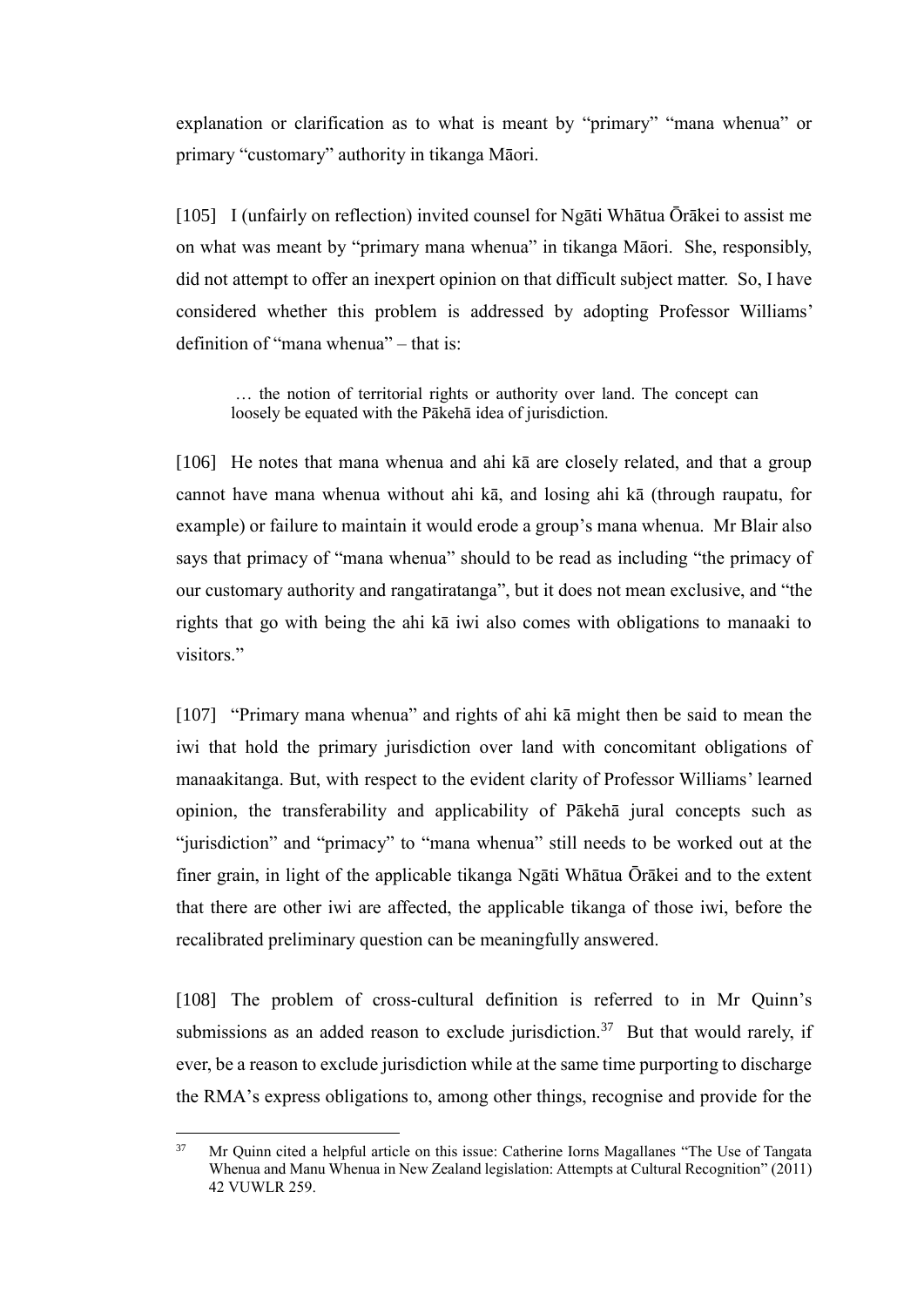explanation or clarification as to what is meant by "primary" "mana whenua" or primary "customary" authority in tikanga Māori.

[105] I (unfairly on reflection) invited counsel for Ngāti Whātua Ōrākei to assist me on what was meant by "primary mana whenua" in tikanga Māori. She, responsibly, did not attempt to offer an inexpert opinion on that difficult subject matter. So, I have considered whether this problem is addressed by adopting Professor Williams' definition of "mana whenua" – that is:

… the notion of territorial rights or authority over land. The concept can loosely be equated with the Pākehā idea of jurisdiction.

[106] He notes that mana whenua and ahi kā are closely related, and that a group cannot have mana whenua without ahi kā, and losing ahi kā (through raupatu, for example) or failure to maintain it would erode a group's mana whenua. Mr Blair also says that primacy of "mana whenua" should to be read as including "the primacy of our customary authority and rangatiratanga", but it does not mean exclusive, and "the rights that go with being the ahi kā iwi also comes with obligations to manaaki to visitors."

[107] "Primary mana whenua" and rights of ahi kā might then be said to mean the iwi that hold the primary jurisdiction over land with concomitant obligations of manaakitanga. But, with respect to the evident clarity of Professor Williams' learned opinion, the transferability and applicability of Pākehā jural concepts such as "jurisdiction" and "primacy" to "mana whenua" still needs to be worked out at the finer grain, in light of the applicable tikanga Ngāti Whātua Ōrākei and to the extent that there are other iwi are affected, the applicable tikanga of those iwi, before the recalibrated preliminary question can be meaningfully answered.

[108] The problem of cross-cultural definition is referred to in Mr Quinn's submissions as an added reason to exclude jurisdiction.<sup>37</sup> But that would rarely, if ever, be a reason to exclude jurisdiction while at the same time purporting to discharge the RMA's express obligations to, among other things, recognise and provide for the

<sup>37</sup> <sup>37</sup> Mr Quinn cited a helpful article on this issue: Catherine Iorns Magallanes "The Use of Tangata Whenua and Manu Whenua in New Zealand legislation: Attempts at Cultural Recognition" (2011) 42 VUWLR 259.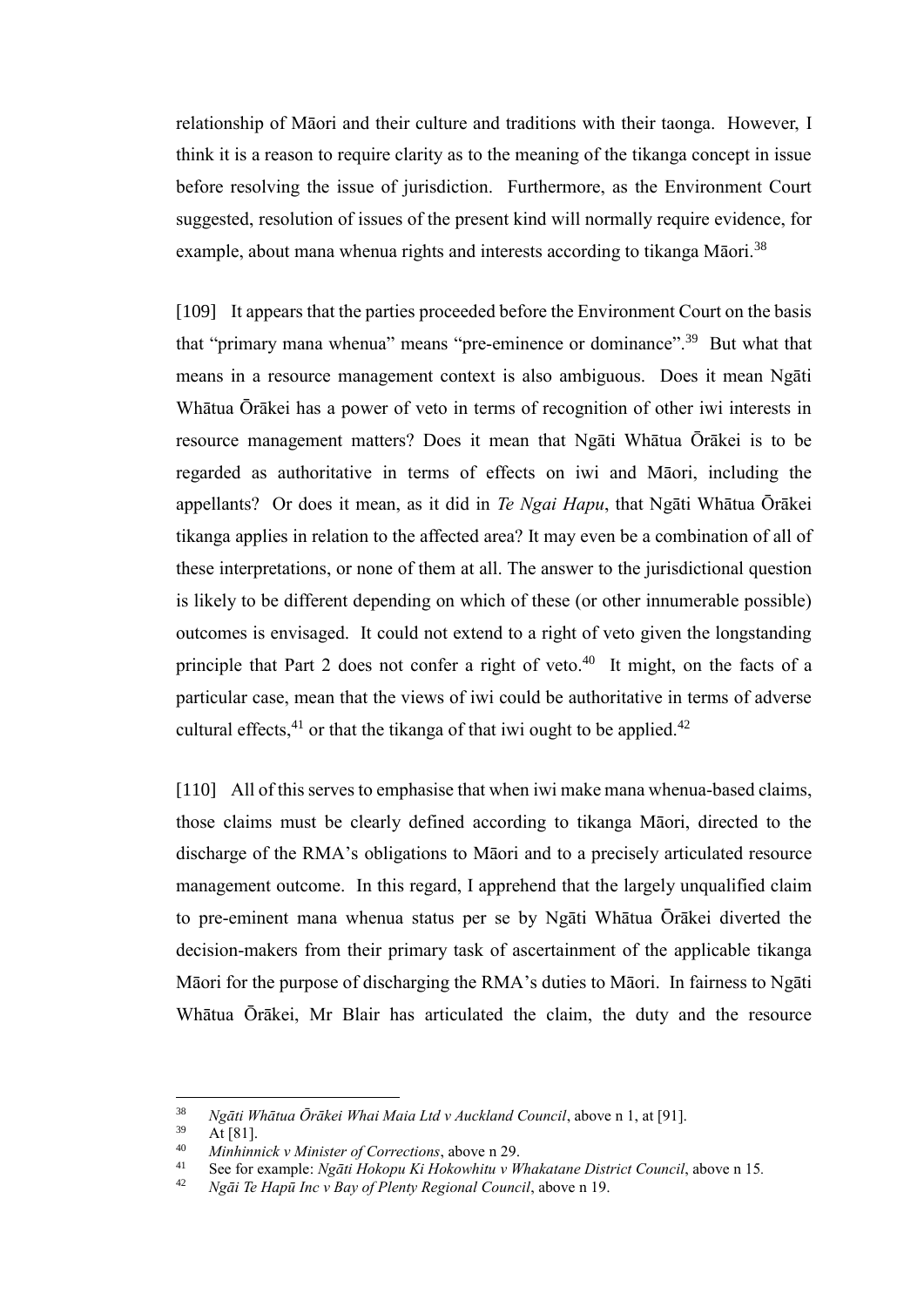relationship of Māori and their culture and traditions with their taonga. However, I think it is a reason to require clarity as to the meaning of the tikanga concept in issue before resolving the issue of jurisdiction. Furthermore, as the Environment Court suggested, resolution of issues of the present kind will normally require evidence, for example, about mana whenua rights and interests according to tikanga Māori.<sup>38</sup>

[109] It appears that the parties proceeded before the Environment Court on the basis that "primary mana whenua" means "pre-eminence or dominance".<sup>39</sup> But what that means in a resource management context is also ambiguous. Does it mean Ngāti Whātua Ōrākei has a power of veto in terms of recognition of other iwi interests in resource management matters? Does it mean that Ngāti Whātua Ōrākei is to be regarded as authoritative in terms of effects on iwi and Māori, including the appellants? Or does it mean, as it did in *Te Ngai Hapu*, that Ngāti Whātua Ōrākei tikanga applies in relation to the affected area? It may even be a combination of all of these interpretations, or none of them at all. The answer to the jurisdictional question is likely to be different depending on which of these (or other innumerable possible) outcomes is envisaged. It could not extend to a right of veto given the longstanding principle that Part 2 does not confer a right of veto.<sup>40</sup> It might, on the facts of a particular case, mean that the views of iwi could be authoritative in terms of adverse cultural effects,<sup>41</sup> or that the tikanga of that iwi ought to be applied.<sup>42</sup>

[110] All of this serves to emphasise that when iwi make mana whenua-based claims, those claims must be clearly defined according to tikanga Māori, directed to the discharge of the RMA's obligations to Māori and to a precisely articulated resource management outcome. In this regard, I apprehend that the largely unqualified claim to pre-eminent mana whenua status per se by Ngāti Whātua Ōrākei diverted the decision-makers from their primary task of ascertainment of the applicable tikanga Māori for the purpose of discharging the RMA's duties to Māori. In fairness to Ngāti Whātua Ōrākei, Mr Blair has articulated the claim, the duty and the resource

<sup>38</sup> *Ngāti Whātua Ōrākei Whai Maia Ltd v Auckland Council*, above n 1, at [91].

At  $[81]$ .

<sup>40</sup> *Minhinnick v Minister of Corrections*, above n 29.

<sup>41</sup> See for example: *Ngāti Hokopu Ki Hokowhitu v Whakatane District Council*, above n 15*.* 

<sup>42</sup> *Ngāi Te Hapū Inc v Bay of Plenty Regional Council*, above n 19.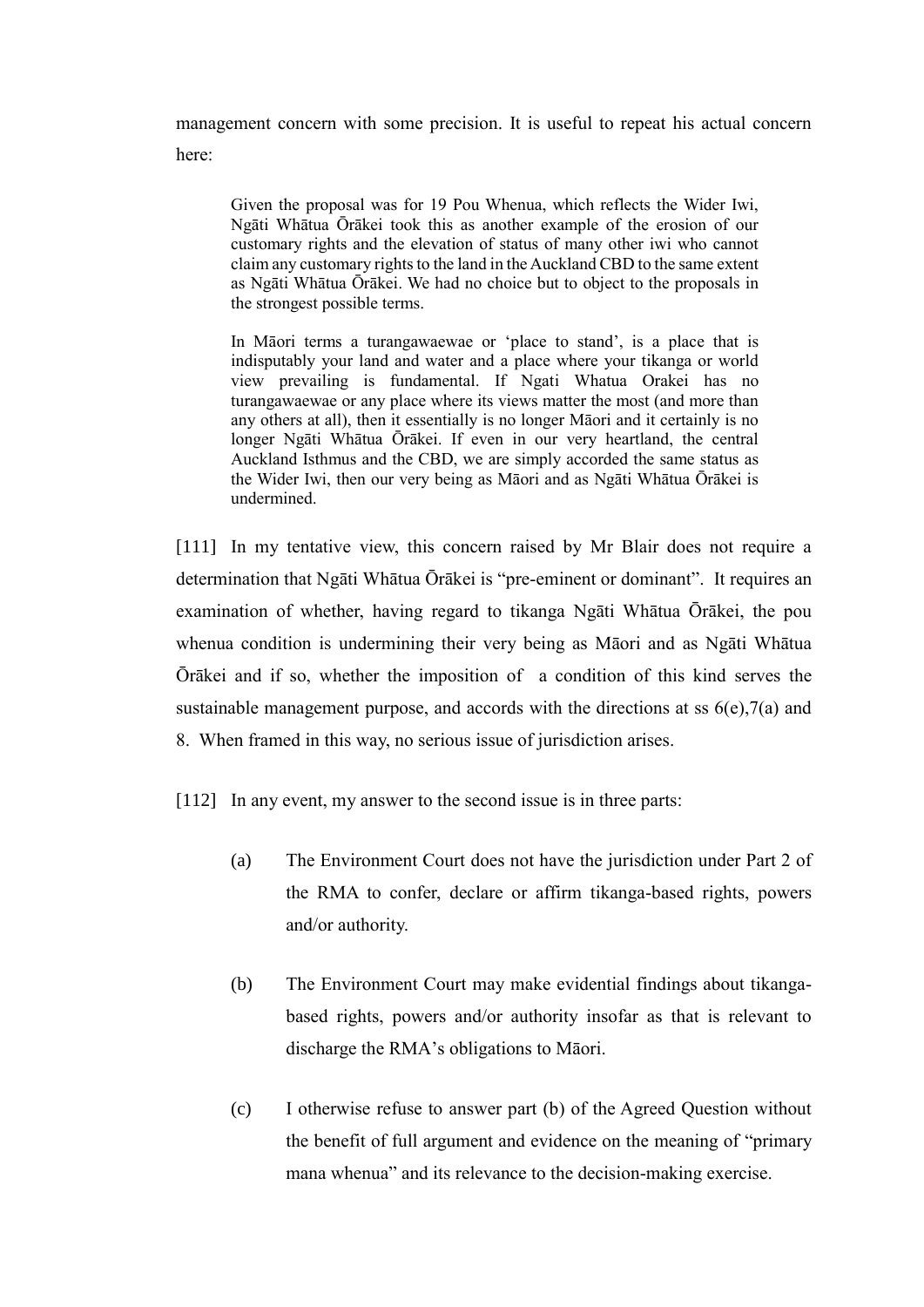management concern with some precision. It is useful to repeat his actual concern here:

Given the proposal was for 19 Pou Whenua, which reflects the Wider Iwi, Ngāti Whātua Ōrākei took this as another example of the erosion of our customary rights and the elevation of status of many other iwi who cannot claim any customary rights to the land in the Auckland CBD to the same extent as Ngāti Whātua Ōrākei. We had no choice but to object to the proposals in the strongest possible terms.

In Māori terms a turangawaewae or 'place to stand', is a place that is indisputably your land and water and a place where your tikanga or world view prevailing is fundamental. If Ngati Whatua Orakei has no turangawaewae or any place where its views matter the most (and more than any others at all), then it essentially is no longer Māori and it certainly is no longer Ngāti Whātua Ōrākei. If even in our very heartland, the central Auckland Isthmus and the CBD, we are simply accorded the same status as the Wider Iwi, then our very being as Māori and as Ngāti Whātua Ōrākei is undermined.

[111] In my tentative view, this concern raised by Mr Blair does not require a determination that Ngāti Whātua Ōrākei is "pre-eminent or dominant". It requires an examination of whether, having regard to tikanga Ngāti Whātua Ōrākei, the pou whenua condition is undermining their very being as Māori and as Ngāti Whātua Ōrākei and if so, whether the imposition of a condition of this kind serves the sustainable management purpose, and accords with the directions at ss  $6(e)$ ,  $7(a)$  and 8. When framed in this way, no serious issue of jurisdiction arises.

[112] In any event, my answer to the second issue is in three parts:

- (a) The Environment Court does not have the jurisdiction under Part 2 of the RMA to confer, declare or affirm tikanga-based rights, powers and/or authority.
- (b) The Environment Court may make evidential findings about tikangabased rights, powers and/or authority insofar as that is relevant to discharge the RMA's obligations to Māori.
- (c) I otherwise refuse to answer part (b) of the Agreed Question without the benefit of full argument and evidence on the meaning of "primary mana whenua" and its relevance to the decision-making exercise.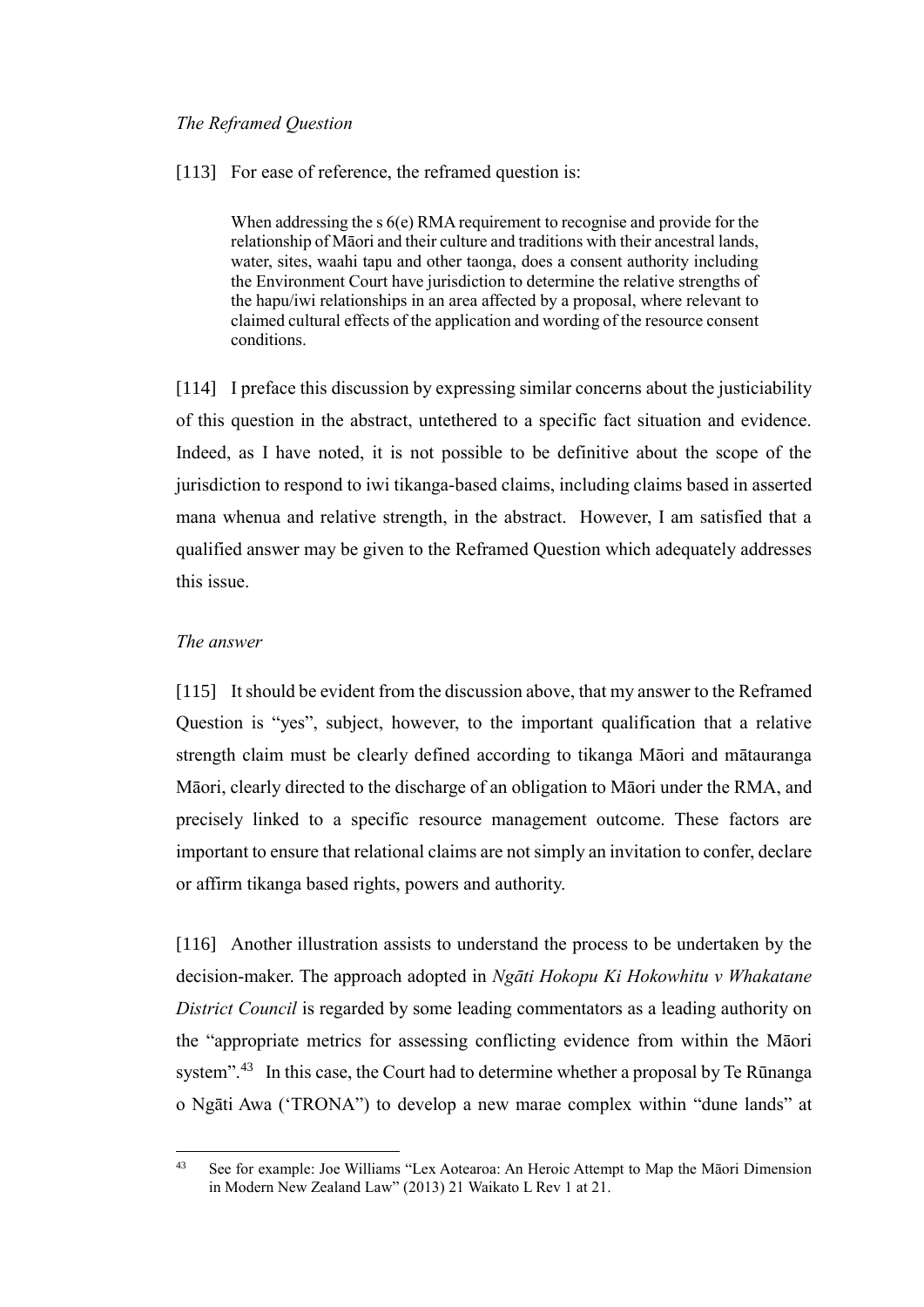### *The Reframed Question*

[113] For ease of reference, the reframed question is:

When addressing the s 6(e) RMA requirement to recognise and provide for the relationship of Māori and their culture and traditions with their ancestral lands, water, sites, waahi tapu and other taonga, does a consent authority including the Environment Court have jurisdiction to determine the relative strengths of the hapu/iwi relationships in an area affected by a proposal, where relevant to claimed cultural effects of the application and wording of the resource consent conditions.

[114] I preface this discussion by expressing similar concerns about the justiciability of this question in the abstract, untethered to a specific fact situation and evidence. Indeed, as I have noted, it is not possible to be definitive about the scope of the jurisdiction to respond to iwi tikanga-based claims, including claims based in asserted mana whenua and relative strength, in the abstract. However, I am satisfied that a qualified answer may be given to the Reframed Question which adequately addresses this issue.

### *The answer*

[115] It should be evident from the discussion above, that my answer to the Reframed Question is "yes", subject, however, to the important qualification that a relative strength claim must be clearly defined according to tikanga Māori and mātauranga Māori, clearly directed to the discharge of an obligation to Māori under the RMA, and precisely linked to a specific resource management outcome. These factors are important to ensure that relational claims are not simply an invitation to confer, declare or affirm tikanga based rights, powers and authority.

[116] Another illustration assists to understand the process to be undertaken by the decision-maker. The approach adopted in *Ngāti Hokopu Ki Hokowhitu v Whakatane District Council* is regarded by some leading commentators as a leading authority on the "appropriate metrics for assessing conflicting evidence from within the Māori system".<sup>43</sup> In this case, the Court had to determine whether a proposal by Te Rūnanga o Ngāti Awa ('TRONA") to develop a new marae complex within "dune lands" at

 $43$ <sup>43</sup> See for example: Joe Williams "Lex Aotearoa: An Heroic Attempt to Map the Māori Dimension in Modern New Zealand Law" (2013) 21 Waikato L Rev 1 at 21.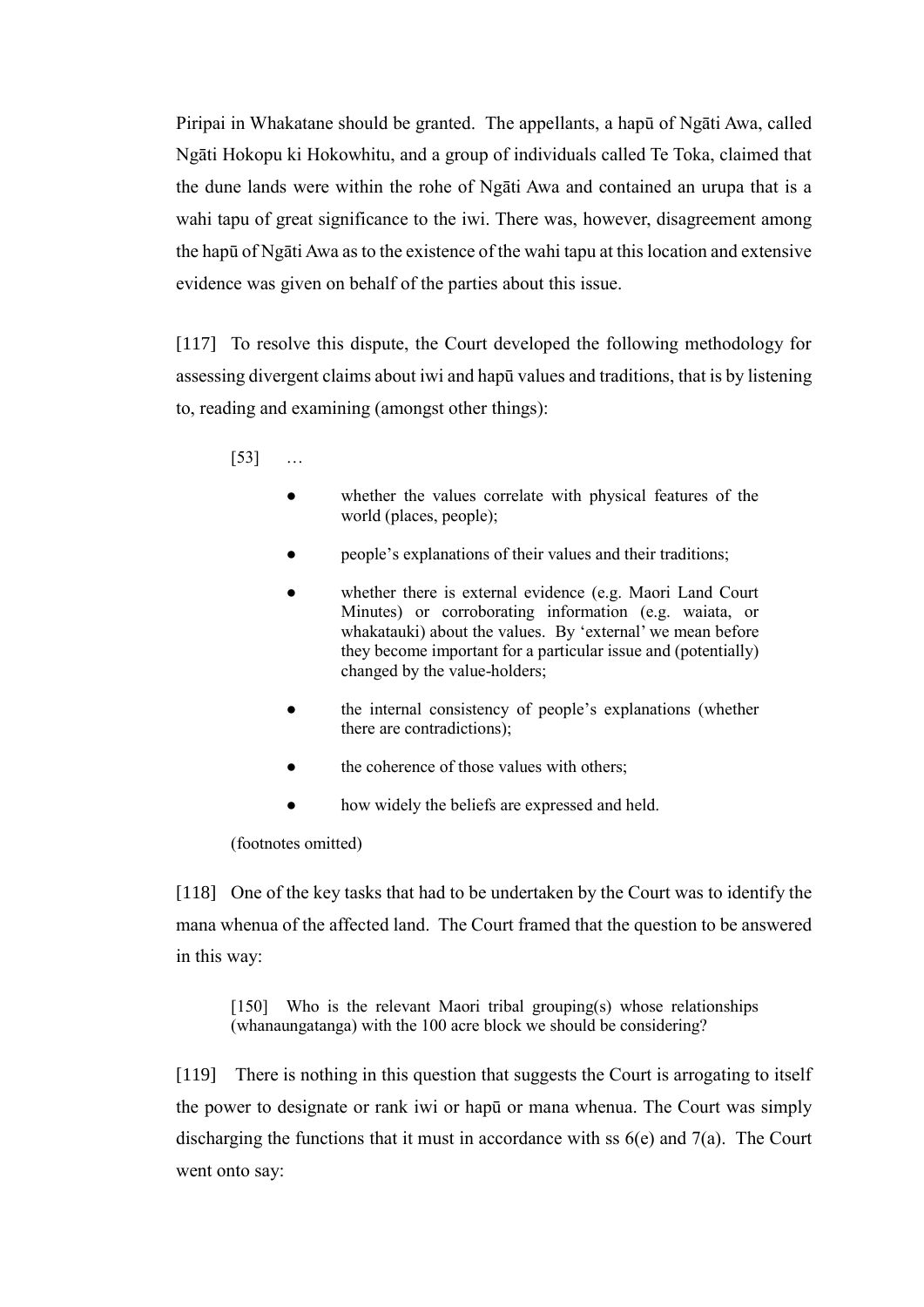Piripai in Whakatane should be granted. The appellants, a hapū of Ngāti Awa, called Ngāti Hokopu ki Hokowhitu, and a group of individuals called Te Toka, claimed that the dune lands were within the rohe of Ngāti Awa and contained an urupa that is a wahi tapu of great significance to the iwi. There was, however, disagreement among the hapū of Ngāti Awa as to the existence of the wahi tapu at this location and extensive evidence was given on behalf of the parties about this issue.

[117] To resolve this dispute, the Court developed the following methodology for assessing divergent claims about iwi and hapū values and traditions, that is by listening to, reading and examining (amongst other things):

[53] …

- whether the values correlate with physical features of the world (places, people);
- people's explanations of their values and their traditions;
- whether there is external evidence (e.g. Maori Land Court Minutes) or corroborating information (e.g. waiata, or whakatauki) about the values. By 'external' we mean before they become important for a particular issue and (potentially) changed by the value-holders;
- the internal consistency of people's explanations (whether there are contradictions);
- the coherence of those values with others;
- how widely the beliefs are expressed and held.

(footnotes omitted)

[118] One of the key tasks that had to be undertaken by the Court was to identify the mana whenua of the affected land. The Court framed that the question to be answered in this way:

[150] Who is the relevant Maori tribal grouping(s) whose relationships (whanaungatanga) with the 100 acre block we should be considering?

[119] There is nothing in this question that suggests the Court is arrogating to itself the power to designate or rank iwi or hapū or mana whenua. The Court was simply discharging the functions that it must in accordance with ss 6(e) and 7(a). The Court went onto say: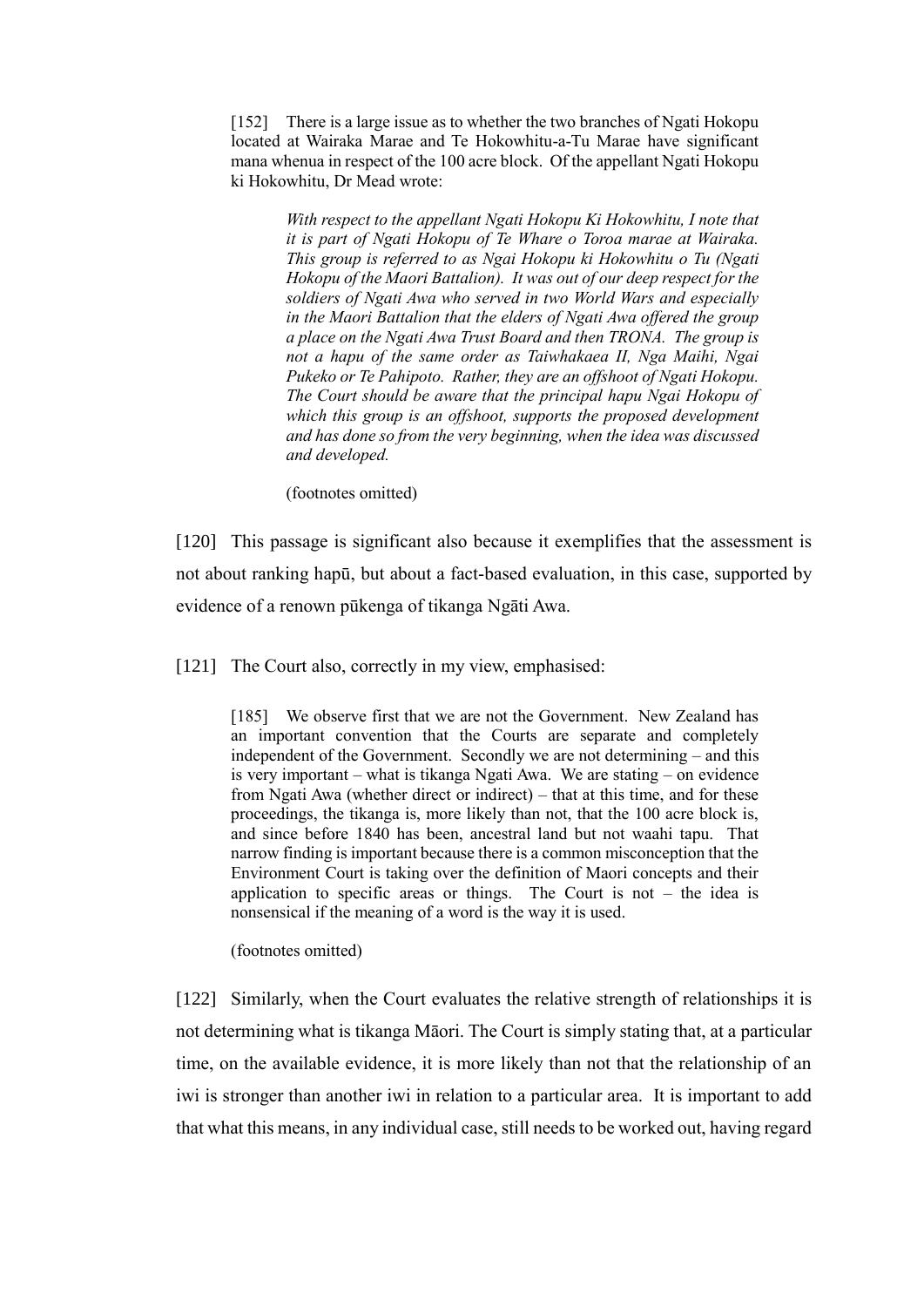[152] There is a large issue as to whether the two branches of Ngati Hokopu located at Wairaka Marae and Te Hokowhitu-a-Tu Marae have significant mana whenua in respect of the 100 acre block. Of the appellant Ngati Hokopu ki Hokowhitu, Dr Mead wrote:

> *With respect to the appellant Ngati Hokopu Ki Hokowhitu, I note that it is part of Ngati Hokopu of Te Whare o Toroa marae at Wairaka. This group is referred to as Ngai Hokopu ki Hokowhitu o Tu (Ngati Hokopu of the Maori Battalion). It was out of our deep respect for the soldiers of Ngati Awa who served in two World Wars and especially in the Maori Battalion that the elders of Ngati Awa offered the group a place on the Ngati Awa Trust Board and then TRONA. The group is not a hapu of the same order as Taiwhakaea II, Nga Maihi, Ngai Pukeko or Te Pahipoto. Rather, they are an offshoot of Ngati Hokopu. The Court should be aware that the principal hapu Ngai Hokopu of which this group is an offshoot, supports the proposed development and has done so from the very beginning, when the idea was discussed and developed.*

(footnotes omitted)

[120] This passage is significant also because it exemplifies that the assessment is not about ranking hapū, but about a fact-based evaluation, in this case, supported by evidence of a renown pūkenga of tikanga Ngāti Awa.

[121] The Court also, correctly in my view, emphasised:

[185] We observe first that we are not the Government. New Zealand has an important convention that the Courts are separate and completely independent of the Government. Secondly we are not determining – and this is very important – what is tikanga Ngati Awa. We are stating – on evidence from Ngati Awa (whether direct or indirect) – that at this time, and for these proceedings, the tikanga is, more likely than not, that the 100 acre block is, and since before 1840 has been, ancestral land but not waahi tapu. That narrow finding is important because there is a common misconception that the Environment Court is taking over the definition of Maori concepts and their application to specific areas or things. The Court is not  $-$  the idea is nonsensical if the meaning of a word is the way it is used.

(footnotes omitted)

[122] Similarly, when the Court evaluates the relative strength of relationships it is not determining what is tikanga Māori. The Court is simply stating that, at a particular time, on the available evidence, it is more likely than not that the relationship of an iwi is stronger than another iwi in relation to a particular area. It is important to add that what this means, in any individual case, still needs to be worked out, having regard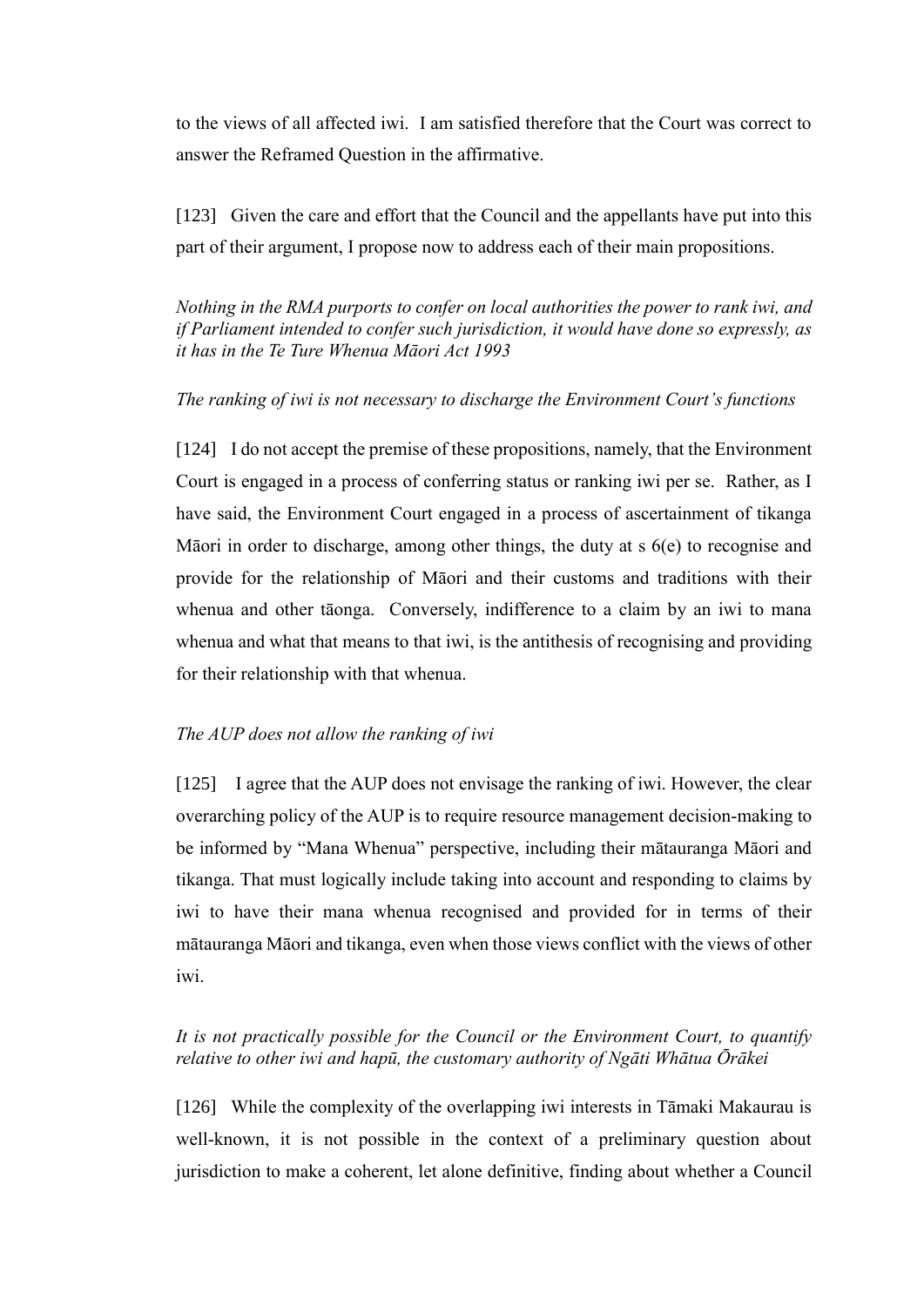to the views of all affected iwi. I am satisfied therefore that the Court was correct to answer the Reframed Question in the affirmative.

[123] Given the care and effort that the Council and the appellants have put into this part of their argument, I propose now to address each of their main propositions.

*Nothing in the RMA purports to confer on local authorities the power to rank iwi, and if Parliament intended to confer such jurisdiction, it would have done so expressly, as it has in the Te Ture Whenua Māori Act 1993*

# *The ranking of iwi is not necessary to discharge the Environment Court's functions*

[124] I do not accept the premise of these propositions, namely, that the Environment Court is engaged in a process of conferring status or ranking iwi per se. Rather, as I have said, the Environment Court engaged in a process of ascertainment of tikanga Māori in order to discharge, among other things, the duty at s 6(e) to recognise and provide for the relationship of Māori and their customs and traditions with their whenua and other tāonga. Conversely, indifference to a claim by an iwi to mana whenua and what that means to that iwi, is the antithesis of recognising and providing for their relationship with that whenua.

### *The AUP does not allow the ranking of iwi*

[125] I agree that the AUP does not envisage the ranking of iwi. However, the clear overarching policy of the AUP is to require resource management decision-making to be informed by "Mana Whenua" perspective, including their mātauranga Māori and tikanga. That must logically include taking into account and responding to claims by iwi to have their mana whenua recognised and provided for in terms of their mātauranga Māori and tikanga, even when those views conflict with the views of other iwi.

# *It is not practically possible for the Council or the Environment Court, to quantify relative to other iwi and hapū, the customary authority of Ngāti Whātua Ōrākei*

[126] While the complexity of the overlapping iwi interests in Tāmaki Makaurau is well-known, it is not possible in the context of a preliminary question about jurisdiction to make a coherent, let alone definitive, finding about whether a Council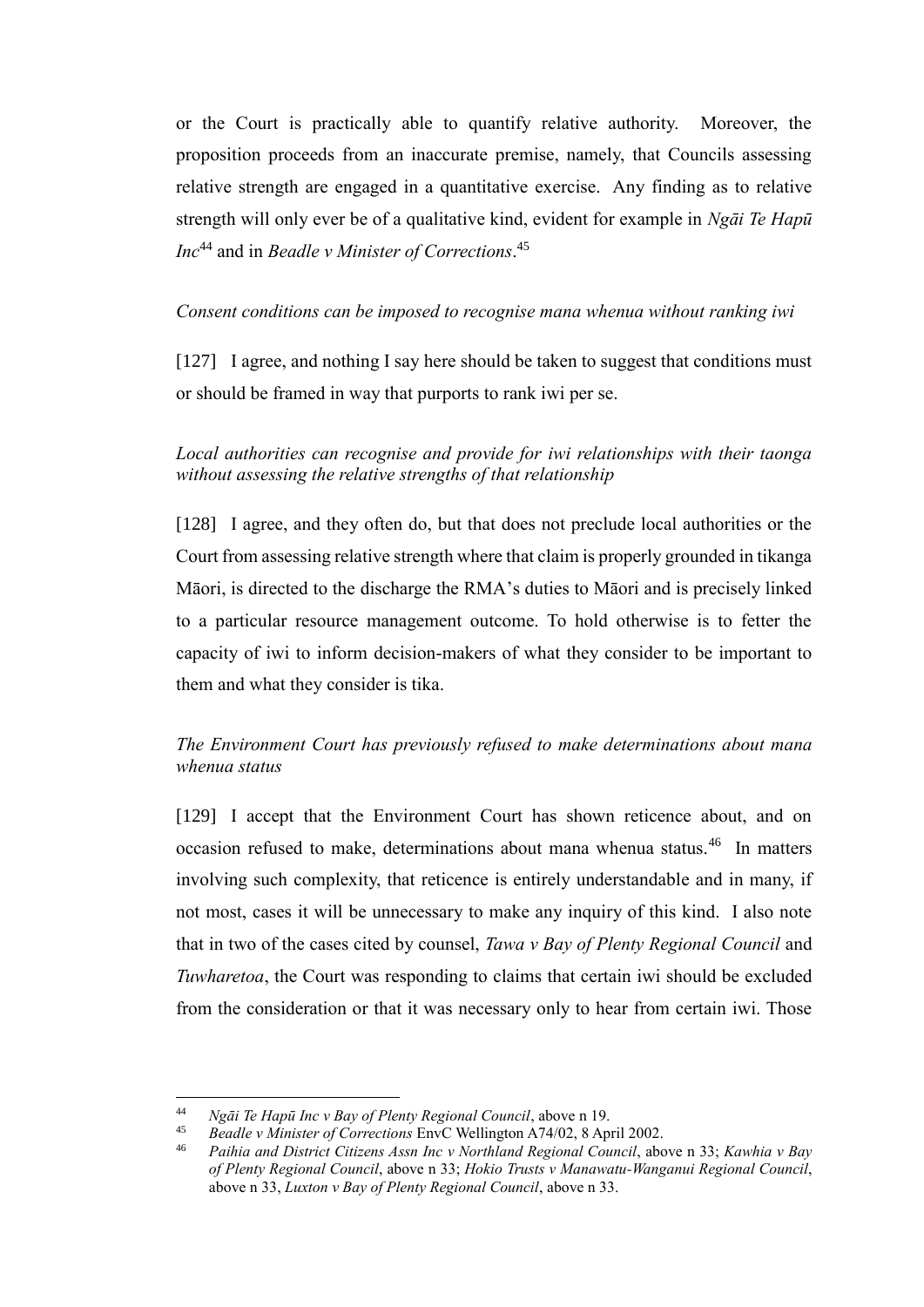or the Court is practically able to quantify relative authority. Moreover, the proposition proceeds from an inaccurate premise, namely, that Councils assessing relative strength are engaged in a quantitative exercise. Any finding as to relative strength will only ever be of a qualitative kind, evident for example in *Ngāi Te Hapū Inc*<sup>44</sup> and in *Beadle v Minister of Corrections*. 45

### *Consent conditions can be imposed to recognise mana whenua without ranking iwi*

[127] I agree, and nothing I say here should be taken to suggest that conditions must or should be framed in way that purports to rank iwi per se.

*Local authorities can recognise and provide for iwi relationships with their taonga without assessing the relative strengths of that relationship*

[128] I agree, and they often do, but that does not preclude local authorities or the Court from assessing relative strength where that claim is properly grounded in tikanga Māori, is directed to the discharge the RMA's duties to Māori and is precisely linked to a particular resource management outcome. To hold otherwise is to fetter the capacity of iwi to inform decision-makers of what they consider to be important to them and what they consider is tika.

# *The Environment Court has previously refused to make determinations about mana whenua status*

[129] I accept that the Environment Court has shown reticence about, and on occasion refused to make, determinations about mana whenua status.<sup>46</sup> In matters involving such complexity, that reticence is entirely understandable and in many, if not most, cases it will be unnecessary to make any inquiry of this kind. I also note that in two of the cases cited by counsel, *Tawa v Bay of Plenty Regional Council* and *Tuwharetoa*, the Court was responding to claims that certain iwi should be excluded from the consideration or that it was necessary only to hear from certain iwi. Those

 $44$ <sup>44</sup> *Ngāi Te Hapū Inc v Bay of Plenty Regional Council*, above n 19.

<sup>45</sup> *Beadle v Minister of Corrections* EnvC Wellington A74/02, 8 April 2002.

<sup>46</sup> *Paihia and District Citizens Assn Inc v Northland Regional Council*, above n 33; *Kawhia v Bay of Plenty Regional Council*, above n 33; *Hokio Trusts v Manawatu-Wanganui Regional Council*, above n 33, *Luxton v Bay of Plenty Regional Council*, above n 33.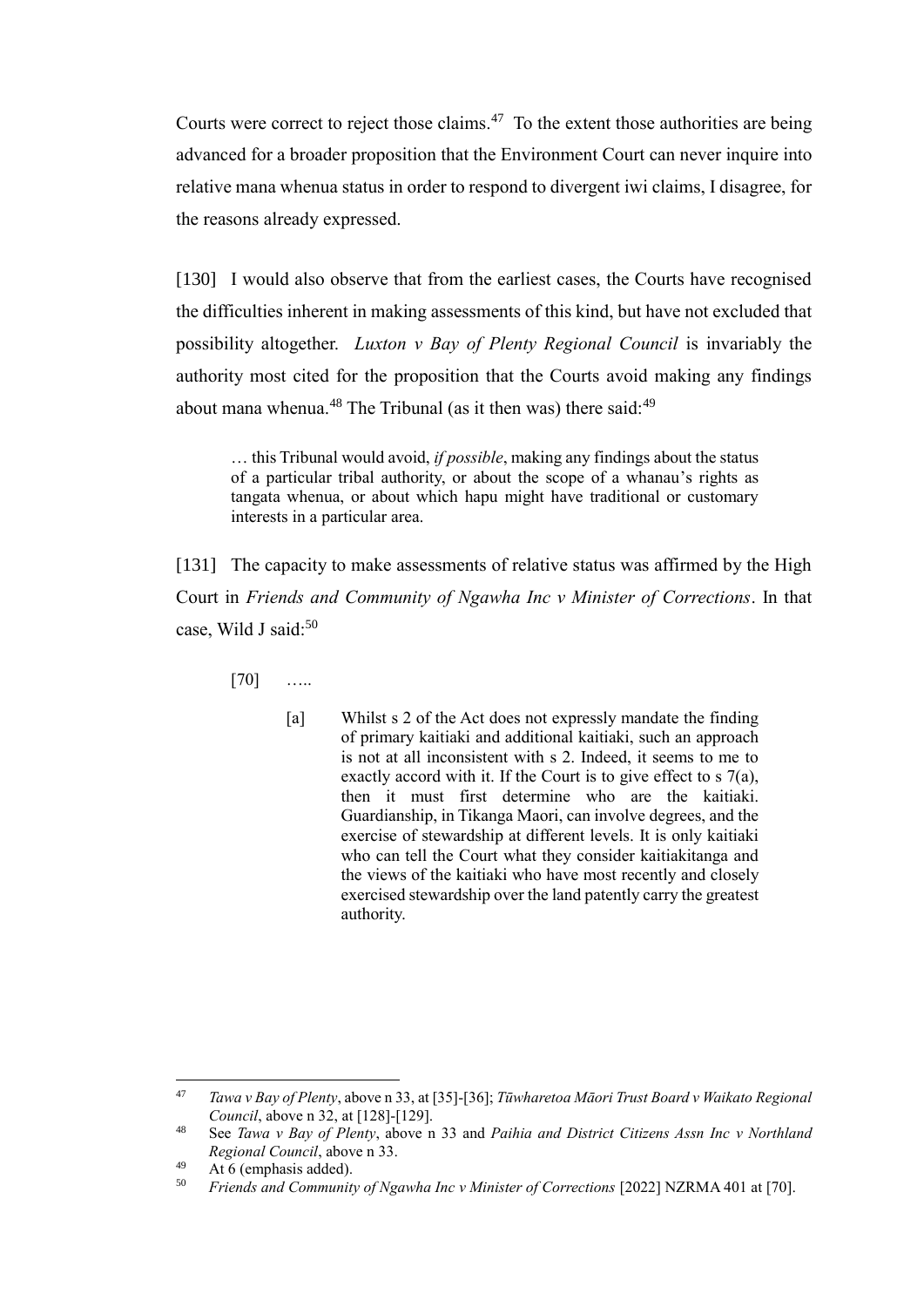Courts were correct to reject those claims. $47$  To the extent those authorities are being advanced for a broader proposition that the Environment Court can never inquire into relative mana whenua status in order to respond to divergent iwi claims, I disagree, for the reasons already expressed.

[130] I would also observe that from the earliest cases, the Courts have recognised the difficulties inherent in making assessments of this kind, but have not excluded that possibility altogether. *Luxton v Bay of Plenty Regional Council* is invariably the authority most cited for the proposition that the Courts avoid making any findings about mana whenua.<sup>48</sup> The Tribunal (as it then was) there said:<sup>49</sup>

… this Tribunal would avoid, *if possible*, making any findings about the status of a particular tribal authority, or about the scope of a whanau's rights as tangata whenua, or about which hapu might have traditional or customary interests in a particular area.

[131] The capacity to make assessments of relative status was affirmed by the High Court in *Friends and Community of Ngawha Inc v Minister of Corrections*. In that case, Wild J said:<sup>50</sup>

[70] …..

[a] Whilst s 2 of the Act does not expressly mandate the finding of primary kaitiaki and additional kaitiaki, such an approach is not at all inconsistent with s 2. Indeed, it seems to me to exactly accord with it. If the Court is to give effect to s 7(a), then it must first determine who are the kaitiaki. Guardianship, in Tikanga Maori, can involve degrees, and the exercise of stewardship at different levels. It is only kaitiaki who can tell the Court what they consider kaitiakitanga and the views of the kaitiaki who have most recently and closely exercised stewardship over the land patently carry the greatest authority.

<sup>47</sup> <sup>47</sup> *Tawa v Bay of Plenty*, above n 33, at [35]-[36]; *Tūwharetoa Māori Trust Board v Waikato Regional Council*, above n 32, at [128]-[129].

<sup>48</sup> See *Tawa v Bay of Plenty*, above n 33 and *Paihia and District Citizens Assn Inc v Northland Regional Council*, above n 33.

 $49$  At 6 (emphasis added).

<sup>50</sup> *Friends and Community of Ngawha Inc v Minister of Corrections* [2022] NZRMA 401 at [70].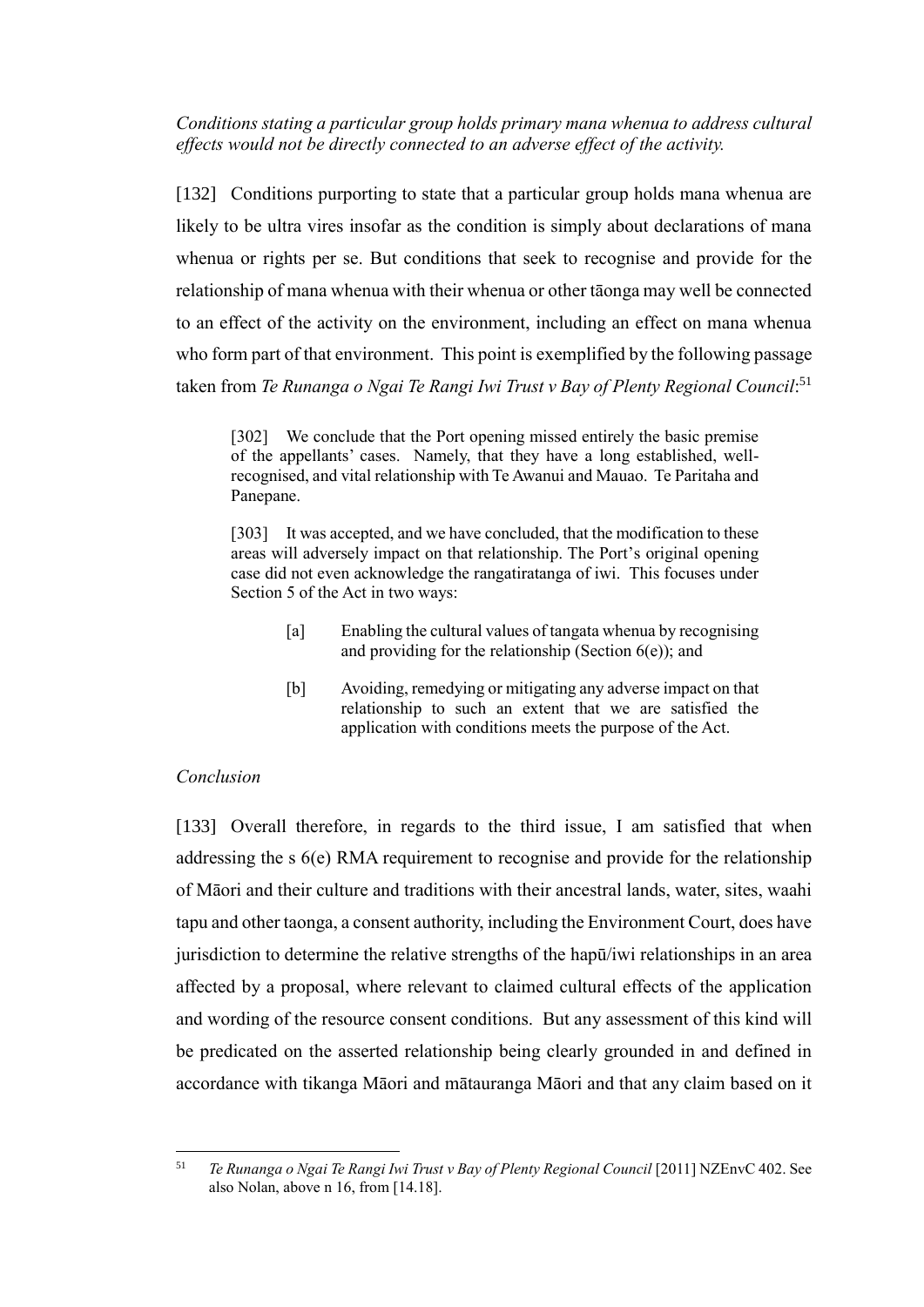*Conditions stating a particular group holds primary mana whenua to address cultural effects would not be directly connected to an adverse effect of the activity.*

[132] Conditions purporting to state that a particular group holds mana whenua are likely to be ultra vires insofar as the condition is simply about declarations of mana whenua or rights per se. But conditions that seek to recognise and provide for the relationship of mana whenua with their whenua or other tāonga may well be connected to an effect of the activity on the environment, including an effect on mana whenua who form part of that environment. This point is exemplified by the following passage taken from *Te Runanga o Ngai Te Rangi Iwi Trust v Bay of Plenty Regional Council*: 51

[302] We conclude that the Port opening missed entirely the basic premise of the appellants' cases. Namely, that they have a long established, wellrecognised, and vital relationship with Te Awanui and Mauao. Te Paritaha and Panepane.

[303] It was accepted, and we have concluded, that the modification to these areas will adversely impact on that relationship. The Port's original opening case did not even acknowledge the rangatiratanga of iwi. This focuses under Section 5 of the Act in two ways:

- [a] Enabling the cultural values of tangata whenua by recognising and providing for the relationship (Section  $6(e)$ ); and
- [b] Avoiding, remedying or mitigating any adverse impact on that relationship to such an extent that we are satisfied the application with conditions meets the purpose of the Act.

# *Conclusion*

[133] Overall therefore, in regards to the third issue, I am satisfied that when addressing the s 6(e) RMA requirement to recognise and provide for the relationship of Māori and their culture and traditions with their ancestral lands, water, sites, waahi tapu and other taonga, a consent authority, including the Environment Court, does have jurisdiction to determine the relative strengths of the hapū/iwi relationships in an area affected by a proposal, where relevant to claimed cultural effects of the application and wording of the resource consent conditions. But any assessment of this kind will be predicated on the asserted relationship being clearly grounded in and defined in accordance with tikanga Māori and mātauranga Māori and that any claim based on it

 $51$ <sup>51</sup> *Te Runanga o Ngai Te Rangi Iwi Trust v Bay of Plenty Regional Council* [2011] NZEnvC 402. See also Nolan, above n 16, from [14.18].